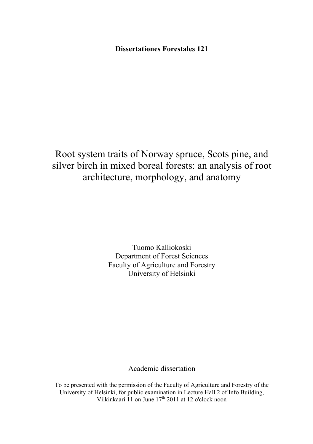**Dissertationes Forestales 121** 

Root system traits of Norway spruce, Scots pine, and silver birch in mixed boreal forests: an analysis of root architecture, morphology, and anatomy

> Tuomo Kalliokoski Department of Forest Sciences Faculty of Agriculture and Forestry University of Helsinki

> > Academic dissertation

To be presented with the permission of the Faculty of Agriculture and Forestry of the University of Helsinki, for public examination in Lecture Hall 2 of Info Building, Viikinkaari 11 on June  $17<sup>th</sup>$  2011 at 12 o'clock noon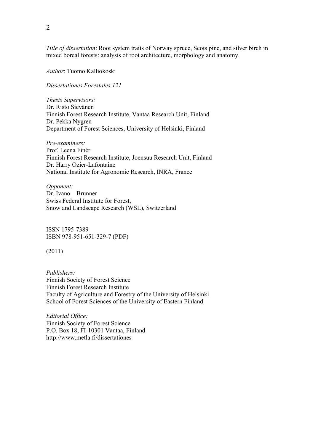*Title of dissertation*: Root system traits of Norway spruce, Scots pine, and silver birch in mixed boreal forests: analysis of root architecture, morphology and anatomy.

*Author*: Tuomo Kalliokoski

*Dissertationes Forestales 121* 

*Thesis Supervisors:*  Dr. Risto Sievänen Finnish Forest Research Institute, Vantaa Research Unit, Finland Dr. Pekka Nygren Department of Forest Sciences, University of Helsinki, Finland

*Pre-examiners:*  Prof. Leena Finér Finnish Forest Research Institute, Joensuu Research Unit, Finland Dr. Harry Ozier-Lafontaine National Institute for Agronomic Research, INRA, France

*Opponent:*  Dr. Ivano Brunner Swiss Federal Institute for Forest, Snow and Landscape Research (WSL), Switzerland

ISSN 1795-7389 ISBN 978-951-651-329-7 (PDF)

(2011)

*Publishers:*  Finnish Society of Forest Science Finnish Forest Research Institute Faculty of Agriculture and Forestry of the University of Helsinki School of Forest Sciences of the University of Eastern Finland

*Editorial Office:*  Finnish Society of Forest Science P.O. Box 18, FI-10301 Vantaa, Finland http://www.metla.fi/dissertationes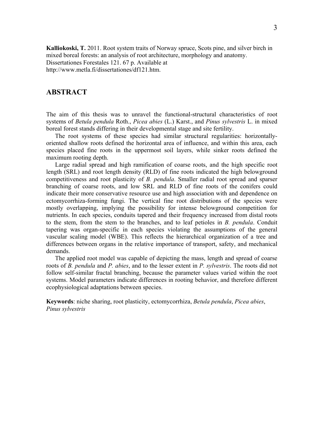<span id="page-2-0"></span>**Kalliokoski, T.** 2011. Root system traits of Norway spruce, Scots pine, and silver birch in mixed boreal forests: an analysis of root architecture, morphology and anatomy. Dissertationes Forestales 121. 67 p. Available at http://www.metla.fi/dissertationes/df121.htm.

# **ABSTRACT**

The aim of this thesis was to unravel the functional-structural characteristics of root systems of *Betula pendula* Roth., *Picea abies* (L.) Karst., and *Pinus sylvestris* L. in mixed boreal forest stands differing in their developmental stage and site fertility.

The root systems of these species had similar structural regularities: horizontallyoriented shallow roots defined the horizontal area of influence, and within this area, each species placed fine roots in the uppermost soil layers, while sinker roots defined the maximum rooting depth.

Large radial spread and high ramification of coarse roots, and the high specific root length (SRL) and root length density (RLD) of fine roots indicated the high belowground competitiveness and root plasticity of *B. pendula*. Smaller radial root spread and sparser branching of coarse roots, and low SRL and RLD of fine roots of the conifers could indicate their more conservative resource use and high association with and dependence on ectomycorrhiza-forming fungi. The vertical fine root distributions of the species were mostly overlapping, implying the possibility for intense belowground competition for nutrients. In each species, conduits tapered and their frequency increased from distal roots to the stem, from the stem to the branches, and to leaf petioles in *B. pendula*. Conduit tapering was organ-specific in each species violating the assumptions of the general vascular scaling model (WBE). This reflects the hierarchical organization of a tree and differences between organs in the relative importance of transport, safety, and mechanical demands.

The applied root model was capable of depicting the mass, length and spread of coarse roots of *B. pendula* and *P. abies*, and to the lesser extent in *P. sylvestris*. The roots did not follow self-similar fractal branching, because the parameter values varied within the root systems. Model parameters indicate differences in rooting behavior, and therefore different ecophysiological adaptations between species.

**Keywords**: niche sharing, root plasticity, ectomycorrhiza, *Betula pendula*, *Picea abies*, *Pinus sylvestris*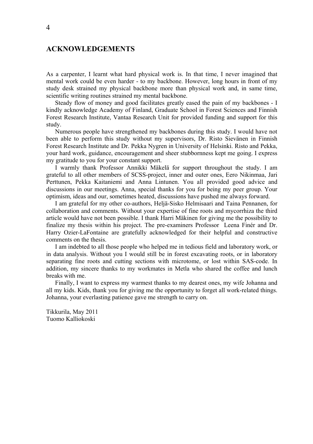# <span id="page-3-0"></span>**ACKNOWLEDGEMENTS**

As a carpenter, I learnt what hard physical work is. In that time, I never imagined that mental work could be even harder - to my backbone. However, long hours in front of my study desk strained my physical backbone more than physical work and, in same time, scientific writing routines strained my mental backbone.

Steady flow of money and good facilitates greatly eased the pain of my backbones - I kindly acknowledge Academy of Finland, Graduate School in Forest Sciences and Finnish Forest Research Institute, Vantaa Research Unit for provided funding and support for this study.

Numerous people have strengthened my backbones during this study. I would have not been able to perform this study without my supervisors, Dr. Risto Sievänen in Finnish Forest Research Institute and Dr. Pekka Nygren in University of Helsinki. Risto and Pekka, your hard work, guidance, encouragement and sheer stubbornness kept me going. I express my gratitude to you for your constant support.

I warmly thank Professor Annikki Mäkelä for support throughout the study. I am grateful to all other members of SCSS-project, inner and outer ones, Eero Nikinmaa, Jari Perttunen, Pekka Kaitaniemi and Anna Lintunen. You all provided good advice and discussions in our meetings. Anna, special thanks for you for being my peer group. Your optimism, ideas and our, sometimes heated, discussions have pushed me always forward.

I am grateful for my other co-authors, Heljä-Sisko Helmisaari and Taina Pennanen, for collaboration and comments. Without your expertise of fine roots and mycorrhiza the third article would have not been possible. I thank Harri Mäkinen for giving me the possibility to finalize my thesis within his project. The pre-examiners Professor Leena Finér and Dr. Harry Ozier-LaFontaine are gratefully acknowledged for their helpful and constructive comments on the thesis.

I am indebted to all those people who helped me in tedious field and laboratory work, or in data analysis. Without you I would still be in forest excavating roots, or in laboratory separating fine roots and cutting sections with microtome, or lost within SAS-code. In addition, my sincere thanks to my workmates in Metla who shared the coffee and lunch breaks with me.

Finally, I want to express my warmest thanks to my dearest ones, my wife Johanna and all my kids. Kids, thank you for giving me the opportunity to forget all work-related things. Johanna, your everlasting patience gave me strength to carry on.

Tikkurila, May 2011 Tuomo Kalliokoski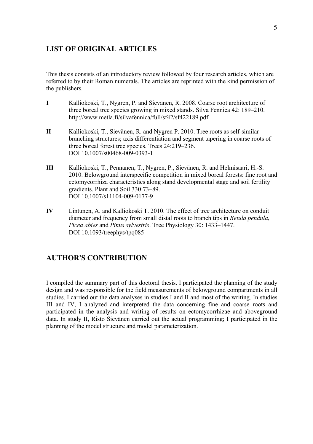# <span id="page-4-0"></span>**LIST OF ORIGINAL ARTICLES**

This thesis consists of an introductory review followed by four research articles, which are referred to by their Roman numerals. The articles are reprinted with the kind permission of the publishers.

- **I** Kalliokoski, T., Nygren, P. and Sievänen, R. 2008. Coarse root architecture of three boreal tree species growing in mixed stands. Silva Fennica 42: 189–210. http://www.metla.fi/silvafennica/full/sf42/sf422189.pdf
- **II** Kalliokoski, T., Sievänen, R. and Nygren P. 2010. Tree roots as self-similar branching structures; axis differentiation and segment tapering in coarse roots of three boreal forest tree species. Trees 24:219–236. DOI 10.1007/s00468-009-0393-1
- **III** Kalliokoski, T., Pennanen, T., Nygren, P., Sievänen, R. and Helmisaari, H.-S. 2010. Belowground interspecific competition in mixed boreal forests: fine root and ectomycorrhiza characteristics along stand developmental stage and soil fertility gradients. Plant and Soil 330:73–89. DOI 10.1007/s11104-009-0177-9
- **IV** Lintunen, A. and Kalliokoski T. 2010. The effect of tree architecture on conduit diameter and frequency from small distal roots to branch tips in *Betula pendula*, *Picea abies* and *Pinus sylvestris*. Tree Physiology 30: 1433–1447. DOI 10.1093/treephys/tpq085

# **AUTHOR'S CONTRIBUTION**

I compiled the summary part of this doctoral thesis. I participated the planning of the study design and was responsible for the field measurements of belowground compartments in all studies. I carried out the data analyses in studies I and II and most of the writing. In studies III and IV, I analyzed and interpreted the data concerning fine and coarse roots and participated in the analysis and writing of results on ectomycorrhizae and aboveground data. In study II, Risto Sievänen carried out the actual programming; I participated in the planning of the model structure and model parameterization.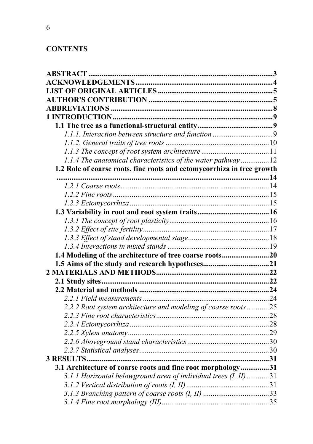# **CONTENTS**

| 1.1.4 The anatomical characteristics of the water pathway12            |    |
|------------------------------------------------------------------------|----|
| 1.2 Role of coarse roots, fine roots and ectomycorrhiza in tree growth |    |
|                                                                        |    |
|                                                                        |    |
|                                                                        |    |
|                                                                        |    |
|                                                                        |    |
|                                                                        |    |
|                                                                        |    |
|                                                                        |    |
|                                                                        |    |
| 1.4 Modeling of the architecture of tree coarse roots20                |    |
|                                                                        |    |
|                                                                        |    |
|                                                                        |    |
|                                                                        |    |
|                                                                        |    |
| 2.2.2 Root system architecture and modeling of coarse roots25          |    |
|                                                                        |    |
|                                                                        |    |
|                                                                        |    |
|                                                                        | 30 |
|                                                                        |    |
| 3.1 Architecture of coarse roots and fine root morphology31            |    |
| 3.1.1 Horizontal belowground area of individual trees (I, II)31        |    |
|                                                                        |    |
|                                                                        |    |
|                                                                        |    |
|                                                                        |    |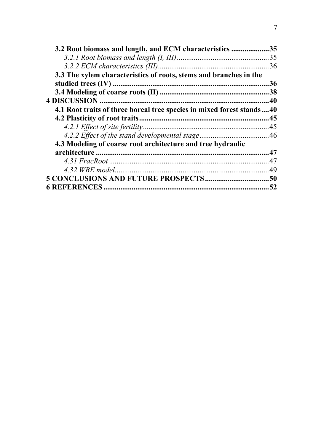| 3.2 Root biomass and length, and ECM characteristics                  | .35 |
|-----------------------------------------------------------------------|-----|
|                                                                       |     |
|                                                                       | .36 |
| 3.3 The xylem characteristics of roots, stems and branches in the     |     |
|                                                                       | .36 |
|                                                                       |     |
|                                                                       |     |
| 4.1 Root traits of three boreal tree species in mixed forest stands40 |     |
|                                                                       |     |
|                                                                       |     |
|                                                                       |     |
| 4.3 Modeling of coarse root architecture and tree hydraulic           |     |
|                                                                       |     |
|                                                                       |     |
|                                                                       |     |
|                                                                       |     |
|                                                                       | .52 |
|                                                                       |     |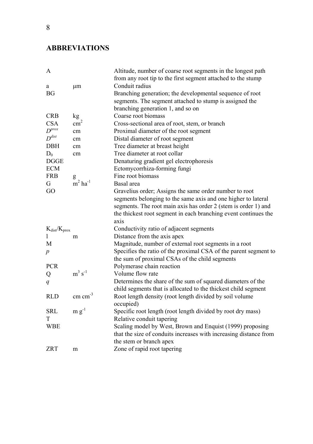# <span id="page-7-0"></span>**ABBREVIATIONS**

| A                   |                                  | Altitude, number of coarse root segments in the longest path      |
|---------------------|----------------------------------|-------------------------------------------------------------------|
|                     |                                  | from any root tip to the first segment attached to the stump      |
| a                   | μm                               | Conduit radius                                                    |
| BG                  |                                  | Branching generation; the developmental sequence of root          |
|                     |                                  | segments. The segment attached to stump is assigned the           |
|                     |                                  | branching generation 1, and so on                                 |
| <b>CRB</b>          | kg                               | Coarse root biomass                                               |
| <b>CSA</b>          | $\text{cm}^2$                    | Cross-sectional area of root, stem, or branch                     |
| $D^{prox}$          | cm                               | Proximal diameter of the root segment                             |
| $D^{dist}$          | cm                               | Distal diameter of root segment                                   |
| DBH                 | cm                               | Tree diameter at breast height                                    |
| $D_0$               | cm                               | Tree diameter at root collar                                      |
| <b>DGGE</b>         |                                  | Denaturing gradient gel electrophoresis                           |
| <b>ECM</b>          |                                  | Ectomycorrhiza-forming fungi                                      |
| <b>FRB</b>          |                                  | Fine root biomass                                                 |
| G                   | $\frac{g}{m^2}$ ha <sup>-1</sup> | Basal area                                                        |
| GO                  |                                  | Gravelius order; Assigns the same order number to root            |
|                     |                                  | segments belonging to the same axis and one higher to lateral     |
|                     |                                  | segments. The root main axis has order 2 (stem is order 1) and    |
|                     |                                  | the thickest root segment in each branching event continues the   |
|                     |                                  | axis                                                              |
| $K_{dist}/K_{prox}$ |                                  | Conductivity ratio of adjacent segments                           |
| 1                   | m                                | Distance from the axis apex                                       |
| M                   |                                  | Magnitude, number of external root segments in a root             |
| $\boldsymbol{p}$    |                                  | Specifies the ratio of the proximal CSA of the parent segment to  |
|                     |                                  | the sum of proximal CSAs of the child segments                    |
| <b>PCR</b>          |                                  | Polymerase chain reaction                                         |
| Q                   | $m^3$ s <sup>-1</sup>            | Volume flow rate                                                  |
| q                   |                                  | Determines the share of the sum of squared diameters of the       |
|                     |                                  | child segments that is allocated to the thickest child segment    |
| <b>RLD</b>          | $cm \text{ cm}^{-3}$             | Root length density (root length divided by soil volume           |
|                     |                                  | occupied)                                                         |
| <b>SRL</b>          | $m g^{-1}$                       | Specific root length (root length divided by root dry mass)       |
| T                   |                                  | Relative conduit tapering                                         |
| WBE                 |                                  | Scaling model by West, Brown and Enquist (1999) proposing         |
|                     |                                  | that the size of conduits increases with increasing distance from |
|                     |                                  | the stem or branch apex                                           |
| <b>ZRT</b>          | m                                | Zone of rapid root tapering                                       |
|                     |                                  |                                                                   |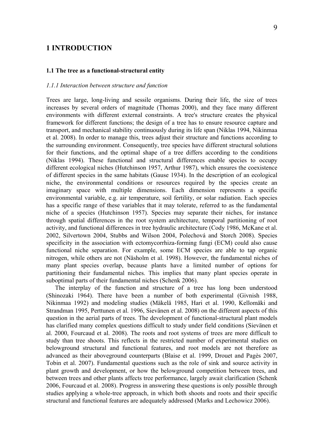# <span id="page-8-0"></span>**1 INTRODUCTION**

### **1.1 The tree as a functional-structural entity**

### *1.1.1 Interaction between structure and function*

Trees are large, long-living and sessile organisms. During their life, the size of trees increases by several orders of magnitude (Thomas 2000), and they face many different environments with different external constraints. A tree's structure creates the physical framework for different functions; the design of a tree has to ensure resource capture and transport, and mechanical stability continuously during its life span (Niklas 1994, Nikinmaa et al. 2008). In order to manage this, trees adjust their structure and functions according to the surrounding environment. Consequently, tree species have different structural solutions for their functions, and the optimal shape of a tree differs according to the conditions (Niklas 1994). These functional and structural differences enable species to occupy different ecological niches (Hutchinson 1957, Arthur 1987), which ensures the coexistence of different species in the same habitats (Gause 1934). In the description of an ecological niche, the environmental conditions or resources required by the species create an imaginary space with multiple dimensions. Each dimension represents a specific environmental variable, e.g. air temperature, soil fertility, or solar radiation. Each species has a specific range of these variables that it may tolerate, referred to as the fundamental niche of a species (Hutchinson 1957). Species may separate their niches, for instance through spatial differences in the root system architecture, temporal partitioning of root activity, and functional differences in tree hydraulic architecture (Cody 1986, McKane et al. 2002, Silvertown 2004, Stubbs and Wilson 2004, Polechová and Storch 2008). Species specificity in the association with ectomycorrhiza-forming fungi (ECM) could also cause functional niche separation. For example, some ECM species are able to tap organic nitrogen, while others are not (Näsholm et al. 1998). However, the fundamental niches of many plant species overlap, because plants have a limited number of options for partitioning their fundamental niches. This implies that many plant species operate in suboptimal parts of their fundamental niches (Schenk 2006).

The interplay of the function and structure of a tree has long been understood (Shinozaki 1964). There have been a number of both experimental (Givnish 1988, Nikinmaa 1992) and modeling studies (Mäkelä 1985, Hari et al. 1990, Kellomäki and Strandman 1995, Perttunen et al. 1996, Sievänen et al. 2008) on the different aspects of this question in the aerial parts of trees. The development of functional-structural plant models has clarified many complex questions difficult to study under field conditions (Sievänen et al. 2000, Fourcaud et al. 2008). The roots and root systems of trees are more difficult to study than tree shoots. This reflects in the restricted number of experimental studies on belowground structural and functional features, and root models are not therefore as advanced as their aboveground counterparts (Blaise et al. 1999, Drouet and Pagès 2007, Tobin et al. 2007). Fundamental questions such as the role of sink and source activity in plant growth and development, or how the belowground competition between trees, and between trees and other plants affects tree performance, largely await clarification (Schenk 2006, Fourcaud et al. 2008). Progress in answering these questions is only possible through studies applying a whole-tree approach, in which both shoots and roots and their specific structural and functional features are adequately addressed (Marks and Lechowicz 2006).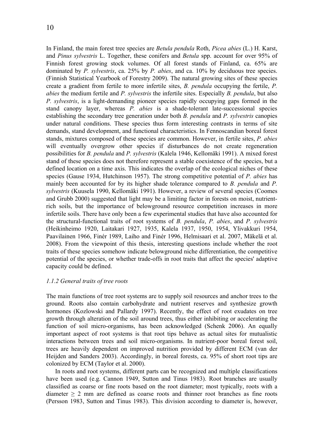<span id="page-9-0"></span>In Finland, the main forest tree species are *Betula pendula* Roth, *Picea abies* (L.) H. Karst, and *Pinus sylvestris* L. Together, these conifers and *Betula* spp. account for over 95% of Finnish forest growing stock volumes. Of all forest stands of Finland, ca. 65% are dominated by *P. sylvestris*, ca. 25% by *P. abies*, and ca. 10% by deciduous tree species. (Finnish Statistical Yearbook of Forestry 2009). The natural growing sites of these species create a gradient from fertile to more infertile sites, *B. pendula* occupying the fertile, *P. abies* the medium fertile and *P. sylvestris* the infertile sites. Especially *B. pendula*, but also *P. sylvestris*, is a light-demanding pioneer species rapidly occupying gaps formed in the stand canopy layer, whereas *P. abies* is a shade-tolerant late-successional species establishing the secondary tree generation under both *B. pendula* and *P. sylvestris* canopies under natural conditions. These species thus form interesting contrasts in terms of site demands, stand development, and functional characteristics. In Fennoscandian boreal forest stands, mixtures composed of these species are common. However, in fertile sites, *P. abies* will eventually overgrow other species if disturbances do not create regeneration possibilities for *B. pendula* and *P. sylvestris* (Kalela 1946, Kellomäki 1991). A mixed forest stand of these species does not therefore represent a stable coexistence of the species, but a defined location on a time axis. This indicates the overlap of the ecological niches of these species (Gause 1934, Hutchinson 1957). The strong competitive potential of *P. abies* has mainly been accounted for by its higher shade tolerance compared to *B. pendula* and *P. sylvestris* (Kuusela 1990, Kellomäki 1991). However, a review of several species (Coomes and Grubb 2000) suggested that light may be a limiting factor in forests on moist, nutrientrich soils, but the importance of belowground resource competition increases in more infertile soils. There have only been a few experimental studies that have also accounted for the structural-functional traits of root systems of *B. pendula*, *P. abies*, and *P. sylvestris* (Heikinheimo 1920, Laitakari 1927, 1935, Kalela 1937, 1950, 1954, Ylivakkuri 1954, Paavilainen 1966, Finér 1989, Laiho and Finér 1996, Helmisaari et al. 2007, Mäkelä et al. 2008). From the viewpoint of this thesis, interesting questions include whether the root traits of these species somehow indicate belowground niche differentiation, the competitive potential of the species, or whether trade-offs in root traits that affect the species' adaptive capacity could be defined.

# *1.1.2 General traits of tree roots*

The main functions of tree root systems are to supply soil resources and anchor trees to the ground. Roots also contain carbohydrate and nutrient reserves and synthesize growth hormones (Kozlowski and Pallardy 1997). Recently, the effect of root exudates on tree growth through alteration of the soil around trees, thus either inhibiting or accelerating the function of soil micro-organisms, has been acknowledged (Schenk 2006). An equally important aspect of root systems is that root tips behave as actual sites for mutualistic interactions between trees and soil micro-organisms. In nutrient-poor boreal forest soil, trees are heavily dependent on improved nutrition provided by different ECM (van der Heijden and Sanders 2003). Accordingly, in boreal forests, ca. 95% of short root tips are colonized by ECM (Taylor et al. 2000).

In roots and root systems, different parts can be recognized and multiple classifications have been used (e.g. Cannon 1949, Sutton and Tinus 1983). Root branches are usually classified as coarse or fine roots based on the root diameter; most typically, roots with a diameter  $\geq 2$  mm are defined as coarse roots and thinner root branches as fine roots (Persson 1983, Sutton and Tinus 1983). This division according to diameter is, however,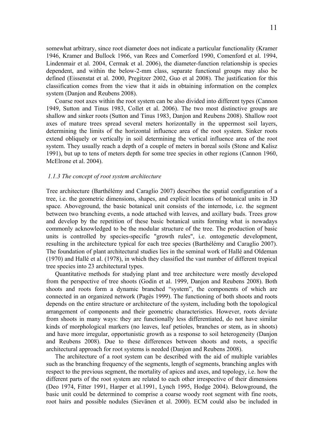<span id="page-10-0"></span>somewhat arbitrary, since root diameter does not indicate a particular functionality (Kramer 1946, Kramer and Bullock 1966, van Rees and Comerford 1990, Comenford et al. 1994, Lindenmair et al. 2004, Cermak et al. 2006), the diameter-function relationship is species dependent, and within the below-2-mm class, separate functional groups may also be defined (Eissenstat et al. 2000, Pregitzer 2002, Guo et al 2008). The justification for this classification comes from the view that it aids in obtaining information on the complex system (Danion and Reubens 2008).

Coarse root axes within the root system can be also divided into different types (Cannon 1949, Sutton and Tinus 1983, Collet et al. 2006). The two most distinctive groups are shallow and sinker roots (Sutton and Tinus 1983, Danjon and Reubens 2008). Shallow root axes of mature trees spread several meters horizontally in the uppermost soil layers, determining the limits of the horizontal influence area of the root system. Sinker roots extend obliquely or vertically in soil determining the vertical influence area of the root system. They usually reach a depth of a couple of meters in boreal soils (Stone and Kalisz 1991), but up to tens of meters depth for some tree species in other regions (Cannon 1960, McElrone et al. 2004).

# *1.1.3 The concept of root system architecture*

Tree architecture (Barthélémy and Caraglio 2007) describes the spatial configuration of a tree, i.e. the geometric dimensions, shapes, and explicit locations of botanical units in 3D space. Aboveground, the basic botanical unit consists of the internode, i.e. the segment between two branching events, a node attached with leaves, and axillary buds. Trees grow and develop by the repetition of these basic botanical units forming what is nowadays commonly acknowledged to be the modular structure of the tree. The production of basic units is controlled by species-specific "growth rules", i.e. ontogenetic development, resulting in the architecture typical for each tree species (Barthélémy and Caraglio 2007). The foundation of plant architectural studies lies in the seminal work of Hallé and Oldeman (1970) and Hallé et al. (1978), in which they classified the vast number of different tropical tree species into 23 architectural types.

Quantitative methods for studying plant and tree architecture were mostly developed from the perspective of tree shoots (Godin et al. 1999, Danjon and Reubens 2008). Both shoots and roots form a dynamic branched "system", the components of which are connected in an organized network (Pagès 1999). The functioning of both shoots and roots depends on the entire structure or architecture of the system, including both the topological arrangement of components and their geometric characteristics. However, roots deviate from shoots in many ways: they are functionally less differentiated, do not have similar kinds of morphological markers (no leaves, leaf petioles, branches or stem, as in shoots) and have more irregular, opportunistic growth as a response to soil heterogeneity (Danjon and Reubens 2008). Due to these differences between shoots and roots, a specific architectural approach for root systems is needed (Danjon and Reubens 2008).

The architecture of a root system can be described with the aid of multiple variables such as the branching frequency of the segments, length of segments, branching angles with respect to the previous segment, the mortality of apices and axes, and topology, i.e. how the different parts of the root system are related to each other irrespective of their dimensions (Deo 1974, Fitter 1991, Harper et al.1991, Lynch 1995, Hodge 2004). Belowground, the basic unit could be determined to comprise a coarse woody root segment with fine roots, root hairs and possible nodules (Sievänen et al. 2000). ECM could also be included in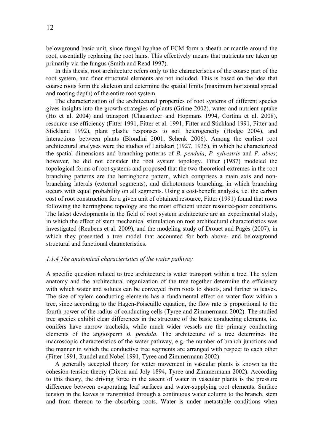<span id="page-11-0"></span>belowground basic unit, since fungal hyphae of ECM form a sheath or mantle around the root, essentially replacing the root hairs. This effectively means that nutrients are taken up primarily via the fungus (Smith and Read 1997).

In this thesis, root architecture refers only to the characteristics of the coarse part of the root system, and finer structural elements are not included. This is based on the idea that coarse roots form the skeleton and determine the spatial limits (maximum horizontal spread and rooting depth) of the entire root system.

The characterization of the architectural properties of root systems of different species gives insights into the growth strategies of plants (Grime 2002), water and nutrient uptake (Ho et al. 2004) and transport (Clausnitzer and Hopmans 1994, Cortina et al. 2008), resource-use efficiency (Fitter 1991, Fitter et al. 1991, Fitter and Stickland 1991, Fitter and Stickland 1992), plant plastic responses to soil heterogeneity (Hodge 2004), and interactions between plants (Biondini 2001, Schenk 2006). Among the earliest root architectural analyses were the studies of Laitakari (1927, 1935), in which he characterized the spatial dimensions and branching patterns of *B. pendula*, *P. sylvestris* and *P. abies*; however, he did not consider the root system topology. Fitter (1987) modeled the topological forms of root systems and proposed that the two theoretical extremes in the root branching patterns are the herringbone pattern, which comprises a main axis and nonbranching laterals (external segments), and dichotomous branching, in which branching occurs with equal probability on all segments. Using a cost-benefit analysis, i.e. the carbon cost of root construction for a given unit of obtained resource, Fitter (1991) found that roots following the herringbone topology are the most efficient under resource-poor conditions. The latest developments in the field of root system architecture are an experimental study, in which the effect of stem mechanical stimulation on root architectural characteristics was investigated (Reubens et al. 2009), and the modeling study of Drouet and Pagés (2007), in which they presented a tree model that accounted for both above- and belowground structural and functional characteristics.

# *1.1.4 The anatomical characteristics of the water pathway*

A specific question related to tree architecture is water transport within a tree. The xylem anatomy and the architectural organization of the tree together determine the efficiency with which water and solutes can be conveyed from roots to shoots, and further to leaves. The size of xylem conducting elements has a fundamental effect on water flow within a tree, since according to the Hagen-Poiseuille equation, the flow rate is proportional to the fourth power of the radius of conducting cells (Tyree and Zimmermann 2002). The studied tree species exhibit clear differences in the structure of the basic conducting elements, i.e. conifers have narrow tracheids, while much wider vessels are the primary conducting elements of the angiosperm *B. pendula*. The architecture of a tree determines the macroscopic characteristics of the water pathway, e.g. the number of branch junctions and the manner in which the conductive tree segments are arranged with respect to each other (Fitter 1991, Rundel and Nobel 1991, Tyree and Zimmermann 2002).

A generally accepted theory for water movement in vascular plants is known as the cohesion-tension theory (Dixon and Joly 1894, Tyree and Zimmermann 2002). According to this theory, the driving force in the ascent of water in vascular plants is the pressure difference between evaporating leaf surfaces and water-supplying root elements. Surface tension in the leaves is transmitted through a continuous water column to the branch, stem and from thereon to the absorbing roots. Water is under metastable conditions when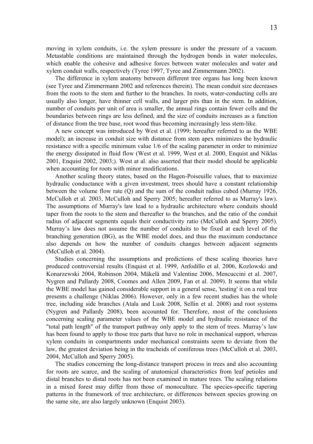moving in xylem conduits, i.e. the xylem pressure is under the pressure of a vacuum. Metastable conditions are maintained through the hydrogen bonds in water molecules, which enable the cohesive and adhesive forces between water molecules and water and xylem conduit walls, respectively (Tyree 1997, Tyree and Zimmermann 2002).

The difference in xylem anatomy between different tree organs has long been known (see Tyree and Zimmermann 2002 and references therein). The mean conduit size decreases from the roots to the stem and further to the branches. In roots, water-conducting cells are usually also longer, have thinner cell walls, and larger pits than in the stem. In addition, number of conduits per unit of area is smaller, the annual rings contain fewer cells and the boundaries between rings are less defined, and the size of conduits increases as a function of distance from the tree base, root wood thus becoming increasingly less stem-like.

A new concept was introduced by West et al. (1999; hereafter referred to as the WBE model); an increase in conduit size with distance from stem apex minimizes the hydraulic resistance with a specific minimum value 1/6 of the scaling parameter in order to minimize the energy dissipated in fluid flow (West et al. 1999, West et al. 2000, Enquist and Niklas 2001, Enquist 2002, 2003;). West at al. also asserted that their model should be applicable when accounting for roots with minor modifications.

Another scaling theory states, based on the Hagen-Poiseuille values, that to maximize hydraulic conductance with a given investment, trees should have a constant relationship between the volume flow rate (Q) and the sum of the conduit radius cubed (Murray 1926, McCulloh et al. 2003, McCulloh and Sperry 2005; hereafter referred to as Murray's law). The assumptions of Murray's law lead to a hydraulic architecture where conduits should taper from the roots to the stem and thereafter to the branches, and the ratio of the conduit radius of adjacent segments equals their conductivity ratio (McCulloh and Sperry 2005). Murray's law does not assume the number of conduits to be fixed at each level of the branching generation (BG), as the WBE model does, and thus the maximum conductance also depends on how the number of conduits changes between adjacent segments (McCulloh et al. 2004).

Studies concerning the assumptions and predictions of these scaling theories have produced controversial results (Enquist et al. 1999, Anfodillo et al. 2006, Kozlowski and Konarzewski 2004, Robinson 2004, Mäkelä and Valentine 2006, Mencuccini et al. 2007, Nygren and Pallardy 2008, Coomes and Allen 2009, Fan et al. 2009). It seems that while the WBE model has gained considerable support in a general sense, 'testing' it on a real tree presents a challenge (Niklas 2006). However, only in a few recent studies has the whole tree, including side branches (Atala and Lusk 2008, Sellin et al. 2008) and root systems (Nygren and Pallardy 2008), been accounted for. Therefore, most of the conclusions concerning scaling parameter values of the WBE model and hydraulic resistance of the "total path length" of the transport pathway only apply to the stem of trees. Murray's law has been found to apply to those tree parts that have no role in mechanical support, whereas xylem conduits in compartments under mechanical constraints seem to deviate from the law, the greatest deviation being in the tracheids of coniferous trees (McCulloh et al. 2003, 2004, McCulloh and Sperry 2005).

The studies concerning the long-distance transport process in trees and also accounting for roots are scarce, and the scaling of anatomical characteristics from leaf petioles and distal branches to distal roots has not been examined in mature trees. The scaling relations in a mixed forest may differ from those of monoculture. The species-specific tapering patterns in the framework of tree architecture, or differences between species growing on the same site, are also largely unknown (Enquist 2003).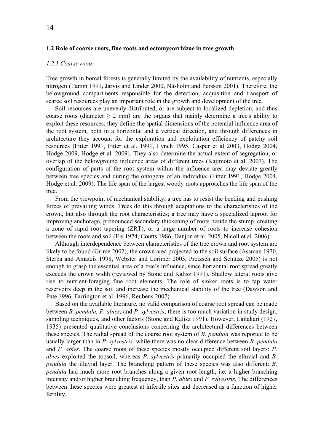# <span id="page-13-0"></span>**1.2 Role of coarse roots, fine roots and ectomycorrhizae in tree growth**

#### *1.2.1 Coarse roots*

Tree growth in boreal forests is generally limited by the availability of nutrients, especially nitrogen (Tamm 1991, Jarvis and Linder 2000, Näsholm and Persson 2001). Therefore, the belowground compartments responsible for the detection, acquisition and transport of scarce soil resources play an important role in the growth and development of the tree.

Soil resources are unevenly distributed, or are subject to localized depletion, and thus coarse roots (diameter  $\geq 2$  mm) are the organs that mainly determine a tree's ability to exploit these resources; they define the spatial dimensions of the potential influence area of the root system, both in a horizontal and a vertical direction, and through differences in architecture they account for the exploration and exploitation efficiency of patchy soil resources (Fitter 1991, Fitter et al. 1991, Lynch 1995, Casper et al 2003, Hodge 2004, Hodge 2009, Hodge et al. 2009). They also determine the actual extent of segregation, or overlap of the belowground influence areas of different trees (Kajimoto et al. 2007). The configuration of parts of the root system within the influence area may deviate greatly between tree species and during the ontogeny of an individual (Fitter 1991, Hodge 2004, Hodge et al. 2009). The life span of the largest woody roots approaches the life span of the tree.

From the viewpoint of mechanical stability, a tree has to resist the bending and pushing forces of prevailing winds. Trees do this through adaptations to the characteristics of the crown, but also through the root characteristics; a tree may have a specialized taproot for improving anchorage, pronounced secondary thickening of roots beside the stump, creating a zone of rapid root tapering (ZRT), or a large number of roots to increase cohesion between the roots and soil (Eis 1974, Coutts 1986, Danjon et al. 2005, Nicoll et al. 2006).

Although interdependence between characteristics of the tree crown and root system are likely to be found (Grime 2002), the crown area projected to the soil surface (Assman 1970, Sterba and Amateis 1998, Webster and Lorimer 2003, Pretzsch and Schütze 2005) is not enough to grasp the essential area of a tree's influence, since horizontal root spread greatly exceeds the crown width (reviewed by Stone and Kalisz 1991). Shallow lateral roots give rise to nutrient-foraging fine root elements. The role of sinker roots is to tap water reservoirs deep in the soil and increase the mechanical stability of the tree (Dawson and Pate 1996, Farrington et al. 1996, Reubens 2007).

Based on the available literature, no valid comparison of coarse root spread can be made between *B. pendula, P. abies,* and *P. sylvestris*; there is too much variation in study design, sampling techniques, and other factors (Stone and Kalisz 1991). However, Laitakari (1927, 1935) presented qualitative conclusions concerning the architectural differences between these species. The radial spread of the coarse root system of *B. pendula* was reported to be usually larger than in *P. sylvestris,* while there was no clear difference between *B. pendula* and *P. abies*. The coarse roots of these species mostly occupied different soil layers: *P. abies* exploited the topsoil, whereas *P. sylvestris* primarily occupied the elluvial and *B. pendula* the illuvial layer. The branching pattern of these species was also different: *B. pendula* had much more root branches along a given root length, i.e. a higher branching intensity and/or higher branching frequency, than *P. abies* and *P. sylvestris*. The differences between these species were greatest at infertile sites and decreased as a function of higher fertility.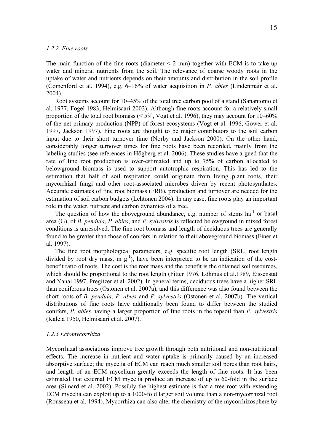## <span id="page-14-0"></span>*1.2.2. Fine roots*

The main function of the fine roots (diameter  $\leq 2$  mm) together with ECM is to take up water and mineral nutrients from the soil. The relevance of coarse woody roots in the uptake of water and nutrients depends on their amounts and distribution in the soil profile (Comenford et al. 1994), e.g. 6–16% of water acquisition in *P. abies* (Lindenmair et al. 2004).

Root systems account for 10–45% of the total tree carbon pool of a stand (Sanantonio et al. 1977, Fogel 1983, Helmisaari 2002). Although fine roots account for a relatively small proportion of the total root biomass ( $\leq 5\%$ , Vogt et al. 1996), they may account for 10–60% of the net primary production (NPP) of forest ecosystems (Vogt et al. 1996, Gower et al. 1997, Jackson 1997). Fine roots are thought to be major contributors to the soil carbon input due to their short turnover time (Norby and Jackson 2000). On the other hand, considerably longer turnover times for fine roots have been recorded, mainly from the labeling studies (see references in Högberg et al. 2006). These studies have argued that the rate of fine root production is over-estimated and up to 75% of carbon allocated to belowground biomass is used to support autotrophic respiration. This has led to the estimation that half of soil respiration could originate from living plant roots, their mycorrhizal fungi and other root-associated microbes driven by recent photosynthates. Accurate estimates of fine root biomass (FRB), production and turnover are needed for the estimation of soil carbon budgets (Lehtonen 2004). In any case, fine roots play an important role in the water, nutrient and carbon dynamics of a tree.

The question of how the aboveground abundance, e.g. number of stems  $ha^{-1}$  or basal area (G), of *B. pendula*, *P. abies*, and *P. sylvestris* is reflected belowground in mixed forest conditions is unresolved. The fine root biomass and length of deciduous trees are generally found to be greater than those of conifers in relation to their aboveground biomass (Finer et al. 1997).

The fine root morphological parameters, e.g. specific root length (SRL, root length divided by root dry mass, m  $g^{-1}$ ), have been interpreted to be an indication of the costbenefit ratio of roots. The cost is the root mass and the benefit is the obtained soil resources, which should be proportional to the root length (Fitter 1976, Lõhmus et al.1989, Eissenstat and Yanai 1997, Pregitzer et al. 2002). In general terms, deciduous trees have a higher SRL than coniferous trees (Ostonen et al. 2007a), and this difference was also found between the short roots of *B. pendula*, *P. abies* and *P. sylvestris* (Ostonen et al. 2007b). The vertical distributions of fine roots have additionally been found to differ between the studied conifers, *P. abies* having a larger proportion of fine roots in the topsoil than *P. sylvestris* (Kalela 1950, Helmisaari et al. 2007).

#### *1.2.3 Ectomycorrhiza*

Mycorrhizal associations improve tree growth through both nutritional and non-nutritional effects. The increase in nutrient and water uptake is primarily caused by an increased absorptive surface; the mycelia of ECM can reach much smaller soil pores than root hairs, and length of an ECM mycelium greatly exceeds the length of fine roots. It has been estimated that external ECM mycelia produce an increase of up to 60-fold in the surface area (Simard et al. 2002). Possibly the highest estimate is that a tree root with extending ECM mycelia can exploit up to a 1000-fold larger soil volume than a non-mycorrhizal root (Rousseau et al. 1994). Mycorrhiza can also alter the chemistry of the mycorrhizosphere by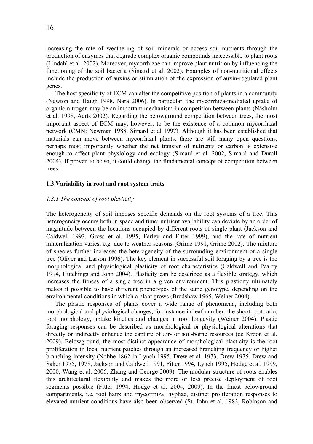<span id="page-15-0"></span>increasing the rate of weathering of soil minerals or access soil nutrients through the production of enzymes that degrade complex organic compounds inaccessible to plant roots (Lindahl et al. 2002). Moreover, mycorrhizae can improve plant nutrition by influencing the functioning of the soil bacteria (Simard et al. 2002). Examples of non-nutritional effects include the production of auxins or stimulation of the expression of auxin-regulated plant genes.

The host specificity of ECM can alter the competitive position of plants in a community (Newton and Haigh 1998, Nara 2006). In particular, the mycorrhiza-mediated uptake of organic nitrogen may be an important mechanism in competition between plants (Näsholm et al. 1998, Aerts 2002). Regarding the belowground competition between trees, the most important aspect of ECM may, however, to be the existence of a common mycorrhizal network (CMN; Newman 1988, Simard et al 1997). Although it has been established that materials can move between mycorrhizal plants, there are still many open questions, perhaps most importantly whether the net transfer of nutrients or carbon is extensive enough to affect plant physiology and ecology (Simard et al. 2002, Simard and Durall 2004). If proven to be so, it could change the fundamental concept of competition between trees.

# **1.3 Variability in root and root system traits**

# *1.3.1 The concept of root plasticity*

The heterogeneity of soil imposes specific demands on the root systems of a tree. This heterogeneity occurs both in space and time; nutrient availability can deviate by an order of magnitude between the locations occupied by different roots of single plant (Jackson and Caldwell 1993, Gross et al. 1995, Farley and Fitter 1999), and the rate of nutrient mineralization varies, e.g. due to weather seasons (Grime 1991, Grime 2002). The mixture of species further increases the heterogeneity of the surrounding environment of a single tree (Oliver and Larson 1996). The key element in successful soil foraging by a tree is the morphological and physiological plasticity of root characteristics (Caldwell and Pearcy 1994, Hutchings and John 2004). Plasticity can be described as a flexible strategy, which increases the fitness of a single tree in a given environment. This plasticity ultimately makes it possible to have different phenotypes of the same genotype, depending on the environmental conditions in which a plant grows (Bradshaw 1965, Weiner 2004).

The plastic responses of plants cover a wide range of phenomena, including both morphological and physiological changes, for instance in leaf number, the shoot-root ratio, root morphology, uptake kinetics and changes in root longevity (Weiner 2004). Plastic foraging responses can be described as morphological or physiological alterations that directly or indirectly enhance the capture of air- or soil-borne resources (de Kroon et al. 2009). Belowground, the most distinct appearance of morphological plasticity is the root proliferation in local nutrient patches through an increased branching frequency or higher branching intensity (Nobbe 1862 in Lynch 1995, Drew et al. 1973, Drew 1975, Drew and Saker 1975, 1978, Jackson and Caldwell 1991, Fitter 1994, Lynch 1995, Hodge et al. 1999, 2000, Wang et al. 2006, Zhang and George 2009). The modular structure of roots enables this architectural flexibility and makes the more or less precise deployment of root segments possible (Fitter 1994, Hodge et al. 2004, 2009). In the finest belowground compartments, i.e. root hairs and mycorrhizal hyphae, distinct proliferation responses to elevated nutrient conditions have also been observed (St. John et al. 1983, Robinson and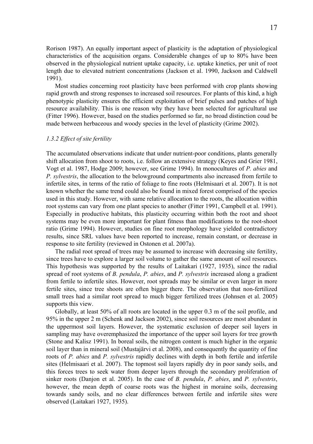<span id="page-16-0"></span>Rorison 1987). An equally important aspect of plasticity is the adaptation of physiological characteristics of the acquisition organs. Considerable changes of up to 80% have been observed in the physiological nutrient uptake capacity, i.e. uptake kinetics, per unit of root length due to elevated nutrient concentrations (Jackson et al. 1990, Jackson and Caldwell 1991).

Most studies concerning root plasticity have been performed with crop plants showing rapid growth and strong responses to increased soil resources. For plants of this kind, a high phenotypic plasticity ensures the efficient exploitation of brief pulses and patches of high resource availability. This is one reason why they have been selected for agricultural use (Fitter 1996). However, based on the studies performed so far, no broad distinction coud be made between herbaceous and woody species in the level of plasticity (Grime 2002).

# *1.3.2 Effect of site fertility*

The accumulated observations indicate that under nutrient-poor conditions, plants generally shift allocation from shoot to roots, i.e. follow an extensive strategy (Keyes and Grier 1981, Vogt et al. 1987, Hodge 2009; however, see Grime 1994). In monocultures of *P. abies* and *P. sylvestris*, the allocation to the belowground compartments also increased from fertile to infertile sites, in terms of the ratio of foliage to fine roots (Helmisaari et al. 2007). It is not known whether the same trend could also be found in mixed forest comprised of the species used in this study. However, with same relative allocation to the roots, the allocation within root systems can vary from one plant species to another (Fitter 1991, Campbell et al. 1991). Especially in productive habitats, this plasticity occurring within both the root and shoot systems may be even more important for plant fitness than modifications to the root-shoot ratio (Grime 1994). However, studies on fine root morphology have yielded contradictory results, since SRL values have been reported to increase, remain constant, or decrease in response to site fertility (reviewed in Ostonen et al. 2007a).

The radial root spread of trees may be assumed to increase with decreasing site fertility, since trees have to explore a larger soil volume to gather the same amount of soil resources. This hypothesis was supported by the results of Laitakari (1927, 1935), since the radial spread of root systems of *B. pendula*, *P. abies*, and *P. sylvestris* increased along a gradient from fertile to infertile sites. However, root spreads may be similar or even larger in more fertile sites, since tree shoots are often bigger there. The observation that non-fertilized small trees had a similar root spread to much bigger fertilized trees (Johnsen et al. 2005) supports this view.

Globally, at least 50% of all roots are located in the upper 0.3 m of the soil profile, and 95% in the upper 2 m (Schenk and Jackson 2002), since soil resources are most abundant in the uppermost soil layers. However, the systematic exclusion of deeper soil layers in sampling may have overemphasized the importance of the upper soil layers for tree growth (Stone and Kalisz 1991). In boreal soils, the nitrogen content is much higher in the organic soil layer than in mineral soil (Mustajärvi et al. 2008), and consequently the quantity of fine roots of *P. abies* and *P. sylvestris* rapidly declines with depth in both fertile and infertile sites (Helmisaari et al. 2007). The topmost soil layers rapidly dry in poor sandy soils, and this forces trees to seek water from deeper layers through the secondary proliferation of sinker roots (Danjon et al. 2005). In the case of *B. pendula*, *P. abies*, and *P. sylvestris*, however, the mean depth of coarse roots was the highest in moraine soils, decreasing towards sandy soils, and no clear differences between fertile and infertile sites were observed (Laitakari 1927, 1935).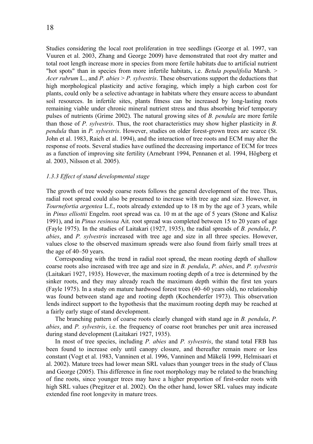<span id="page-17-0"></span>Studies considering the local root proliferation in tree seedlings (George et al. 1997, van Vuuren et al. 2003, Zhang and George 2009) have demonstrated that root dry matter and total root length increase more in species from more fertile habitats due to artificial nutrient "hot spots" than in species from more infertile habitats, i.e. *Betula populifolia* Marsh. > *Acer rubrum* L., and *P. abies* > *P. sylvestris*. These observations support the deductions that high morphological plasticity and active foraging, which imply a high carbon cost for plants, could only be a selective advantage in habitats where they ensure access to abundant soil resources. In infertile sites, plants fitness can be increased by long-lasting roots remaining viable under chronic mineral nutrient stress and thus absorbing brief temporary pulses of nutrients (Grime 2002). The natural growing sites of *B. pendula* are more fertile than those of *P. sylvestris*. Thus, the root characteristics may show higher plasticity in *B. pendula* than in *P. sylvestris*. However, studies on older forest-grown trees are scarce (St. John et al. 1983, Raich et al. 1994), and the interaction of tree roots and ECM may alter the response of roots. Several studies have outlined the decreasing importance of ECM for trees as a function of improving site fertility (Arnebrant 1994, Pennanen et al. 1994, Högberg et al. 2003, Nilsson et al. 2005).

# *1.3.3 Effect of stand developmental stage*

The growth of tree woody coarse roots follows the general development of the tree. Thus, radial root spread could also be presumed to increase with tree age and size. However, in *Tournefortia argentea* L.f., roots already extended up to 18 m by the age of 3 years, while in *Pinus elliottii* Engelm. root spread was ca. 10 m at the age of 5 years (Stone and Kalisz 1991), and in *Pinus resinosa* Ait. root spread was completed between 15 to 20 years of age (Fayle 1975). In the studies of Laitakari (1927, 1935), the radial spreads of *B. pendula*, *P. abies*, and *P. sylvestris* increased with tree age and size in all three species. However, values close to the observed maximum spreads were also found from fairly small trees at the age of 40–50 years.

Corresponding with the trend in radial root spread, the mean rooting depth of shallow coarse roots also increased with tree age and size in *B. pendula*, *P. abies*, and *P. sylvestris*  (Laitakari 1927, 1935). However, the maximum rooting depth of a tree is determined by the sinker roots, and they may already reach the maximum depth within the first ten years (Fayle 1975). In a study on mature hardwood forest trees (40–60 years old), no relationship was found between stand age and rooting depth (Kochenderfer 1973). This observation lends indirect support to the hypothesis that the maximum rooting depth may be reached at a fairly early stage of stand development.

The branching pattern of coarse roots clearly changed with stand age in *B. pendula*, *P. abies*, and *P. sylvestris*, i.e. the frequency of coarse root branches per unit area increased during stand development (Laitakari 1927, 1935).

In most of tree species, including *P. abies* and *P. sylvestris*, the stand total FRB has been found to increase only until canopy closure, and thereafter remain more or less constant (Vogt et al. 1983, Vanninen et al. 1996, Vanninen and Mäkelä 1999, Helmisaari et al. 2002). Mature trees had lower mean SRL values than younger trees in the study of Claus and George (2005). This difference in fine root morphology may be related to the branching of fine roots, since younger trees may have a higher proportion of first-order roots with high SRL values (Pregitzer et al. 2002). On the other hand, lower SRL values may indicate extended fine root longevity in mature trees.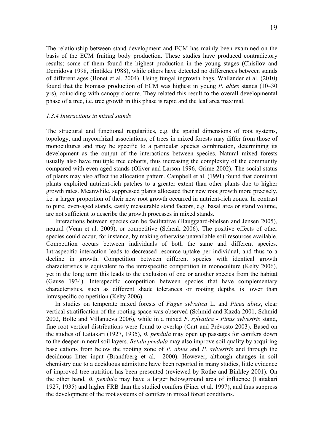<span id="page-18-0"></span>The relationship between stand development and ECM has mainly been examined on the basis of the ECM fruiting body production. These studies have produced contradictory results; some of them found the highest production in the young stages (Chisilov and Demidova 1998, Hintikka 1988), while others have detected no differences between stands of different ages (Bonet et al. 2004). Using fungal ingrowth bags, Wallander et al. (2010) found that the biomass production of ECM was highest in young *P. abies* stands (10–30 yrs), coinciding with canopy closure. They related this result to the overall developmental phase of a tree, i.e. tree growth in this phase is rapid and the leaf area maximal.

## *1.3.4 Interactions in mixed stands*

The structural and functional regularities, e.g. the spatial dimensions of root systems, topology, and mycorrhizal associations, of trees in mixed forests may differ from those of monocultures and may be specific to a particular species combination, determining its development as the output of the interactions between species. Natural mixed forests usually also have multiple tree cohorts, thus increasing the complexity of the community compared with even-aged stands (Oliver and Larson 1996, Grime 2002). The social status of plants may also affect the allocation pattern. Campbell et al. (1991) found that dominant plants exploited nutrient-rich patches to a greater extent than other plants due to higher growth rates. Meanwhile, suppressed plants allocated their new root growth more precisely, i.e. a larger proportion of their new root growth occurred in nutrient-rich zones. In contrast to pure, even-aged stands, easily measurable stand factors, e.g. basal area or stand volume, are not sufficient to describe the growth processes in mixed stands.

Interactions between species can be facilitative (Hauggaard-Nielsen and Jensen 2005), neutral (Venn et al. 2009), or competitive (Schenk 2006). The positive effects of other species could occur, for instance, by making otherwise unavailable soil resources available. Competition occurs between individuals of both the same and different species. Intraspecific interaction leads to decreased resource uptake per individual, and thus to a decline in growth. Competition between different species with identical growth characteristics is equivalent to the intraspecific competition in monoculture (Kelty 2006), yet in the long term this leads to the exclusion of one or another species from the habitat (Gause 1934). Interspecific competition between species that have complementary characteristics, such as different shade tolerances or rooting depths, is lower than intraspecific competition (Kelty 2006).

In studies on temperate mixed forests of *Fagus sylvatica* L. and *Picea abies*, clear vertical stratification of the rooting space was observed (Schmid and Kazda 2001, Schmid 2002, Bolte and Villanueva 2006), while in a mixed *F. sylvatica* - *Pinus sylvestris* stand, fine root vertical distributions were found to overlap (Curt and Prévosto 2003). Based on the studies of Laitakari (1927, 1935), *B. pendula* may open up passages for conifers down to the deeper mineral soil layers. *Betula pendula* may also improve soil quality by acquiring base cations from below the rooting zone of *P. abies* and *P. sylvestris* and through the deciduous litter input (Brandtberg et al. 2000). However, although changes in soil chemistry due to a deciduous admixture have been reported in many studies, little evidence of improved tree nutrition has been presented (reviewed by Rothe and Binkley 2001). On the other hand, *B. pendula* may have a larger belowground area of influence (Laitakari 1927, 1935) and higher FRB than the studied conifers (Finer et al. 1997), and thus suppress the development of the root systems of conifers in mixed forest conditions.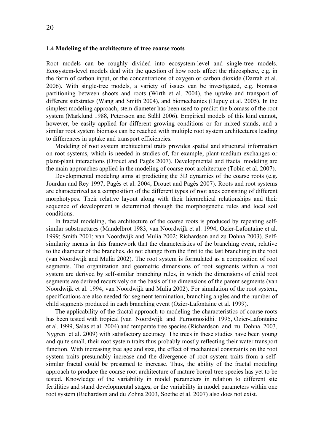<span id="page-19-0"></span>Root models can be roughly divided into ecosystem-level and single-tree models. Ecosystem-level models deal with the question of how roots affect the rhizosphere, e.g. in the form of carbon input, or the concentrations of oxygen or carbon dioxide (Darrah et al. 2006). With single-tree models, a variety of issues can be investigated, e.g. biomass partitioning between shoots and roots (Wirth et al. 2004), the uptake and transport of different substrates (Wang and Smith 2004), and biomechanics (Dupuy et al. 2005). In the simplest modeling approach, stem diameter has been used to predict the biomass of the root system (Marklund 1988, Petersson and Ståhl 2006). Empirical models of this kind cannot, however, be easily applied for different growing conditions or for mixed stands, and a similar root system biomass can be reached with multiple root system architectures leading to differences in uptake and transport efficiencies.

Modeling of root system architectural traits provides spatial and structural information on root systems, which is needed in studies of, for example, plant-medium exchanges or plant-plant interactions (Drouet and Pagès 2007). Developmental and fractal modeling are the main approaches applied in the modeling of coarse root architecture (Tobin et al. 2007).

Developmental modeling aims at predicting the 3D dynamics of the coarse roots (e.g. Jourdan and Rey 1997; Pagès et al. 2004, Drouet and Pagès 2007). Roots and root systems are characterized as a composition of the different types of root axes consisting of different morphotypes. Their relative layout along with their hierarchical relationships and their sequence of development is determined through the morphogenetic rules and local soil conditions.

In fractal modeling, the architecture of the coarse roots is produced by repeating selfsimilar substructures (Mandelbrot 1983, van Noordwijk et al. 1994; Ozier-Lafontaine et al. 1999; Smith 2001; van Noordwijk and Mulia 2002; Richardson and zu Dohna 2003). Selfsimilarity means in this framework that the characteristics of the branching event, relative to the diameter of the branches, do not change from the first to the last branching in the root (van Noordwijk and Mulia 2002). The root system is formulated as a composition of root segments. The organization and geometric dimensions of root segments within a root system are derived by self-similar branching rules, in which the dimensions of child root segments are derived recursively on the basis of the dimensions of the parent segments (van Noordwijk et al. 1994, van Noordwijk and Mulia 2002). For simulation of the root system, specifications are also needed for segment termination, branching angles and the number of child segments produced in each branching event (Ozier-Lafontaine et al. 1999).

The applicability of the fractal approach to modeling the characteristics of coarse roots has been tested with tropical (van Noordwijk and Purnomosidhi 1995, Ozier-Lafontaine et al. 1999, Salas et al. 2004) and temperate tree species (Richardson and zu Dohna 2003, Nygren et al. 2009) with satisfactory accuracy. The trees in these studies have been young and quite small, their root system traits thus probably mostly reflecting their water transport function. With increasing tree age and size, the effect of mechanical constraints on the root system traits presumably increase and the divergence of root system traits from a selfsimilar fractal could be presumed to increase. Thus, the ability of the fractal modeling approach to produce the coarse root architecture of mature boreal tree species has yet to be tested. Knowledge of the variability in model parameters in relation to different site fertilities and stand developmental stages, or the variability in model parameters within one root system (Richardson and du Zohna 2003, Soethe et al. 2007) also does not exist.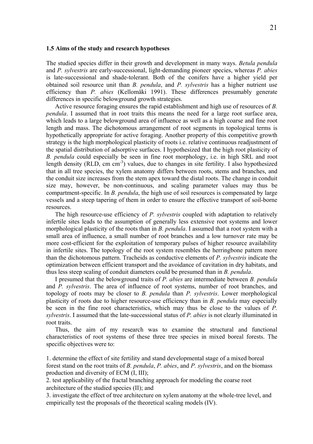#### <span id="page-20-0"></span>**1.5 Aims of the study and research hypotheses**

The studied species differ in their growth and development in many ways. *Betula pendula* and *P. sylvestris* are early-successional, light-demanding pioneer species, whereas *P. abies* is late-successional and shade-tolerant. Both of the conifers have a higher yield per obtained soil resource unit than *B. pendula*, and *P. sylvestris* has a higher nutrient use efficiency than *P. abies* (Kellomäki 1991). These differences presumably generate differences in specific belowground growth strategies.

Active resource foraging ensures the rapid establishment and high use of resources of *B. pendula*. I assumed that in root traits this means the need for a large root surface area, which leads to a large belowground area of influence as well as a high coarse and fine root length and mass. The dichotomous arrangement of root segments in topological terms is hypothetically appropriate for active foraging. Another property of this competitive growth strategy is the high morphological plasticity of roots i.e. relative continuous readjustment of the spatial distribution of adsorptive surfaces. I hypothesized that the high root plasticity of *B. pendula* could especially be seen in fine root morphology, i.e. in high SRL and root length density (RLD, cm cm<sup>-3</sup>) values, due to changes in site fertility. I also hypothesized that in all tree species, the xylem anatomy differs between roots, stems and branches, and the conduit size increases from the stem apex toward the distal roots. The change in conduit size may, however, be non-continuous, and scaling parameter values may thus be compartment-specific. In *B. pendula*, the high use of soil resources is compensated by large vessels and a steep tapering of them in order to ensure the effective transport of soil-borne resources.

The high resource-use efficiency of *P. sylvestris* coupled with adaptation to relatively infertile sites leads to the assumption of generally less extensive root systems and lower morphological plasticity of the roots than in *B. pendula*. I assumed that a root system with a small area of influence, a small number of root branches and a low turnover rate may be more cost-efficient for the exploitation of temporary pulses of higher resource availability in infertile sites. The topology of the root system resembles the herringbone pattern more than the dichotomous pattern. Tracheids as conductive elements of *P. sylvestris* indicate the optimization between efficient transport and the avoidance of cavitation in dry habitats, and thus less steep scaling of conduit diameters could be presumed than in *B. pendula*.

I presumed that the belowground traits of *P. abies* are intermediate between *B. pendula* and *P. sylvestris*. The area of influence of root systems, number of root branches, and topology of roots may be closer to *B. pendula* than *P. sylvestris*. Lower morphological plasticity of roots due to higher resource-use efficiency than in *B. pendula* may especially be seen in the fine root characteristics, which may thus be close to the values of *P. sylvestris*. I assumed that the late-successional status of *P. abies* is not clearly illuminated in root traits.

Thus, the aim of my research was to examine the structural and functional characteristics of root systems of these three tree species in mixed boreal forests. The specific objectives were to:

1. determine the effect of site fertility and stand developmental stage of a mixed boreal forest stand on the root traits of *B. pendula*, *P. abies*, and *P. sylvestris*, and on the biomass production and diversity of ECM (I, III);

2. test applicability of the fractal branching approach for modeling the coarse root architecture of the studied species (II); and

3. investigate the effect of tree architecture on xylem anatomy at the whole-tree level, and empirically test the proposals of the theoretical scaling models (IV).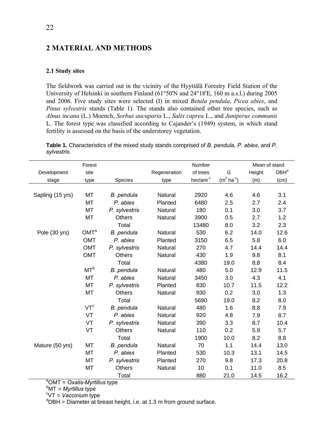# <span id="page-21-0"></span>**2 MATERIAL AND METHODS**

# **2.1 Study sites**

The fieldwork was carried out in the vicinity of the Hyytiälä Forestry Field Station of the University of Helsinki in southern Finland (61°50'N and 24°18'E, 160 m a.s.l.) during 2005 and 2006. Five study sites were selected (I) in mixed *Betula pendula*, *Picea abies*, and *Pinus sylvestris* stands (Table 1). The stands also contained other tree species, such as *Alnus incana* (L.) Moench, *Sorbus aucuparia* L., *Salix caprea* L., and *Juniperus communis* L. The forest type was classified according to Cajander's (1949) system, in which stand fertility is assessed on the basis of the understorey vegetation.

**Table 1.** Characteristics of the mixed study stands comprised of *B. pendula*, *P. abies*, and *P. sylvestris*.

|                  | Forest           |                |              | Number             |                    | Mean of stand |                  |
|------------------|------------------|----------------|--------------|--------------------|--------------------|---------------|------------------|
| Development      | site             |                | Regeneration | of trees           | G                  | Height        | DBH <sup>d</sup> |
| stage            | type             | <b>Species</b> | type         | $h$ ectare $^{-1}$ | $(m^2 \, ha^{-1})$ | (m)           | (cm)             |
|                  |                  |                |              |                    |                    |               |                  |
| Sapling (15 yrs) | МT               | B. pendula     | Natural      | 2920               | 4.6                | 4.6           | 3.1              |
|                  | <b>MT</b>        | P. abies       | Planted      | 6480               | 2.5                | 2.7           | 2.4              |
|                  | MT               | P. sylvestris  | Natural      | 180                | 0.1                | 3.0           | 3.7              |
|                  | <b>MT</b>        | <b>Others</b>  | Natural      | 3900               | 0.5                | 2.7           | 1.2              |
|                  |                  | Total          |              | 13480              | 8.0                | 3.2           | 2.3              |
| Pole (30 yrs)    | OMT <sup>a</sup> | B. pendula     | Natural      | 530                | 6.2                | 14.0          | 12.6             |
|                  | <b>OMT</b>       | P. abies       | Planted      | 3150               | 6.5                | 5.8           | 6.0              |
|                  | OMT              | P. sylvestris  | Natural      | 270                | 4.7                | 14.4          | 14.4             |
|                  | <b>OMT</b>       | Others         | Natural      | 430                | 1.9                | 9.8           | 8.1              |
|                  |                  | Total          |              | 4380               | 19.0               | 8.8           | 8.4              |
|                  | MT <sup>b</sup>  | B. pendula     | Natural      | 480                | 5.0                | 12.9          | 11.5             |
|                  | <b>MT</b>        | P. abies       | Natural      | 3450               | 3.0                | 4.3           | 4.1              |
|                  | MT               | P. sylvestris  | Planted      | 830                | 10.7               | 11.5          | 12.2             |
|                  | MT               | Others         | Natural      | 930                | 0.2                | 3.0           | 1.3              |
|                  |                  | Total          |              | 5690               | 19.0               | 8.2           | 8.0              |
|                  | VT <sup>c</sup>  | B. pendula     | Natural      | 480                | 1.6                | 8.8           | 7.9              |
|                  | VT               | P. abies       | Natural      | 920                | 4.8                | 7.9           | 8.7              |
|                  | VT               | P. sylvestris  | Natural      | 390                | 3.3                | 8.7           | 10.4             |
|                  | <b>VT</b>        | <b>Others</b>  | Natural      | 110                | 0.2                | 5.9           | 5.7              |
|                  |                  | Total          |              | 1900               | 10.0               | 8.2           | 8.8              |
| Mature (50 yrs)  | MT               | B. pendula     | Natural      | 70                 | 1.1                | 14.4          | 13.0             |
|                  | <b>MT</b>        | P. abies       | Planted      | 530                | 10.3               | 13.1          | 14.5             |
|                  | MT               | P. sylvestris  | Planted      | 270                | 9.8                | 17.3          | 20.8             |
|                  | MT               | <b>Others</b>  | Natural      | 10                 | 0.1                | 11.0          | 8.5              |
|                  |                  | Total          |              | 880                | 21.0               | 14.5          | 16.2             |

a OMT = *Oxalis-Myrtillus* type

<sup>b</sup>MT = *Myrtillus* type

<sup>c</sup>VT = Vaccinium type

 $<sup>d</sup>DBH =$  Diameter at breast height, i.e. at 1.3 m from ground surface.</sup>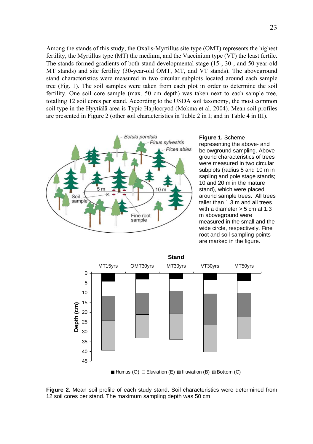Among the stands of this study, the Oxalis-Myrtillus site type (OMT) represents the highest fertility, the Myrtillus type (MT) the medium, and the Vaccinium type (VT) the least fertile. The stands formed gradients of both stand developmental stage (15-, 30-, and 50-year-old MT stands) and site fertility (30-year-old OMT, MT, and VT stands). The aboveground stand characteristics were measured in two circular subplots located around each sample tree (Fig. 1). The soil samples were taken from each plot in order to determine the soil fertility. One soil core sample (max. 50 cm depth) was taken next to each sample tree, totalling 12 soil cores per stand. According to the USDA soil taxonomy, the most common soil type in the Hyytiälä area is Typic Haplocryod (Mokma et al. 2004). Mean soil profiles are presented in Figure 2 (other soil characteristics in Table 2 in I; and in Table 4 in III).



**Figure 1.** Scheme representing the above- and belowground sampling. Aboveground characteristics of trees were measured in two circular subplots (radius 5 and 10 m in sapling and pole stage stands; 10 and 20 m in the mature stand), which were placed around sample trees. All trees taller than 1.3 m and all trees with a diameter  $>$  5 cm at 1.3 m aboveground were measured in the small and the wide circle, respectively. Fine root and soil sampling points are marked in the figure.



Humus (O)  $\Box$  Eluviation (E)  $\Box$  Illuviation (B)  $\Box$  Bottom (C)

**Figure 2**. Mean soil profile of each study stand. Soil characteristics were determined from 12 soil cores per stand. The maximum sampling depth was 50 cm.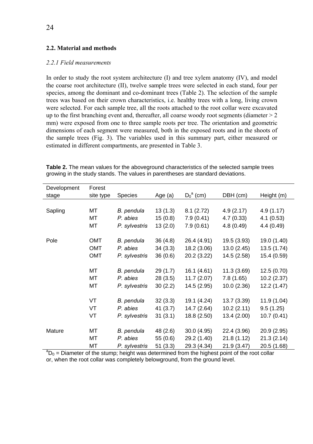# <span id="page-23-0"></span>**2.2. Material and methods**

# *2.2.1 Field measurements*

In order to study the root system architecture (I) and tree xylem anatomy (IV), and model the coarse root architecture (II), twelve sample trees were selected in each stand, four per species, among the dominant and co-dominant trees (Table 2). The selection of the sample trees was based on their crown characteristics, i.e. healthy trees with a long, living crown were selected. For each sample tree, all the roots attached to the root collar were excavated up to the first branching event and, thereafter, all coarse woody root segments (diameter  $> 2$ mm) were exposed from one to three sample roots per tree. The orientation and geometric dimensions of each segment were measured, both in the exposed roots and in the shoots of the sample trees (Fig. 3). The variables used in this summary part, either measured or estimated in different compartments, are presented in Table 3.

| Development                                                                                          | Forest    |                |           |              |             |             |
|------------------------------------------------------------------------------------------------------|-----------|----------------|-----------|--------------|-------------|-------------|
| stage                                                                                                | site type | <b>Species</b> | Age $(a)$ | $D_0^a$ (cm) | DBH (cm)    | Height (m)  |
|                                                                                                      |           |                |           |              |             |             |
| Sapling                                                                                              | MT        | B. pendula     | 13(1.3)   | 8.1(2.72)    | 4.9(2.17)   | 4.9(1.17)   |
|                                                                                                      | МT        | P. abies       | 15(0.8)   | 7.9(0.41)    | 4.7(0.33)   | 4.1(0.53)   |
|                                                                                                      | MT        | P. sylvestris  | 13(2.0)   | 7.9(0.61)    | 4.8(0.49)   | 4.4(0.49)   |
|                                                                                                      |           |                |           |              |             |             |
| Pole                                                                                                 | OMT       | B. pendula     | 36(4.8)   | 26.4 (4.91)  | 19.5 (3.93) | 19.0 (1.40) |
|                                                                                                      | OMT       | P. abies       | 34(3.3)   | 18.2 (3.06)  | 13.0(2.45)  | 13.5 (1.74) |
|                                                                                                      | OMT       | P. sylvestris  | 36(0.6)   | 20.2 (3.22)  | 14.5(2.58)  | 15.4 (0.59) |
|                                                                                                      |           |                |           |              |             |             |
|                                                                                                      | <b>MT</b> | B. pendula     | 29(1.7)   | 16.1 (4.61)  | 11.3(3.69)  | 12.5(0.70)  |
|                                                                                                      | MT        | P. abies       | 28(3.5)   | 11.7(2.07)   | 7.8(1.65)   | 10.2(2.37)  |
|                                                                                                      | МT        | P. sylvestris  | 30(2.2)   | 14.5 (2.95)  | 10.0(2.36)  | 12.2 (1.47) |
|                                                                                                      |           |                |           |              |             |             |
|                                                                                                      | VT        | B. pendula     | 32(3.3)   | 19.1 (4.24)  | 13.7(3.39)  | 11.9(1.04)  |
|                                                                                                      | VT        | P. abies       | 41 (3.7)  | 14.7 (2.64)  | 10.2(2.11)  | 9.5(1.25)   |
|                                                                                                      | VT        | P. sylvestris  | 31(3.1)   | 18.8 (2.50)  | 13.4(2.00)  | 10.7(0.41)  |
| Mature                                                                                               | MT        | B. pendula     | 48 (2.6)  | 30.0 (4.95)  | 22.4 (3.96) | 20.9 (2.95) |
|                                                                                                      | МT        | P. abies       | 55 (0.6)  | 29.2 (1.40)  | 21.8(1.12)  | 21.3(2.14)  |
|                                                                                                      | МT        | P. sylvestris  | 51(3.3)   | 29.3 (4.34)  | 21.9 (3.47) | 20.5 (1.68) |
| ${}^{a}D_0$ = Diameter of the stump; height was determined from the highest point of the root collar |           |                |           |              |             |             |

**Table 2.** The mean values for the aboveground characteristics of the selected sample trees growing in the study stands. The values in parentheses are standard deviations.

or, when the root collar was completely belowground, from the ground level.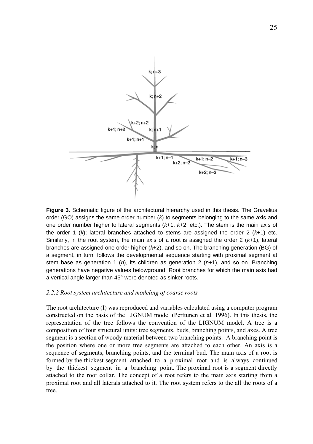<span id="page-24-0"></span>

**Figure 3.** Schematic figure of the architectural hierarchy used in this thesis. The Gravelius order (GO) assigns the same order number (*k*) to segments belonging to the same axis and one order number higher to lateral segments (*k*+1, *k*+2, etc.). The stem is the main axis of the order 1 (*k*); lateral branches attached to stems are assigned the order 2 (*k*+1) etc. Similarly, in the root system, the main axis of a root is assigned the order 2 (*k*+1), lateral branches are assigned one order higher (*k*+2), and so on. The branching generation (BG) of a segment, in turn, follows the developmental sequence starting with proximal segment at stem base as generation 1 (*n*), its children as generation 2 (*n*+1), and so on. Branching generations have negative values belowground. Root branches for which the main axis had a vertical angle larger than 45° were denoted as sinker roots.

# *2.2.2 Root system architecture and modeling of coarse roots*

The root architecture (I) was reproduced and variables calculated using a computer program constructed on the basis of the LIGNUM model (Perttunen et al. 1996). In this thesis, the representation of the tree follows the convention of the LIGNUM model. A tree is a composition of four structural units: tree segments, buds, branching points, and axes. A tree segment is a section of woody material between two branching points. A branching point is the position where one or more tree segments are attached to each other. An axis is a sequence of segments, branching points, and the terminal bud. The main axis of a root is formed by the thickest segment attached to a proximal root and is always continued by the thickest segment in a branching point. The proximal root is a segment directly attached to the root collar. The concept of a root refers to the main axis starting from a proximal root and all laterals attached to it. The root system refers to the all the roots of a tree.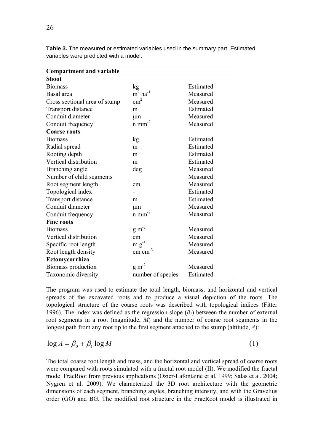| <b>Compartment and variable</b> |                                |           |  |  |  |
|---------------------------------|--------------------------------|-----------|--|--|--|
| Shoot                           |                                |           |  |  |  |
| <b>Biomass</b>                  | kg                             | Estimated |  |  |  |
| Basal area                      | $m2$ ha <sup>-1</sup>          | Measured  |  |  |  |
| Cross sectional area of stump   | $\text{cm}^2$                  | Measured  |  |  |  |
| Transport distance              | m                              | Estimated |  |  |  |
| Conduit diameter                | μm                             | Measured  |  |  |  |
| Conduit frequency               | $n$ mm <sup>-2</sup>           | Measured  |  |  |  |
| <b>Coarse roots</b>             |                                |           |  |  |  |
| <b>Biomass</b>                  | kg                             | Estimated |  |  |  |
| Radial spread                   | m                              | Estimated |  |  |  |
| Rooting depth                   | m                              | Estimated |  |  |  |
| Vertical distribution           | m                              | Estimated |  |  |  |
| Branching angle                 | deg                            | Measured  |  |  |  |
| Number of child segments        |                                | Measured  |  |  |  |
| Root segment length             | cm                             | Measured  |  |  |  |
| Topological index               |                                | Estimated |  |  |  |
| <b>Transport distance</b>       | m                              | Estimated |  |  |  |
| Conduit diameter                | μm                             | Measured  |  |  |  |
| Conduit frequency               | $\rm{n}$ $\rm{mm}^{\mbox{-}2}$ | Measured  |  |  |  |
| <b>Fine roots</b>               |                                |           |  |  |  |
| <b>Biomass</b>                  | $g m-2$                        | Measured  |  |  |  |
| Vertical distribution           | cm                             | Measured  |  |  |  |
| Specific root length            | $m g^{-1}$                     | Measured  |  |  |  |
| Root length density             | $cm \text{ cm}^{-3}$           | Measured  |  |  |  |
| Ectomycorrhiza                  |                                |           |  |  |  |
| Biomass production              | $\rm g~m^{-2}$                 | Measured  |  |  |  |
| Taxonomic diversity             | number of species              | Estimated |  |  |  |

**Table 3.** The measured or estimated variables used in the summary part. Estimated variables were predicted with a model.

The program was used to estimate the total length, biomass, and horizontal and vertical spreads of the excavated roots and to produce a visual depiction of the roots. The topological structure of the coarse roots was described with topological indices (Fitter 1996). The index was defined as the regression slope (*β1*) between the number of external root segments in a root (magnitude, *M*) and the number of coarse root segments in the longest path from any root tip to the first segment attached to the stump (altitude, *A*):

$$
\log A = \beta_0 + \beta_1 \log M \tag{1}
$$

The total coarse root length and mass, and the horizontal and vertical spread of coarse roots were compared with roots simulated with a fractal root model (II). We modified the fractal model FracRoot from previous applications (Ozier-Lafontaine et al. 1999; Salas et al. 2004; Nygren et al. 2009). We characterized the 3D root architecture with the geometric dimensions of each segment, branching angles, branching intensity, and with the Gravelius order (GO) and BG. The modified root structure in the FracRoot model is illustrated in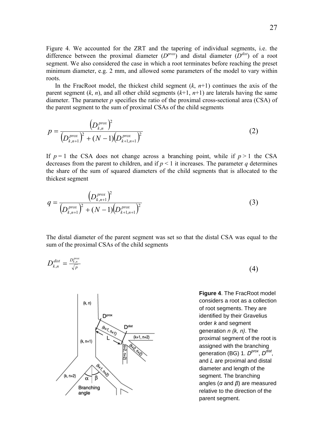Figure 4. We accounted for the ZRT and the tapering of individual segments, i.e. the difference between the proximal diameter  $(D^{prox})$  and distal diameter  $(D^{dist})$  of a root segment. We also considered the case in which a root terminates before reaching the preset minimum diameter, e.g. 2 mm, and allowed some parameters of the model to vary within roots.

In the FracRoot model, the thickest child segment  $(k, n+1)$  continues the axis of the parent segment  $(k, n)$ , and all other child segments  $(k+1, n+1)$  are laterals having the same diameter. The parameter *p* specifies the ratio of the proximal cross-sectional area (CSA) of the parent segment to the sum of proximal CSAs of the child segments

$$
p = \frac{\left(D_{k,n}^{prox}\right)^2}{\left(D_{k,n+1}^{prox}\right)^2 + (N-1)\left(D_{k+1,n+1}^{prox}\right)^2}
$$
 (2)

If  $p=1$  the CSA does not change across a branching point, while if  $p>1$  the CSA decreases from the parent to children, and if  $p < 1$  it increases. The parameter *q* determines the share of the sum of squared diameters of the child segments that is allocated to the thickest segment

$$
q = \frac{\left(D_{k,n+1}^{prox}\right)^2}{\left(D_{k,n+1}^{prox}\right)^2 + (N-1)\left(D_{k+1,n+1}^{prox}\right)^2}
$$
\n(3)

The distal diameter of the parent segment was set so that the distal CSA was equal to the sum of the proximal CSAs of the child segments





**Figure 4**. The FracRoot model considers a root as a collection of root segments. They are identified by their Gravelius order *k* and segment generation *n (k, n)*. The proximal segment of the root is assigned with the branching generation (BG) 1.  $D^{prox}$ ,  $D^{dist}$ . and *L* are proximal and distal diameter and length of the segment. The branching angles (*α* and *β*) are measured relative to the direction of the parent segment.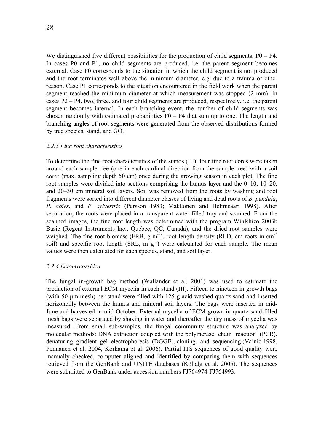<span id="page-27-0"></span>We distinguished five different possibilities for the production of child segments,  $P0 - P4$ . In cases P0 and P1, no child segments are produced, i.e. the parent segment becomes external. Case P0 corresponds to the situation in which the child segment is not produced and the root terminates well above the minimum diameter, e.g. due to a trauma or other reason. Case P1 corresponds to the situation encountered in the field work when the parent segment reached the minimum diameter at which measurement was stopped (2 mm). In cases P2 – P4, two, three, and four child segments are produced, respectively, i.e. the parent segment becomes internal. In each branching event, the number of child segments was chosen randomly with estimated probabilities  $P0 - P4$  that sum up to one. The length and branching angles of root segments were generated from the observed distributions formed by tree species, stand, and GO.

# *2.2.3 Fine root characteristics*

To determine the fine root characteristics of the stands (III), four fine root cores were taken around each sample tree (one in each cardinal direction from the sample tree) with a soil corer (max. sampling depth 50 cm) once during the growing season in each plot. The fine root samples were divided into sections comprising the humus layer and the  $0-10$ ,  $10-20$ , and 20–30 cm mineral soil layers. Soil was removed from the roots by washing and root fragments were sorted into different diameter classes of living and dead roots of *B. pendula*, *P. abies*, and *P. sylvestris* (Persson 1983; Makkonen and Helmisaari 1998). After separation, the roots were placed in a transparent water-filled tray and scanned. From the scanned images, the fine root length was determined with the program WinRhizo 2003b Basic (Regent Instruments lnc., Québec, QC, Canada), and the dried root samples were weighed. The fine root biomass (FRB,  $g m<sup>-2</sup>$ ), root length density (RLD, cm roots in cm<sup>-3</sup>) soil) and specific root length (SRL, m  $g^{-1}$ ) were calculated for each sample. The mean values were then calculated for each species, stand, and soil layer.

# *2.2.4 Ectomycorrhiza*

The fungal in-growth bag method (Wallander et al. 2001) was used to estimate the production of external ECM mycelia in each stand (III). Fifteen to nineteen in-growth bags (with 50-μm mesh) per stand were filled with 125 g acid-washed quartz sand and inserted horizontally between the humus and mineral soil layers. The bags were inserted in mid-June and harvested in mid-October. External mycelia of ECM grown in quartz sand-filled mesh bags were separated by shaking in water and thereafter the dry mass of mycelia was measured. From small sub-samples, the fungal community structure was analyzed by molecular methods: DNA extraction coupled with the polymerase chain reaction (PCR), denaturing gradient gel electrophoresis (DGGE), cloning, and sequencing (Vainio 1998, Pennanen et al. 2004, Korkama et al. 2006). Partial ITS sequences of good quality were manually checked, computer aligned and identified by comparing them with sequences retrieved from the GenBank and UNITE databases (Kõljalg et al. 2005). The sequences were submitted to GenBank under accession numbers FJ764974-FJ764993.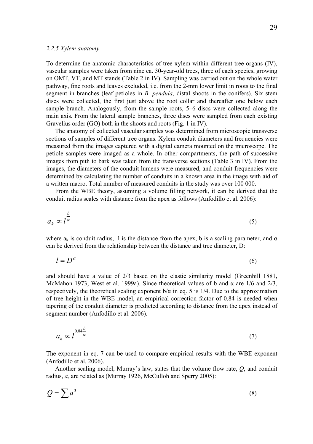#### <span id="page-28-0"></span>*2.2.5 Xylem anatomy*

To determine the anatomic characteristics of tree xylem within different tree organs (IV), vascular samples were taken from nine ca. 30-year-old trees, three of each species, growing on OMT, VT, and MT stands (Table 2 in IV). Sampling was carried out on the whole water pathway, fine roots and leaves excluded, i.e. from the 2-mm lower limit in roots to the final segment in branches (leaf petioles in *B. pendula*, distal shoots in the conifers). Six stem discs were collected, the first just above the root collar and thereafter one below each sample branch. Analogously, from the sample roots, 5–6 discs were collected along the main axis. From the lateral sample branches, three discs were sampled from each existing Gravelius order (GO) both in the shoots and roots (Fig. 1 in IV).

The anatomy of collected vascular samples was determined from microscopic transverse sections of samples of different tree organs. Xylem conduit diameters and frequencies were measured from the images captured with a digital camera mounted on the microscope. The petiole samples were imaged as a whole. In other compartments, the path of successive images from pith to bark was taken from the transverse sections (Table 3 in IV). From the images, the diameters of the conduit lumens were measured, and conduit frequencies were determined by calculating the number of conduits in a known area in the image with aid of a written macro. Total number of measured conduits in the study was over 100 000.

From the WBE theory, assuming a volume filling network, it can be derived that the conduit radius scales with distance from the apex as follows (Anfodillo et al. 2006):

$$
a_k \propto l^{\frac{b}{\alpha}}
$$
 (5)

where  $a_k$  is conduit radius, 1 is the distance from the apex, b is a scaling parameter, and  $\alpha$ can be derived from the relationship between the distance and tree diameter, D:

$$
l = D^{\alpha} \tag{6}
$$

and should have a value of 2/3 based on the elastic similarity model (Greenhill 1881, McMahon 1973, West et al. 1999a). Since theoretical values of b and  $\alpha$  are 1/6 and 2/3, respectively, the theoretical scaling exponent  $b/\alpha$  in eq. 5 is 1/4. Due to the approximation of tree height in the WBE model, an empirical correction factor of 0.84 is needed when tapering of the conduit diameter is predicted according to distance from the apex instead of segment number (Anfodillo et al. 2006).

$$
a_k \propto l^{\frac{0.84 \cdot \frac{b}{\alpha}}{2}} \tag{7}
$$

The exponent in eq. 7 can be used to compare empirical results with the WBE exponent (Anfodillo et al. 2006).

Another scaling model, Murray's law, states that the volume flow rate, *Q*, and conduit radius, *a,* are related as (Murray 1926, McCulloh and Sperry 2005):

$$
Q = \sum a^3 \tag{8}
$$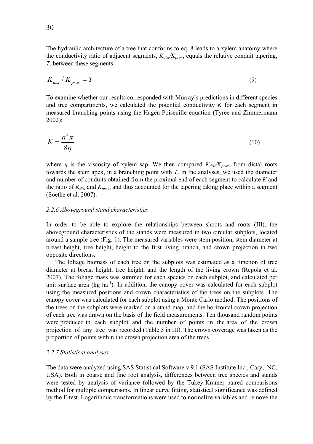<span id="page-29-0"></span>The hydraulic architecture of a tree that conforms to eq. 8 leads to a xylem anatomy where the conductivity ratio of adjacent segments,  $K_{div}/K_{prox}$ , equals the relative conduit tapering, *T*, between these segments

$$
K_{dist} / K_{prox} = T \tag{9}
$$

To examine whether our results corresponded with Murray's predictions in different species and tree compartments, we calculated the potential conductivity *K* for each segment in measured branching points using the Hagen-Poiseuille equation (Tyree and Zimmermann 2002):

$$
K = \frac{a^4 \pi}{8\eta} \tag{10}
$$

where  $\eta$  is the viscosity of xylem sap. We then compared  $K_{dis}/K_{prox}$ , from distal roots towards the stem apex, in a branching point with *T*. In the analyses, we used the diameter and number of conduits obtained from the proximal end of each segment to calculate *K* and the ratio of  $K_{dist}$  and  $K_{prox}$ , and thus accounted for the tapering taking place within a segment (Soethe et al. 2007).

### *2.2.6 Aboveground stand characteristics*

In order to be able to explore the relationships between shoots and roots (III), the aboveground characteristics of the stands were measured in two circular subplots, located around a sample tree (Fig. 1). The measured variables were stem position, stem diameter at breast height, tree height, height to the first living branch, and crown projection in two opposite directions.

The foliage biomass of each tree on the subplots was estimated as a function of tree diameter at breast height, tree height, and the length of the living crown (Repola et al. 2007). The foliage mass was summed for each species on each subplot, and calculated per unit surface area ( $kg \text{ ha}^{-1}$ ). In addition, the canopy cover was calculated for each subplot using the measured positions and crown characteristics of the trees on the subplots. The canopy cover was calculated for each subplot using a Monte Carlo method. The positions of the trees on the subplots were marked on a stand map, and the horizontal crown projection of each tree was drawn on the basis of the field measurements. Ten thousand random points were produced in each subplot and the number of points in the area of the crown projection of any tree was recorded (Table 3 in III). The crown coverage was taken as the proportion of points within the crown projection area of the trees.

# *2.2.7 Statistical analyses*

The data were analyzed using SAS Statistical Software v.9.1 (SAS Institute Inc., Cary, NC, USA). Both in coarse and fine root analysis, differences between tree species and stands were tested by analysis of variance followed by the Tukey-Kramer paired comparisons method for multiple comparisons. In linear curve fitting, statistical significance was defined by the F-test. Logarithmic transformations were used to normalize variables and remove the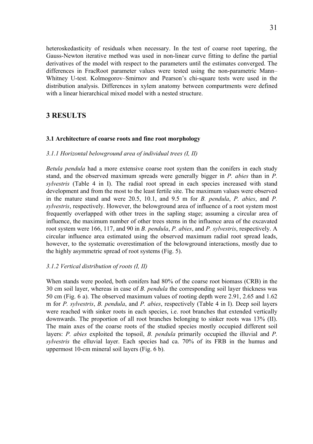<span id="page-30-0"></span>heteroskedasticity of residuals when necessary. In the test of coarse root tapering, the Gauss-Newton iterative method was used in non-linear curve fitting to define the partial derivatives of the model with respect to the parameters until the estimates converged. The differences in FracRoot parameter values were tested using the non-parametric Mann– Whitney U-test. Kolmogorov–Smirnov and Pearson's chi-square tests were used in the distribution analysis. Differences in xylem anatomy between compartments were defined with a linear hierarchical mixed model with a nested structure.

# **3 RESULTS**

# **3.1 Architecture of coarse roots and fine root morphology**

# *3.1.1 Horizontal belowground area of individual trees (I, II)*

*Betula pendula* had a more extensive coarse root system than the conifers in each study stand, and the observed maximum spreads were generally bigger in *P. abies* than in *P. sylvestris* (Table 4 in I). The radial root spread in each species increased with stand development and from the most to the least fertile site. The maximum values were observed in the mature stand and were 20.5, 10.1, and 9.5 m for *B. pendula*, *P. abies*, and *P. sylvestris*, respectively. However, the belowground area of influence of a root system most frequently overlapped with other trees in the sapling stage; assuming a circular area of influence, the maximum number of other trees stems in the influence area of the excavated root system were 166, 117, and 90 in *B. pendula*, *P. abies*, and *P. sylvestris*, respectively. A circular influence area estimated using the observed maximum radial root spread leads, however, to the systematic overestimation of the belowground interactions, mostly due to the highly asymmetric spread of root systems (Fig. 5).

# *3.1.2 Vertical distribution of roots (I, II)*

When stands were pooled, both conifers had 80% of the coarse root biomass (CRB) in the 30 cm soil layer, whereas in case of *B. pendula* the corresponding soil layer thickness was 50 cm (Fig. 6 a). The observed maximum values of rooting depth were 2.91, 2.65 and 1.62 m for *P. sylvestris*, *B. pendula*, and *P. abies*, respectively (Table 4 in I). Deep soil layers were reached with sinker roots in each species, i.e. root branches that extended vertically downwards. The proportion of all root branches belonging to sinker roots was 13% (II). The main axes of the coarse roots of the studied species mostly occupied different soil layers: *P. abies* exploited the topsoil, *B. pendula* primarily occupied the illuvial and *P. sylvestris* the elluvial layer. Each species had ca. 70% of its FRB in the humus and uppermost 10-cm mineral soil layers (Fig. 6 b).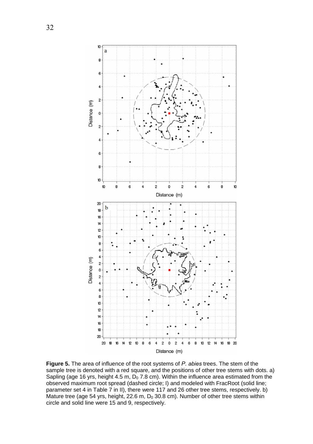

**Figure 5.** The area of influence of the root systems of *P. abies* trees. The stem of the sample tree is denoted with a red square, and the positions of other tree stems with dots. a) Sapling (age 16 yrs, height 4.5 m,  $D_0$  7.8 cm). Within the influence area estimated from the observed maximum root spread (dashed circle; I) and modeled with FracRoot (solid line; parameter set 4 in Table 7 in II), there were 117 and 26 other tree stems, respectively. b) Mature tree (age 54 yrs, height, 22.6 m,  $D_0$  30.8 cm). Number of other tree stems within circle and solid line were 15 and 9, respectively.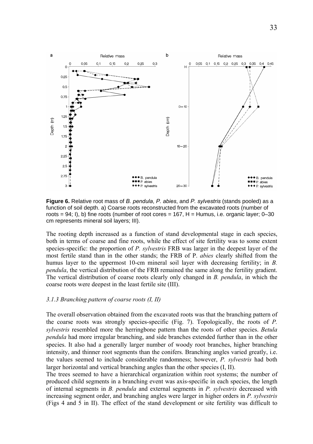<span id="page-32-0"></span>

**Figure 6.** Relative root mass of *B. pendula*, *P. abies*, and *P. sylvestris* (stands pooled) as a function of soil depth. a) Coarse roots reconstructed from the excavated roots (number of roots =  $94$ ; I), b) fine roots (number of root cores =  $167$ , H = Humus, i.e. organic layer; 0–30 cm represents mineral soil layers; III).

The rooting depth increased as a function of stand developmental stage in each species, both in terms of coarse and fine roots, while the effect of site fertility was to some extent species-specific: the proportion of *P. sylvestris* FRB was larger in the deepest layer of the most fertile stand than in the other stands; the FRB of P. *abies* clearly shifted from the humus layer to the uppermost 10-cm mineral soil layer with decreasing fertility; in *B. pendula*, the vertical distribution of the FRB remained the same along the fertility gradient. The vertical distribution of coarse roots clearly only changed in *B. pendula*, in which the coarse roots were deepest in the least fertile site (III).

#### *3.1.3 Branching pattern of coarse roots (I, II)*

The overall observation obtained from the excavated roots was that the branching pattern of the coarse roots was strongly species-specific (Fig. 7). Topologically, the roots of *P. sylvestris* resembled more the herringbone pattern than the roots of other species. *Betula pendula* had more irregular branching, and side branches extended further than in the other species. It also had a generally larger number of woody root branches, higher branching intensity, and thinner root segments than the conifers. Branching angles varied greatly, i.e. the values seemed to include considerable randomness; however, *P. sylvestris* had both larger horizontal and vertical branching angles than the other species (I, II).

The trees seemed to have a hierarchical organization within root systems; the number of produced child segments in a branching event was axis-specific in each species, the length of internal segments in *B. pendula* and external segments in *P. sylvestris* decreased with increasing segment order, and branching angles were larger in higher orders in *P. sylvestris* (Figs 4 and 5 in II). The effect of the stand development or site fertility was difficult to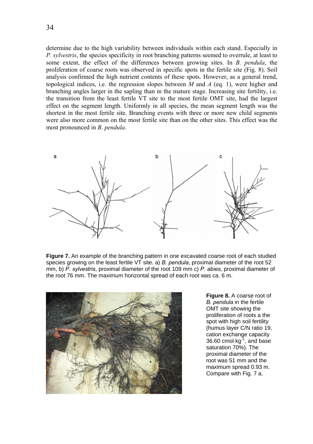determine due to the high variability between individuals within each stand. Especially in *P. sylvestris*, the species specificity in root branching patterns seemed to overrule, at least to some extent, the effect of the differences between growing sites. In *B. pendula*, the proliferation of coarse roots was observed in specific spots in the fertile site (Fig. 8). Soil analysis confirmed the high nutrient contents of these spots. However, as a general trend, topological indices, i.e. the regression slopes between *M* and *A* (eq. 1), were higher and branching angles larger in the sapling than in the mature stage. Increasing site fertility, i.e. the transition from the least fertile VT site to the most fertile OMT site, had the largest effect on the segment length. Uniformly in all species, the mean segment length was the shortest in the most fertile site. Branching events with three or more new child segments were also more common on the most fertile site than on the other sites. This effect was the most pronounced in *B. pendula*.



**Figure 7.** An example of the branching pattern in one excavated coarse root of each studied species growing on the least fertile VT site. a) *B. pendula*, proximal diameter of the root 52 mm, b) *P. sylvestris*, proximal diameter of the root 109 mm c) *P. abies,* proximal diameter of the root 76 mm. The maximum horizontal spread of each root was ca. 6 m.



**Figure 8.** A coarse root of *B. pendula* in the fertile OMT site showing the proliferation of roots a the spot with high soil fertility (humus layer C/N ratio 19, cation exchange capacity  $36.60$  cmol kg $^{-1}$ , and base saturation 70%). The proximal diameter of the root was 51 mm and the maximum spread 0.93 m. Compare with Fig. 7 a.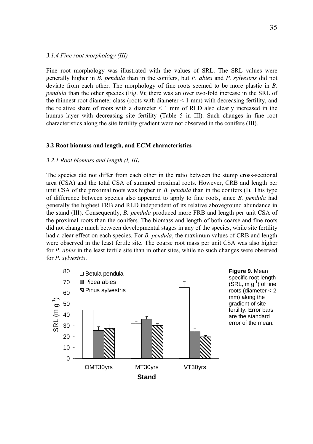# <span id="page-34-0"></span>*3.1.4 Fine root morphology (III)*

Fine root morphology was illustrated with the values of SRL. The SRL values were generally higher in *B. pendula* than in the conifers, but *P. abies* and *P. sylvestris* did not deviate from each other. The morphology of fine roots seemed to be more plastic in *B. pendula* than the other species (Fig. 9); there was an over two-fold increase in the SRL of the thinnest root diameter class (roots with diameter  $\leq 1$  mm) with decreasing fertility, and the relative share of roots with a diameter  $\leq 1$  mm of RLD also clearly increased in the humus layer with decreasing site fertility (Table 5 in III). Such changes in fine root characteristics along the site fertility gradient were not observed in the conifers (III).

#### **3.2 Root biomass and length, and ECM characteristics**

## *3.2.1 Root biomass and length (I, III)*

The species did not differ from each other in the ratio between the stump cross-sectional area (CSA) and the total CSA of summed proximal roots. However, CRB and length per unit CSA of the proximal roots was higher in *B. pendula* than in the conifers (I). This type of difference between species also appeared to apply to fine roots, since *B. pendula* had generally the highest FRB and RLD independent of its relative aboveground abundance in the stand (III). Consequently, *B. pendula* produced more FRB and length per unit CSA of the proximal roots than the conifers. The biomass and length of both coarse and fine roots did not change much between developmental stages in any of the species, while site fertility had a clear effect on each species. For *B. pendula*, the maximum values of CRB and length were observed in the least fertile site. The coarse root mass per unit CSA was also higher for *P. abies* in the least fertile site than in other sites, while no such changes were observed for *P. sylvestris*.

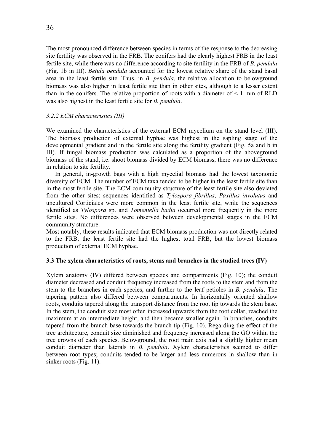<span id="page-35-0"></span>The most pronounced difference between species in terms of the response to the decreasing site fertility was observed in the FRB. The conifers had the clearly highest FRB in the least fertile site, while there was no difference according to site fertility in the FRB of *B. pendula*  (Fig. 1b in III). *Betula pendula* accounted for the lowest relative share of the stand basal area in the least fertile site. Thus, in *B. pendula*, the relative allocation to belowground biomass was also higher in least fertile site than in other sites, although to a lesser extent than in the conifers. The relative proportion of roots with a diameter of  $\leq 1$  mm of RLD was also highest in the least fertile site for *B. pendula*.

# *3.2.2 ECM characteristics (III)*

We examined the characteristics of the external ECM mycelium on the stand level (III). The biomass production of external hyphae was highest in the sapling stage of the developmental gradient and in the fertile site along the fertility gradient (Fig. 5a and b in III). If fungal biomass production was calculated as a proportion of the aboveground biomass of the stand, i.e. shoot biomass divided by ECM biomass, there was no difference in relation to site fertility.

In general, in-growth bags with a high mycelial biomass had the lowest taxonomic diversity of ECM. The number of ECM taxa tended to be higher in the least fertile site than in the most fertile site. The ECM community structure of the least fertile site also deviated from the other sites; sequences identified as *Tylospora fibrillus*, *Paxillus involutus* and uncultured Corticiales were more common in the least fertile site, while the sequences identified as *Tylospora* sp. and *Tomentella badia* occurred more frequently in the more fertile sites. No differences were observed between developmental stages in the ECM community structure.

Most notably, these results indicated that ECM biomass production was not directly related to the FRB; the least fertile site had the highest total FRB, but the lowest biomass production of external ECM hyphae.

# **3.3 The xylem characteristics of roots, stems and branches in the studied trees (IV)**

Xylem anatomy (IV) differed between species and compartments (Fig. 10); the conduit diameter decreased and conduit frequency increased from the roots to the stem and from the stem to the branches in each species, and further to the leaf petioles in *B. pendula*. The tapering pattern also differed between compartments. In horizontally oriented shallow roots, conduits tapered along the transport distance from the root tip towards the stem base. In the stem, the conduit size most often increased upwards from the root collar, reached the maximum at an intermediate height, and then became smaller again. In branches, conduits tapered from the branch base towards the branch tip (Fig. 10). Regarding the effect of the tree architecture, conduit size diminished and frequency increased along the GO within the tree crowns of each species. Belowground, the root main axis had a slightly higher mean conduit diameter than laterals in *B. pendula*. Xylem characteristics seemed to differ between root types; conduits tended to be larger and less numerous in shallow than in sinker roots (Fig. 11).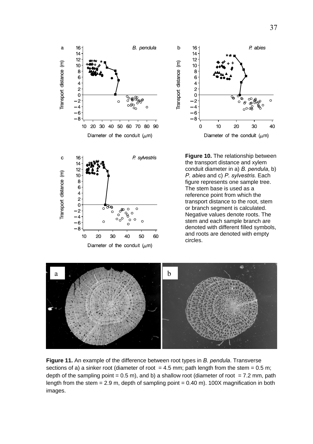



**Figure 10.** The relationship between the transport distance and xylem conduit diameter in a) *B. pendula*, b) *P. abies* and c) *P. sylvestris.* Each figure represents one sample tree. The stem base is used as a reference point from which the transport distance to the root, stem or branch segment is calculated. Negative values denote roots. The stem and each sample branch are denoted with different filled symbols, and roots are denoted with empty circles.



**Figure 11.** An example of the difference between root types in *B. pendula*. Transverse sections of a) a sinker root (diameter of root  $= 4.5$  mm; path length from the stem  $= 0.5$  m; depth of the sampling point =  $0.5$  m), and b) a shallow root (diameter of root =  $7.2$  mm, path length from the stem  $= 2.9$  m, depth of sampling point  $= 0.40$  m). 100X magnification in both images.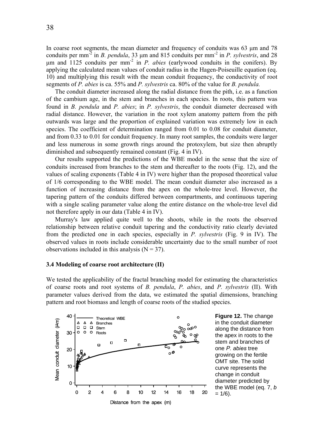<span id="page-37-0"></span>segments of *P. abies* is ca. 55% and *P. sylvestris* ca. 80% of the value for *B. pendula.*  The conduit diameter increased along the radial distance from the pith, i.e. as a function of the cambium age, in the stem and branches in each species. In roots, this pattern was found in *B. pendula* and *P. abies*; in *P. sylvestris*, the conduit diameter decreased with radial distance. However, the variation in the root xylem anatomy pattern from the pith outwards was large and the proportion of explained variation was extremely low in each species. The coefficient of determination ranged from 0.01 to 0.08 for conduit diameter, and from 0.33 to 0.01 for conduit frequency. In many root samples, the conduits were larger and less numerous in some growth rings around the protoxylem, but size then abruptly diminished and subsequently remained constant (Fig. 4 in IV).

Our results supported the predictions of the WBE model in the sense that the size of conduits increased from branches to the stem and thereafter to the roots (Fig. 12), and the values of scaling exponents (Table 4 in IV) were higher than the proposed theoretical value of 1/6 corresponding to the WBE model. The mean conduit diameter also increased as a function of increasing distance from the apex on the whole-tree level. However, the tapering pattern of the conduits differed between compartments, and continuous tapering with a single scaling parameter value along the entire distance on the whole-tree level did not therefore apply in our data (Table 4 in IV).

Murray's law applied quite well to the shoots, while in the roots the observed relationship between relative conduit tapering and the conductivity ratio clearly deviated from the predicted one in each species, especially in *P. sylvestris* (Fig. 9 in IV). The observed values in roots include considerable uncertainty due to the small number of root observations included in this analysis  $(N = 37)$ .

## **3.4 Modeling of coarse root architecture (II)**

We tested the applicability of the fractal branching model for estimating the characteristics of coarse roots and root systems of *B. pendula*, *P. abies*, and *P. sylvestris* (II). With parameter values derived from the data, we estimated the spatial dimensions, branching pattern and root biomass and length of coarse roots of the studied species.



**Figure 12.** The change in the conduit diameter along the distance from the apex in roots to the stem and branches of one *P. abies* tree growing on the fertile OMT site. The solid curve represents the change in conduit diameter predicted by the WBE model (eq. 7, *b*  $= 1/6$ ).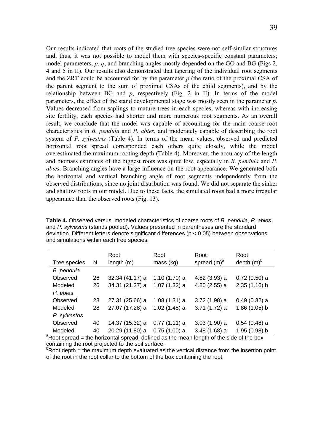Our results indicated that roots of the studied tree species were not self-similar structures and, thus, it was not possible to model them with species-specific constant parameters; model parameters, *p*, *q*, and branching angles mostly depended on the GO and BG (Figs 2, 4 and 5 in II). Our results also demonstrated that tapering of the individual root segments and the ZRT could be accounted for by the parameter *p* (the ratio of the proximal CSA of the parent segment to the sum of proximal CSAs of the child segments), and by the relationship between BG and *p*, respectively (Fig. 2 in II). In terms of the model parameters, the effect of the stand developmental stage was mostly seen in the parameter *p*. Values decreased from saplings to mature trees in each species, whereas with increasing site fertility, each species had shorter and more numerous root segments. As an overall result, we conclude that the model was capable of accounting for the main coarse root characteristics in *B. pendula* and *P. abies*, and moderately capable of describing the root system of *P. sylvestris* (Table 4). In terms of the mean values, observed and predicted horizontal root spread corresponded each others quite closely, while the model overestimated the maximum rooting depth (Table 4). Moreover, the accuracy of the length and biomass estimates of the biggest roots was quite low, especially in *B. pendula* and *P. abies*. Branching angles have a large influence on the root appearance. We generated both the horizontal and vertical branching angle of root segments independently from the observed distributions, since no joint distribution was found. We did not separate the sinker and shallow roots in our model. Due to these facts, the simulated roots had a more irregular appearance than the observed roots (Fig. 13).

**Table 4.** Observed versus. modeled characteristics of coarse roots of *B. pendula*, *P. abies*, and *P. sylvestris* (stands pooled). Values presented in parentheses are the standard deviation. Different letters denote significant differences (p < 0.05) between observations and simulations within each tree species.

|                                                                                                     |    | Root            | Root           | Root           | Root            |
|-----------------------------------------------------------------------------------------------------|----|-----------------|----------------|----------------|-----------------|
| Tree species                                                                                        | N  | length (m)      | mass (kg)      | spread $(m)^a$ | depth $(m)^{b}$ |
| B. pendula                                                                                          |    |                 |                |                |                 |
| Observed                                                                                            | 26 | 32.34 (41.17) a | 1.10(1.70) a   | 4.82 (3.93) a  | $0.72(0.50)$ a  |
| Modeled                                                                                             | 26 | 34.31 (21.37) a | $1.07(1.32)$ a | 4.80 (2.55) a  | 2.35(1.16) b    |
| P. abies                                                                                            |    |                 |                |                |                 |
| Observed                                                                                            | 28 | 27.31 (25.66) a | $1.08(1.31)$ a | 3.72 (1.98) a  | $0.49(0.32)$ a  |
| Modeled                                                                                             | 28 | 27.07 (17.28) a | $1.02(1.48)$ a | 3.71 (1.72) a  | 1.86 (1.05) b   |
| P. sylvestris                                                                                       |    |                 |                |                |                 |
| Observed                                                                                            | 40 | 14.37 (15.32) a | $0.77(1.11)$ a | $3.03(1.90)$ a | $0.54(0.48)$ a  |
| Modeled                                                                                             | 40 | 20.29 (11.80) a | $0.75(1.00)$ a | $3.48(1.68)$ a | 1.95 (0.98) b   |
| <sup>a</sup> Root spread = the horizontal spread, defined as the mean length of the side of the box |    |                 |                |                |                 |

containing the root projected to the soil surface.

 $P$ Root depth = the maximum depth evaluated as the vertical distance from the insertion point of the root in the root collar to the bottom of the box containing the root.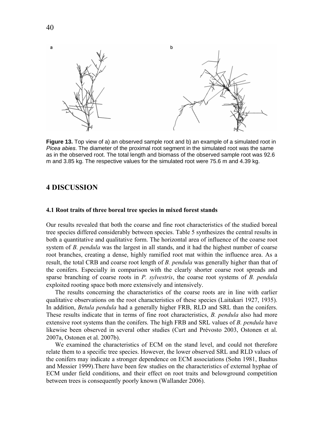<span id="page-39-0"></span>

**Figure 13.** Top view of a) an observed sample root and b) an example of a simulated root in *Picea abies*. The diameter of the proximal root segment in the simulated root was the same as in the observed root. The total length and biomass of the observed sample root was 92.6 m and 3.85 kg. The respective values for the simulated root were 75.6 m and 4.39 kg.

# **4 DISCUSSION**

#### **4.1 Root traits of three boreal tree species in mixed forest stands**

Our results revealed that both the coarse and fine root characteristics of the studied boreal tree species differed considerably between species. Table 5 synthesizes the central results in both a quantitative and qualitative form. The horizontal area of influence of the coarse root system of *B. pendula* was the largest in all stands, and it had the highest number of coarse root branches, creating a dense, highly ramified root mat within the influence area. As a result, the total CRB and coarse root length of *B. pendula* was generally higher than that of the conifers. Especially in comparison with the clearly shorter coarse root spreads and sparse branching of coarse roots in *P. sylvestris*, the coarse root systems of *B. pendula* exploited rooting space both more extensively and intensively.

The results concerning the characteristics of the coarse roots are in line with earlier qualitative observations on the root characteristics of these species (Laitakari 1927, 1935). In addition, *Betula pendula* had a generally higher FRB, RLD and SRL than the conifers. These results indicate that in terms of fine root characteristics, *B. pendula* also had more extensive root systems than the conifers. The high FRB and SRL values of *B. pendula* have likewise been observed in several other studies (Curt and Prévosto 2003, Ostonen et al. 2007a, Ostonen et al. 2007b).

We examined the characteristics of ECM on the stand level, and could not therefore relate them to a specific tree species. However, the lower observed SRL and RLD values of the conifers may indicate a stronger dependence on ECM associations (Sohn 1981, Bauhus and Messier 1999).There have been few studies on the characteristics of external hyphae of ECM under field conditions, and their effect on root traits and belowground competition between trees is consequently poorly known (Wallander 2006).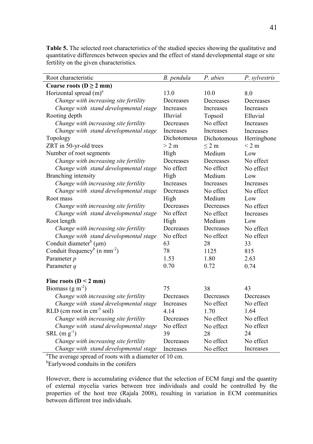| Root characteristic                                                | B. pendula  | P. abies    | P. sylvestris |  |  |
|--------------------------------------------------------------------|-------------|-------------|---------------|--|--|
| Coarse roots ( $D \ge 2$ mm)                                       |             |             |               |  |  |
| Horizontal spread $(m)^a$                                          | 13.0        | 10.0        | 8.0           |  |  |
| Change with increasing site fertility                              | Decreases   | Decreases   | Decreases     |  |  |
| Change with stand developmental stage                              | Increases   | Increases   | Increases     |  |  |
| Rooting depth                                                      | Illuvial    | Topsoil     | Elluvial      |  |  |
| Change with increasing site fertility                              | Decreases   | No effect   | Increases     |  |  |
| Change with stand developmental stage                              | Increases   | Increases   | Increases     |  |  |
| Topology                                                           | Dichotomous | Dichotomous | Herringbone   |  |  |
| ZRT in 50-yr-old trees                                             | > 2 m       | $\leq$ 2 m  | $<$ 2 m       |  |  |
| Number of root segments                                            | High        | Medium      | Low           |  |  |
| Change with increasing site fertility                              | Decreases   | Decreases   | No effect     |  |  |
| Change with stand developmental stage                              | No effect   | No effect   | No effect     |  |  |
| Branching intensity                                                | High        | Medium      | Low           |  |  |
| Change with increasing site fertility                              | Increases   | Increases   | Increases     |  |  |
| Change with stand developmental stage                              | Decreases   | No effect   | No effect     |  |  |
| Root mass                                                          | High        | Medium      | Low           |  |  |
| Change with increasing site fertility                              | Decreases   | Decreases   | No effect     |  |  |
| Change with stand developmental stage                              | No effect   | No effect   | Increases     |  |  |
| Root length                                                        | High        | Medium      | Low           |  |  |
| Change with increasing site fertility                              | Decreases   | Decreases   | No effect     |  |  |
| Change with stand developmental stage                              | No effect   | No effect   | No effect     |  |  |
| Conduit diameter <sup>b</sup> ( $\mu$ m)                           | 63          | 28          | 33            |  |  |
| Conduit frequency <sup>b</sup> (n mm <sup>-2</sup> )               | 78          | 1125        | 815           |  |  |
| Parameter $p$                                                      | 1.53        | 1.80        | 2.63          |  |  |
| Parameter q                                                        | 0.70        | 0.72        | 0.74          |  |  |
|                                                                    |             |             |               |  |  |
| Fine roots ( $D < 2$ mm)                                           |             |             |               |  |  |
| Biomass $(g m-2)$                                                  | 75          | 38          | 43            |  |  |
| Change with increasing site fertility                              | Decreases   | Decreases   | Decreases     |  |  |
| Change with stand developmental stage                              | Increases   | No effect   | No effect     |  |  |
| $RLD$ (cm root in cm <sup>-3</sup> soil)                           | 4.14        | 1.70        | 1.64          |  |  |
| Change with increasing site fertility                              | Decreases   | No effect   | No effect     |  |  |
| Change with stand developmental stage                              | No effect   | No effect   | No effect     |  |  |
| $SRL$ (m $g^{-1}$ )                                                | 39          | 28          | 24            |  |  |
| Change with increasing site fertility                              | Decreases   | No effect   | No effect     |  |  |
| Change with stand developmental stage                              | Increases   | No effect   | Increases     |  |  |
| <sup>a</sup> The average spread of roots with a diameter of 10 cm. |             |             |               |  |  |

**Table 5.** The selected root characteristics of the studied species showing the qualitative and quantitative differences between species and the effect of stand developmental stage or site fertility on the given characteristics.

<sup>b</sup>Earlywood conduits in the conifers

However, there is accumulating evidence that the selection of ECM fungi and the quantity of external mycelia varies between tree individuals and could be controlled by the properties of the host tree (Rajala 2008), resulting in variation in ECM communities between different tree individuals.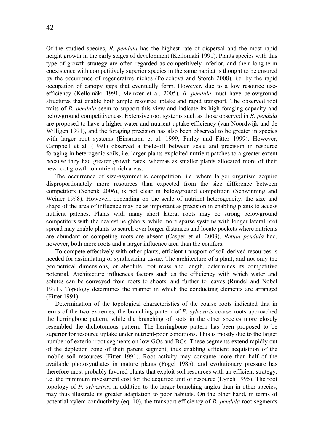Of the studied species, *B. pendula* has the highest rate of dispersal and the most rapid height growth in the early stages of development (Kellomäki 1991). Plants species with this type of growth strategy are often regarded as competitively inferior, and their long-term coexistence with competitively superior species in the same habitat is thought to be ensured by the occurrence of regenerative niches (Polechová and Storch 2008), i.e. by the rapid occupation of canopy gaps that eventually form. However, due to a low resource useefficiency (Kellomäki 1991, Meinzer et al. 2005), *B. pendula* must have belowground structures that enable both ample resource uptake and rapid transport. The observed root traits of *B. pendula* seem to support this view and indicate its high foraging capacity and belowground competitiveness. Extensive root systems such as those observed in *B. pendula* are proposed to have a higher water and nutrient uptake efficiency (van Noordwijk and de Willigen 1991), and the foraging precision has also been observed to be greater in species with larger root systems (Einsmann et al. 1999, Farley and Fitter 1999). However, Campbell et al. (1991) observed a trade-off between scale and precision in resource foraging in heterogenic soils, i.e. larger plants exploited nutrient patches to a greater extent because they had greater growth rates, whereas as smaller plants allocated more of their new root growth to nutrient-rich areas.

The occurrence of size-asymmetric competition, i.e. where larger organism acquire disproportionately more resources than expected from the size difference between competitors (Schenk 2006), is not clear in belowground competition (Schwinning and Weiner 1998). However, depending on the scale of nutrient heterogeneity, the size and shape of the area of influence may be as important as precision in enabling plants to access nutrient patches. Plants with many short lateral roots may be strong belowground competitors with the nearest neighbors, while more sparse systems with longer lateral root spread may enable plants to search over longer distances and locate pockets where nutrients are abundant or competing roots are absent (Casper et al. 2003). *Betula pendula* had, however, both more roots and a larger influence area than the conifers.

To compete effectively with other plants, efficient transport of soil-derived resources is needed for assimilating or synthesizing tissue. The architecture of a plant, and not only the geometrical dimensions, or absolute root mass and length, determines its competitive potential. Architecture influences factors such as the efficiency with which water and solutes can be conveyed from roots to shoots, and further to leaves (Rundel and Nobel 1991). Topology determines the manner in which the conducting elements are arranged (Fitter 1991).

Determination of the topological characteristics of the coarse roots indicated that in terms of the two extremes, the branching pattern of *P. sylvestris* coarse roots approached the herringbone pattern, while the branching of roots in the other species more closely resembled the dichotomous pattern. The herringbone pattern has been proposed to be superior for resource uptake under nutrient-poor conditions. This is mostly due to the larger number of exterior root segments on low GOs and BGs. These segments extend rapidly out of the depletion zone of their parent segment, thus enabling efficient acquisition of the mobile soil resources (Fitter 1991). Root activity may consume more than half of the available photosynthates in mature plants (Fogel 1985), and evolutionary pressure has therefore most probably favored plants that exploit soil resources with an efficient strategy, i.e. the minimum investment cost for the acquired unit of resource (Lynch 1995). The root topology of *P. sylvestris*, in addition to the larger branching angles than in other species, may thus illustrate its greater adaptation to poor habitats. On the other hand, in terms of potential xylem conductivity (eq. 10), the transport efficiency of *B. pendula* root segments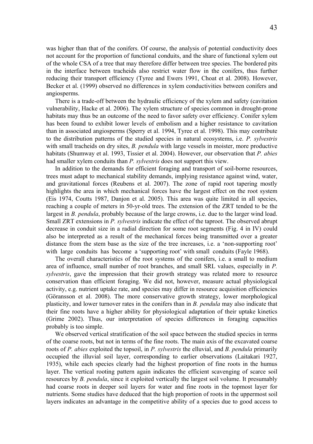was higher than that of the conifers. Of course, the analysis of potential conductivity does not account for the proportion of functional conduits, and the share of functional xylem out of the whole CSA of a tree that may therefore differ between tree species. The bordered pits in the interface between tracheids also restrict water flow in the conifers, thus further reducing their transport efficiency (Tyree and Ewers 1991, Choat et al. 2008). However, Becker et al. (1999) observed no differences in xylem conductivities between conifers and angiosperms.

There is a trade-off between the hydraulic efficiency of the xylem and safety (cavitation vulnerability, Hacke et al. 2006). The xylem structure of species common in drought-prone habitats may thus be an outcome of the need to favor safety over efficiency. Conifer xylem has been found to exhibit lower levels of embolism and a higher resistance to cavitation than in associated angiosperms (Sperry et al. 1994, Tyree et al. 1998). This may contribute to the distribution patterns of the studied species in natural ecosystems, i.e. *P. sylvestris* with small tracheids on dry sites, *B. pendula* with large vessels in moister, more productive habitats (Shumway et al. 1993, Tissier et al. 2004). However, our observation that *P. abies* had smaller xylem conduits than *P. sylvestris* does not support this view.

In addition to the demands for efficient foraging and transport of soil-borne resources, trees must adapt to mechanical stability demands, implying resistance against wind, water, and gravitational forces (Reubens et al. 2007). The zone of rapid root tapering mostly highlights the area in which mechanical forces have the largest effect on the root system (Eis 1974, Coutts 1987, Danjon et al. 2005). This area was quite limited in all species, reaching a couple of meters in 50-yr-old trees. The extension of the ZRT tended to be the largest in *B. pendula*, probably because of the large crowns, i.e. due to the larger wind load. Small ZRT extensions in *P. sylvestris* indicate the effect of the taproot. The observed abrupt decrease in conduit size in a radial direction for some root segments (Fig. 4 in IV) could also be interpreted as a result of the mechanical forces being transmitted over a greater distance from the stem base as the size of the tree increases, i.e. a 'non-supporting root' with large conduits has become a 'supporting root' with small conduits (Fayle 1968).

The overall characteristics of the root systems of the conifers, i.e. a small to medium area of influence, small number of root branches, and small SRL values, especially in *P. sylvestris*, gave the impression that their growth strategy was related more to resource conservation than efficient foraging. We did not, however, measure actual physiological activity, e.g. nutrient uptake rate, and species may differ in resource acquisition efficiencies (Göransson et al. 2008). The more conservative growth strategy, lower morphological plasticity, and lower turnover rates in the conifers than in *B. pendula* may also indicate that their fine roots have a higher ability for physiological adaptation of their uptake kinetics (Grime 2002). Thus, our interpretation of species differences in foraging capacities probably is too simple.

We observed vertical stratification of the soil space between the studied species in terms of the coarse roots, but not in terms of the fine roots. The main axis of the excavated coarse roots of *P. abies* exploited the topsoil, in *P. sylvestris* the elluvial, and *B. pendula* primarily occupied the illuvial soil layer, corresponding to earlier observations (Laitakari 1927, 1935), while each species clearly had the highest proportion of fine roots in the humus layer. The vertical rooting pattern again indicates the efficient scavenging of scarce soil resources by *B. pendula*, since it exploited vertically the largest soil volume. It presumably had coarse roots in deeper soil layers for water and fine roots in the topmost layer for nutrients. Some studies have deduced that the high proportion of roots in the uppermost soil layers indicates an advantage in the competitive ability of a species due to good access to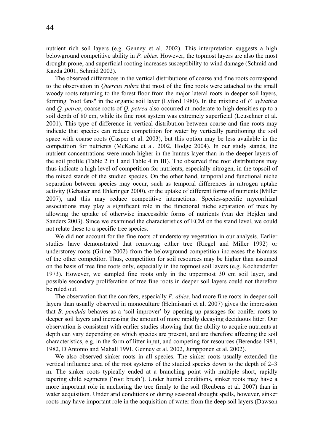nutrient rich soil layers (e.g. Genney et al. 2002). This interpretation suggests a high belowground competitive ability in *P. abies*. However, the topmost layers are also the most drought-prone, and superficial rooting increases susceptibility to wind damage (Schmid and Kazda 2001, Schmid 2002).

The observed differences in the vertical distributions of coarse and fine roots correspond to the observation in *Quercus rubra* that most of the fine roots were attached to the small woody roots returning to the forest floor from the major lateral roots in deeper soil layers, forming "root fans" in the organic soil layer (Lyford 1980). In the mixture of *F. sylvatica* and *Q. petrea*, coarse roots of *Q. petrea* also occurred at moderate to high densities up to a soil depth of 80 cm, while its fine root system was extremely superficial (Leuschner et al. 2001). This type of difference in vertical distribution between coarse and fine roots may indicate that species can reduce competition for water by vertically partitioning the soil space with coarse roots (Casper et al. 2003), but this option may be less available in the competition for nutrients (McKane et al. 2002, Hodge 2004). In our study stands, the nutrient concentrations were much higher in the humus layer than in the deeper layers of the soil profile (Table 2 in I and Table 4 in III). The observed fine root distributions may thus indicate a high level of competition for nutrients, especially nitrogen, in the topsoil of the mixed stands of the studied species. On the other hand, temporal and functional niche separation between species may occur, such as temporal differences in nitrogen uptake activity (Gebauer and Ehleringer 2000), or the uptake of different forms of nutrients (Miller 2007), and this may reduce competitive interactions. Species-specific mycorrhizal associations may play a significant role in the functional niche separation of trees by allowing the uptake of otherwise inaccessible forms of nutrients (van der Hejden and Sanders 2003). Since we examined the characteristics of ECM on the stand level, we could not relate these to a specific tree species.

We did not account for the fine roots of understorey vegetation in our analysis. Earlier studies have demonstrated that removing either tree (Riegel and Miller 1992) or understorey roots (Grime 2002) from the belowground competition increases the biomass of the other competitor. Thus, competition for soil resources may be higher than assumed on the basis of tree fine roots only, especially in the topmost soil layers (e.g. Kochenderfer 1973). However, we sampled fine roots only in the uppermost 30 cm soil layer, and possible secondary proliferation of tree fine roots in deeper soil layers could not therefore be ruled out.

The observation that the conifers, especially *P. abies*, had more fine roots in deeper soil layers than usually observed in monoculture (Helmisaari et al. 2007) gives the impression that *B. pendula* behaves as a 'soil improver' by opening up passages for conifer roots to deeper soil layers and increasing the amount of more rapidly decaying deciduous litter. Our observation is consistent with earlier studies showing that the ability to acquire nutrients at depth can vary depending on which species are present, and are therefore affecting the soil characteristics, e.g. in the form of litter input, and competing for resources (Berendse 1981, 1982, D'Antonio and Mahall 1991, Genney et al. 2002, Jumpponen et al. 2002).

We also observed sinker roots in all species. The sinker roots usually extended the vertical influence area of the root systems of the studied species down to the depth of 2–3 m. The sinker roots typically ended at a branching point with multiple short, rapidly tapering child segments ('root brush'). Under humid conditions, sinker roots may have a more important role in anchoring the tree firmly to the soil (Reubens et al. 2007) than in water acquisition. Under arid conditions or during seasonal drought spells, however, sinker roots may have important role in the acquisition of water from the deep soil layers (Dawson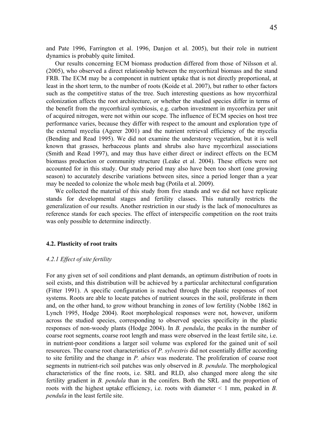<span id="page-44-0"></span>and Pate 1996, Farrington et al. 1996, Danjon et al. 2005), but their role in nutrient dynamics is probably quite limited.

Our results concerning ECM biomass production differed from those of Nilsson et al. (2005), who observed a direct relationship between the mycorrhizal biomass and the stand FRB. The ECM may be a component in nutrient uptake that is not directly proportional, at least in the short term, to the number of roots (Koide et al. 2007), but rather to other factors such as the competitive status of the tree. Such interesting questions as how mycorrhizal colonization affects the root architecture, or whether the studied species differ in terms of the benefit from the mycorrhizal symbiosis, e.g. carbon investment in mycorrhiza per unit of acquired nitrogen, were not within our scope. The influence of ECM species on host tree performance varies, because they differ with respect to the amount and exploration type of the external mycelia (Agerer 2001) and the nutrient retrieval efficiency of the mycelia (Bending and Read 1995). We did not examine the understorey vegetation, but it is well known that grasses, herbaceous plants and shrubs also have mycorrhizal associations (Smith and Read 1997), and may thus have either direct or indirect effects on the ECM biomass production or community structure (Leake et al. 2004). These effects were not accounted for in this study. Our study period may also have been too short (one growing season) to accurately describe variations between sites, since a period longer than a year may be needed to colonize the whole mesh bag (Potila et al. 2009).

We collected the material of this study from five stands and we did not have replicate stands for developmental stages and fertility classes. This naturally restricts the generalization of our results. Another restriction in our study is the lack of monocultures as reference stands for each species. The effect of interspecific competition on the root traits was only possible to determine indirectly.

# **4.2. Plasticity of root traits**

#### *4.2.1 Effect of site fertility*

For any given set of soil conditions and plant demands, an optimum distribution of roots in soil exists, and this distribution will be achieved by a particular architectural configuration (Fitter 1991). A specific configuration is reached through the plastic responses of root systems. Roots are able to locate patches of nutrient sources in the soil, proliferate in them and, on the other hand, to grow without branching in zones of low fertility (Nobbe 1862 in Lynch 1995, Hodge 2004). Root morphological responses were not, however, uniform across the studied species, corresponding to observed species specificity in the plastic responses of non-woody plants (Hodge 2004). In *B. pendula*, the peaks in the number of coarse root segments, coarse root length and mass were observed in the least fertile site, i.e. in nutrient-poor conditions a larger soil volume was explored for the gained unit of soil resources. The coarse root characteristics of *P. sylvestris* did not essentially differ according to site fertility and the change in *P. abies* was moderate. The proliferation of coarse root segments in nutrient-rich soil patches was only observed in *B. pendula*. The morphological characteristics of the fine roots, i.e. SRL and RLD, also changed more along the site fertility gradient in *B. pendula* than in the conifers. Both the SRL and the proportion of roots with the highest uptake efficiency, i.e. roots with diameter < 1 mm, peaked in *B. pendula* in the least fertile site.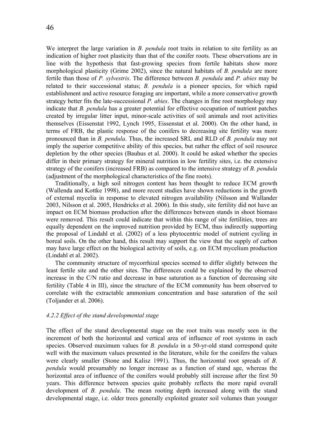<span id="page-45-0"></span>We interpret the large variation in *B. pendula* root traits in relation to site fertility as an indication of higher root plasticity than that of the conifer roots. These observations are in line with the hypothesis that fast-growing species from fertile habitats show more morphological plasticity (Grime 2002), since the natural habitats of *B. pendula* are more fertile than those of *P. sylvestris*. The difference between *B. pendula* and *P. abies* may be related to their successional status; *B. pendula* is a pioneer species, for which rapid establishment and active resource foraging are important, while a more conservative growth strategy better fits the late-successional *P. abies*. The changes in fine root morphology may indicate that *B. pendula* has a greater potential for effective occupation of nutrient patches created by irregular litter input, minor-scale activities of soil animals and root activities themselves (Eissenstat 1992, Lynch 1995, Eissenstat et al. 2000). On the other hand, in terms of FRB, the plastic response of the conifers to decreasing site fertility was more pronounced than in *B. pendula*. Thus, the increased SRL and RLD of *B. pendula* may not imply the superior competitive ability of this species, but rather the effect of soil resource depletion by the other species (Bauhus et al. 2000). It could be asked whether the species differ in their primary strategy for mineral nutrition in low fertility sites, i.e. the extensive strategy of the conifers (increased FRB) as compared to the intensive strategy of *B. pendula* (adjustment of the morphological characteristics of the fine roots).

Traditionally, a high soil nitrogen content has been thought to reduce ECM growth (Wallenda and Kottke 1998), and more recent studies have shown reductions in the growth of external mycelia in response to elevated nitrogen availability (Nilsson and Wallander 2003, Nilsson et al. 2005, Hendricks et al. 2006). In this study, site fertility did not have an impact on ECM biomass production after the differences between stands in shoot biomass were removed. This result could indicate that within this range of site fertilities, trees are equally dependent on the improved nutrition provided by ECM, thus indirectly supporting the proposal of Lindahl et al. (2002) of a less phytocentric model of nutrient cycling in boreal soils. On the other hand, this result may support the view that the supply of carbon may have large effect on the biological activity of soils, e.g. on ECM mycelium production (Lindahl et al. 2002).

The community structure of mycorrhizal species seemed to differ slightly between the least fertile site and the other sites. The differences could be explained by the observed increase in the C/N ratio and decrease in base saturation as a function of decreasing site fertility (Table 4 in III), since the structure of the ECM community has been observed to correlate with the extractable ammonium concentration and base saturation of the soil (Toljander et al. 2006).

# *4.2.2 Effect of the stand developmental stage*

The effect of the stand developmental stage on the root traits was mostly seen in the increment of both the horizontal and vertical area of influence of root systems in each species. Observed maximum values for *B. pendula* in a 50-yr-old stand correspond quite well with the maximum values presented in the literature, while for the conifers the values were clearly smaller (Stone and Kalisz 1991). Thus, the horizontal root spreads of *B. pendula* would presumably no longer increase as a function of stand age, whereas the horizontal area of influence of the conifers would probably still increase after the first 50 years. This difference between species quite probably reflects the more rapid overall development of *B. pendula*. The mean rooting depth increased along with the stand developmental stage, i.e. older trees generally exploited greater soil volumes than younger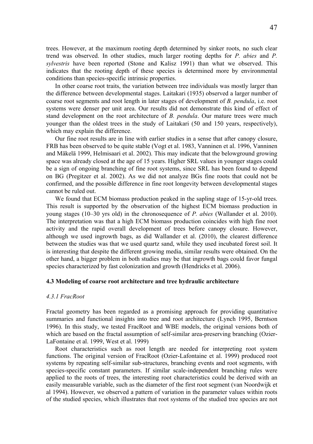<span id="page-46-0"></span>trees. However, at the maximum rooting depth determined by sinker roots, no such clear trend was observed. In other studies, much larger rooting depths for *P. abies* and *P. sylvestris* have been reported (Stone and Kalisz 1991) than what we observed. This indicates that the rooting depth of these species is determined more by environmental conditions than species-specific intrinsic properties.

In other coarse root traits, the variation between tree individuals was mostly larger than the difference between developmental stages. Laitakari (1935) observed a larger number of coarse root segments and root length in later stages of development of *B. pendula*, i.e. root systems were denser per unit area. Our results did not demonstrate this kind of effect of stand development on the root architecture of *B. pendula*. Our mature trees were much younger than the oldest trees in the study of Laitakari (50 and 150 years, respectively), which may explain the difference.

Our fine root results are in line with earlier studies in a sense that after canopy closure, FRB has been observed to be quite stable (Vogt et al. 1983, Vanninen et al. 1996, Vanninen and Mäkelä 1999, Helmisaari et al. 2002). This may indicate that the belowground growing space was already closed at the age of 15 years. Higher SRL values in younger stages could be a sign of ongoing branching of fine root systems, since SRL has been found to depend on BG (Pregitzer et al. 2002). As we did not analyze BGs fine roots that could not be confirmed, and the possible difference in fine root longevity between developmental stages cannot be ruled out.

We found that ECM biomass production peaked in the sapling stage of 15-yr-old trees. This result is supported by the observation of the highest ECM biomass production in young stages (10–30 yrs old) in the chronosequence of *P. abies* (Wallander et al. 2010). The interpretation was that a high ECM biomass production coincides with high fine root activity and the rapid overall development of trees before canopy closure. However, although we used ingrowth bags, as did Wallander et al. (2010), the clearest difference between the studies was that we used quartz sand, while they used incubated forest soil. It is interesting that despite the different growing media, similar results were obtained. On the other hand, a bigger problem in both studies may be that ingrowth bags could favor fungal species characterized by fast colonization and growth (Hendricks et al. 2006).

## **4.3 Modeling of coarse root architecture and tree hydraulic architecture**

### *4.3.1 FracRoot*

Fractal geometry has been regarded as a promising approach for providing quantitative summaries and functional insights into tree and root architecture (Lynch 1995, Berntson 1996). In this study, we tested FracRoot and WBE models, the original versions both of which are based on the fractal assumption of self-similar area-preserving branching (Ozier-LaFontaine et al. 1999, West et al. 1999)

Root characteristics such as root length are needed for interpreting root system functions. The original version of FracRoot (Ozier-Lafontaine et al. 1999) produced root systems by repeating self-similar sub-structures, branching events and root segments, with species-specific constant parameters. If similar scale-independent branching rules were applied to the roots of trees, the interesting root characteristics could be derived with an easily measurable variable, such as the diameter of the first root segment (van Noordwijk et al 1994). However, we observed a pattern of variation in the parameter values within roots of the studied species, which illustrates that root systems of the studied tree species are not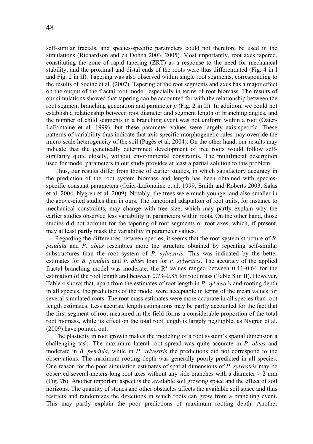self-similar fractals, and species-specific parameters could not therefore be used in the simulations (Richardson and zu Dohna 2003, 2005). Most importantly, root axes tapered, constituting the zone of rapid tapering (ZRT) as a response to the need for mechanical stability, and the proximal and distal ends of the roots were thus differentiated (Fig. 4 in I and Fig. 2 in II). Tapering was also observed within single root segments, corresponding to the results of Soethe et al. (2007). Tapering of the root segments and axes has a major effect on the output of the fractal root model, especially in terms of root biomass. The results of our simulations showed that tapering can be accounted for with the relationship between the root segment branching generation and parameter *p* (Fig. 2 in II). In addition, we could not establish a relationship between root diameter and segment length or branching angles, and the number of child segments in a branching event was not uniform within a root (Ozier-LaFontaine et al. 1999), but these parameter values were largely axis-specific. These patterns of variability thus indicate that axis-specific morphogenetic rules may override the micro-scale heterogeneity of the soil (Pagès et al. 2004). On the other hand, our results may indicate that the genetically determined development of tree roots would follow selfsimilarity quite closely, without environmental constraints. The multifractal description used for model parameters in our study provides at least a partial solution to this problem.

Thus, our results differ from those of earlier studies, in which satisfactory accuracy in the prediction of the root system biomass and length has been obtained with speciesspecific constant parameters (Ozier-Lafontaine et al. 1999, Smith and Roberts 2003, Salas et al. 2004, Nygren et al. 2009). Notably, the trees were much younger and also smaller in the above-cited studies than in ours. The functional adaptation of root traits, for instance to mechanical constraints, may change with tree size, which may partly explain why the earlier studies observed less variability in parameters within roots. On the other hand, those studies did not account for the tapering of root segments or root axes, which, if present, may at least partly mask the variability in parameter values.

Regarding the differences between species, it seems that the root system structure of *B. pendula* and *P. abies* resembles more the structure obtained by repeating self-similar substructures than the root system of *P. sylvestris*. This was indicated by the better estimates for *B. pendula* and *P. abies* than for *P. sylvestris*. The accuracy of the applied fractal branching model was moderate; the  $R^2$  values ranged between 0.44–0.64 for the estimation of the root length and between 0.73–0.85 for root mass (Table 8 in II). However, Table 4 shows that, apart from the estimates of root length in *P. sylvestris* and rooting depth in all species, the predictions of the model were acceptable in terms of the mean values for several simulated roots. The root mass estimates were more accurate in all species than root length estimates. Less accurate length estimations may be partly accounted for the fact that the first segment of root measured in the field forms a considerable proportion of the total root biomass, while its effect on the total root length is largely negligible, as Nygren et al. (2009) have pointed out.

The plasticity in root growth makes the modeling of a root system's spatial dimension a challenging task. The maximum lateral root spread was quite accurate in *P. abies* and moderate in *B. pendula*, while in *P. sylvestris* the predictions did not correspond to the observations. The maximum rooting depth was generally poorly predicted in all species. One reason for the poor simulation estimates of spatial dimensions of *P. sylvestris* may be observed several-meters-long root axes without any side branches with a diameter > 2 mm (Fig. 7b). Another important aspect is the available soil growing space and the effect of soil horizons. The quantity of stones and other obstacles affects the available soil space and thus restricts and randomizes the directions in which roots can grow from a branching event. This may partly explain the poor predictions of maximum rooting depth. Another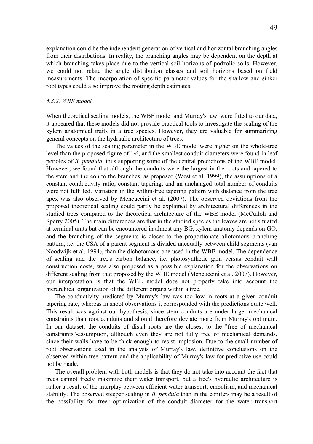<span id="page-48-0"></span>explanation could be the independent generation of vertical and horizontal branching angles from their distributions. In reality, the branching angles may be dependent on the depth at which branching takes place due to the vertical soil horizons of podzolic soils. However, we could not relate the angle distribution classes and soil horizons based on field measurements. The incorporation of specific parameter values for the shallow and sinker root types could also improve the rooting depth estimates.

### *4.3.2. WBE model*

When theoretical scaling models, the WBE model and Murray's law, were fitted to our data, it appeared that these models did not provide practical tools to investigate the scaling of the xylem anatomical traits in a tree species. However, they are valuable for summarizing general concepts on the hydraulic architecture of trees.

The values of the scaling parameter in the WBE model were higher on the whole-tree level than the proposed figure of 1/6, and the smallest conduit diameters were found in leaf petioles of *B. pendula*, thus supporting some of the central predictions of the WBE model. However, we found that although the conduits were the largest in the roots and tapered to the stem and thereon to the branches, as proposed (West et al. 1999), the assumptions of a constant conductivity ratio, constant tapering, and an unchanged total number of conduits were not fulfilled. Variation in the within-tree tapering pattern with distance from the tree apex was also observed by Mencuccini et al. (2007). The observed deviations from the proposed theoretical scaling could partly be explained by architectural differences in the studied trees compared to the theoretical architecture of the WBE model (McCulloh and Sperry 2005). The main differences are that in the studied species the leaves are not situated at terminal units but can be encountered in almost any BG, xylem anatomy depends on GO, and the branching of the segments is closer to the proportionate allotomous branching pattern, i.e. the CSA of a parent segment is divided unequally between child segments (van Noodwijk et al. 1994), than the dichotomous one used in the WBE model. The dependence of scaling and the tree's carbon balance, i.e. photosynthetic gain versus conduit wall construction costs, was also proposed as a possible explanation for the observations on different scaling from that proposed by the WBE model (Mencuccini et al. 2007). However, our interpretation is that the WBE model does not properly take into account the hierarchical organization of the different organs within a tree.

The conductivity predicted by Murray's law was too low in roots at a given conduit tapering rate, whereas in shoot observations it corresponded with the predictions quite well. This result was against our hypothesis, since stem conduits are under larger mechanical constraints than root conduits and should therefore deviate more from Murray's optimum. In our dataset, the conduits of distal roots are the closest to the "free of mechanical constraints"-assumption, although even they are not fully free of mechanical demands, since their walls have to be thick enough to resist implosion. Due to the small number of root observations used in the analysis of Murray's law, definitive conclusions on the observed within-tree pattern and the applicability of Murray's law for predictive use could not be made.

The overall problem with both models is that they do not take into account the fact that trees cannot freely maximize their water transport, but a tree's hydraulic architecture is rather a result of the interplay between efficient water transport, embolism, and mechanical stability. The observed steeper scaling in *B. pendula* than in the conifers may be a result of the possibility for freer optimization of the conduit diameter for the water transport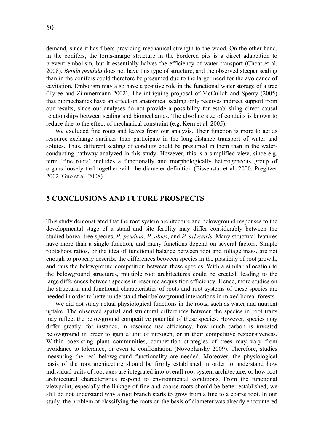<span id="page-49-0"></span>demand, since it has fibers providing mechanical strength to the wood. On the other hand, in the conifers, the torus-margo structure in the bordered pits is a direct adaptation to prevent embolism, but it essentially halves the efficiency of water transport (Choat et al. 2008). *Betula pendula* does not have this type of structure, and the observed steeper scaling than in the conifers could therefore be presumed due to the larger need for the avoidance of cavitation. Embolism may also have a positive role in the functional water storage of a tree (Tyree and Zimmermann 2002). The intriguing proposal of McCulloh and Sperry (2005) that biomechanics have an effect on anatomical scaling only receives indirect support from our results, since our analyses do not provide a possibility for establishing direct causal relationships between scaling and biomechanics. The absolute size of conduits is known to reduce due to the effect of mechanical constraint (e.g. Kern et al. 2005).

We excluded fine roots and leaves from our analysis. Their function is more to act as resource-exchange surfaces than participate in the long-distance transport of water and solutes. Thus, different scaling of conduits could be presumed in them than in the waterconducting pathway analyzed in this study. However, this is a simplified view, since e.g. term 'fine roots' includes a functionally and morphologically heterogeneous group of organs loosely tied together with the diameter definition (Eissenstat et al. 2000, Pregitzer 2002, Guo et al. 2008).

# **5 CONCLUSIONS AND FUTURE PROSPECTS**

This study demonstrated that the root system architecture and belowground responses to the developmental stage of a stand and site fertility may differ considerably between the studied boreal tree species, *B. pendula*, *P. abies*, and *P. sylvestris*. Many structural features have more than a single function, and many functions depend on several factors. Simple root:shoot ratios, or the idea of functional balance between root and foliage mass, are not enough to properly describe the differences between species in the plasticity of root growth, and thus the belowground competition between these species. With a similar allocation to the belowground structures, multiple root architectures could be created, leading to the large differences between species in resource acquisition efficiency. Hence, more studies on the structural and functional characteristics of roots and root systems of these species are needed in order to better understand their belowground interactions in mixed boreal forests.

We did not study actual physiological functions in the roots, such as water and nutrient uptake. The observed spatial and structural differences between the species in root traits may reflect the belowground competitive potential of these species. However, species may differ greatly, for instance, in resource use efficiency, how much carbon is invested belowground in order to gain a unit of nitrogen, or in their competitive responsiveness. Within coexisting plant communities, competition strategies of trees may vary from avoidance to tolerance, or even to confrontation (Novoplansky 2009). Therefore, studies measuring the real belowground functionality are needed. Moreover, the physiological basis of the root architecture should be firmly established in order to understand how individual traits of root axes are integrated into overall root system architecture, or how root architectural characteristics respond to environmental conditions. From the functional viewpoint, especially the linkage of fine and coarse roots should be better established; we still do not understand why a root branch starts to grow from a fine to a coarse root. In our study, the problem of classifying the roots on the basis of diameter was already encountered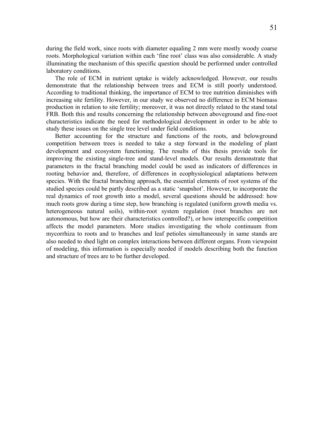during the field work, since roots with diameter equaling 2 mm were mostly woody coarse roots. Morphological variation within each 'fine root' class was also considerable. A study illuminating the mechanism of this specific question should be performed under controlled laboratory conditions.

The role of ECM in nutrient uptake is widely acknowledged. However, our results demonstrate that the relationship between trees and ECM is still poorly understood. According to traditional thinking, the importance of ECM to tree nutrition diminishes with increasing site fertility. However, in our study we observed no difference in ECM biomass production in relation to site fertility; moreover, it was not directly related to the stand total FRB. Both this and results concerning the relationship between aboveground and fine-root characteristics indicate the need for methodological development in order to be able to study these issues on the single tree level under field conditions.

Better accounting for the structure and functions of the roots, and belowground competition between trees is needed to take a step forward in the modeling of plant development and ecosystem functioning. The results of this thesis provide tools for improving the existing single-tree and stand-level models. Our results demonstrate that parameters in the fractal branching model could be used as indicators of differences in rooting behavior and, therefore, of differences in ecophysiological adaptations between species. With the fractal branching approach, the essential elements of root systems of the studied species could be partly described as a static 'snapshot'. However, to incorporate the real dynamics of root growth into a model, several questions should be addressed: how much roots grow during a time step, how branching is regulated (uniform growth media vs. heterogeneous natural soils), within-root system regulation (root branches are not autonomous, but how are their characteristics controlled?), or how interspecific competition affects the model parameters. More studies investigating the whole continuum from mycorrhiza to roots and to branches and leaf petioles simultaneously in same stands are also needed to shed light on complex interactions between different organs. From viewpoint of modeling, this information is especially needed if models describing both the function and structure of trees are to be further developed.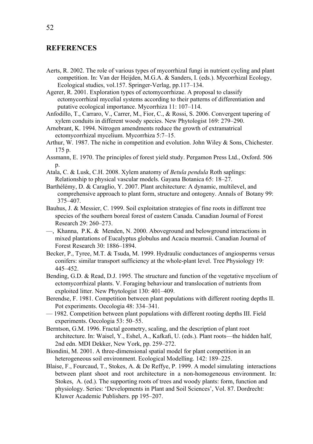# <span id="page-51-0"></span>**REFERENCES**

Aerts, R. 2002. The role of various types of mycorrhizal fungi in nutrient cycling and plant competition. In: Van der Heijden, M.G.A. & Sanders, I. (eds.). Mycorrhizal Ecology, Ecological studies, vol.157. Springer-Verlag, pp.117–134.

Agerer, R. 2001. Exploration types of ectomycorrhizae. A proposal to classify ectomycorrhizal mycelial systems according to their patterns of differentiation and putative ecological importance. Mycorrhiza 11: 107–114.

Anfodillo, T., Carraro, V., Carrer, M., Fior, C., & Rossi, S. 2006. Convergent tapering of xylem conduits in different woody species. New Phytologist 169: 279–290.

Arnebrant, K. 1994. Nitrogen amendments reduce the growth of extramatrical ectomycorrhizal mycelium. Mycorrhiza 5:7–15.

Arthur, W. 1987. The niche in competition and evolution. John Wiley & Sons, Chichester. 175 p.

- Assmann, E. 1970. The principles of forest yield study. Pergamon Press Ltd., Oxford. 506 p.
- Atala, C. & Lusk, C.H. 2008. Xylem anatomy of *Betula pendula* Roth saplings: Relationship to physical vascular models. Gayana Botanica 65: 18–27.
- Barthélémy, D. & Caraglio, Y. 2007. Plant architecture: A dynamic, multilevel, and comprehensive approach to plant form, structure and ontogeny. Annals of Botany 99: 375–407.
- Bauhus, J. & Messier, C. 1999. Soil exploitation strategies of fine roots in different tree species of the southern boreal forest of eastern Canada. Canadian Journal of Forest Research 29: 260–273.
- —, Khanna, P.K. & Menden, N. 2000. Aboveground and belowground interactions in mixed plantations of Eucalyptus globulus and Acacia mearnsii. Canadian Journal of Forest Research 30: 1886–1894.
- Becker, P., Tyree, M.T. & Tsuda, M. 1999. Hydraulic conductances of angiosperms versus conifers: similar transport sufficiency at the whole-plant level. Tree Physiology 19: 445–452.
- Bending, G.D. & Read, D.J. 1995. The structure and function of the vegetative mycelium of ectomycorrhizal plants. V. Foraging behaviour and translocation of nutrients from exploited litter. New Phytologist 130: 401–409.
- Berendse, F. 1981. Competition between plant populations with different rooting depths II. Pot experiments. Oecologia 48: 334–341.
- 1982. Competition between plant populations with different rooting depths III. Field experiments. Oecologia 53: 50–55.

Berntson, G.M. 1996. Fractal geometry, scaling, and the description of plant root architecture. In: Waisel, Y., Eshel, A., Kafkafi, U. (eds.). Plant roots—the hidden half, 2nd edn. MDI Dekker, New York, pp. 259–272.

- Biondini, M. 2001. A three-dimensional spatial model for plant competition in an heterogeneous soil environment. Ecological Modelling. 142: 189–225.
- Blaise, F., Fourcaud, T., Stokes, A. & De Reffye, P. 1999. A model simulating interactions between plant shoot and root architecture in a non-homogeneous environment. In: Stokes, A. (ed.). The supporting roots of trees and woody plants: form, function and physiology. Series: 'Developments in Plant and Soil Sciences', Vol. 87. Dordrecht: Kluwer Academic Publishers. pp 195–207.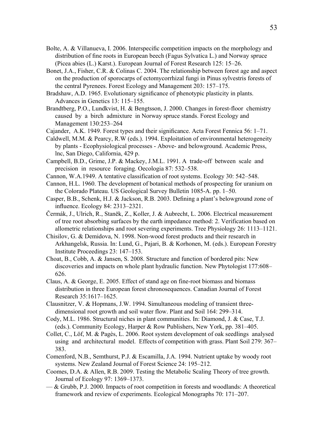- Bolte, A. & Villanueva, I. 2006. Interspecific competition impacts on the morphology and distribution of fine roots in European beech (Fagus Sylvatica L.) and Norway spruce (Picea abies (L.) Karst.). European Journal of Forest Research 125: 15–26.
- Bonet, J.A., Fisher, C.R. & Colinas C. 2004. The relationship between forest age and aspect on the production of sporocarps of ectomycorrhizal fungi in Pinus sylvestris forests of the central Pyrenees. Forest Ecology and Management 203: 157–175.
- Bradshaw, A.D. 1965. Evolutionary significance of phenotypic plasticity in plants. Advances in Genetics 13: 115–155.
- Brandtberg, P.O., Lundkvist, H. & Bengtsson, J. 2000. Changes in forest-floor chemistry caused by a birch admixture in Norway spruce stands. Forest Ecology and Management 130:253–264
- Cajander, A.K. 1949. Forest types and their significance. Acta Forest Fennica 56: 1–71.
- Caldwell, M.M. & Pearcy, R.W (eds.). 1994. Exploitation of environmental heterogeneity by plants - Ecophysiological processes - Above- and belowground. Academic Press, lnc, San Diego, California, 429 p.
- Campbell, B.D., Grime, J.P. & Mackey, J.M.L. 1991. A trade-off between scale and precision in resource foraging. Oecologia 87: 532–538.
- Cannon, W.A.1949. A tentative classification of root systems. Ecology 30: 542–548.
- Cannon, H.L. 1960. The development of botanical methods of prospecting for uranium on the Colorado Plateau. US Geological Survey Bulletin 1085-A. pp. 1–50.
- Casper, B.B., Schenk, H.J. & Jackson, R.B. 2003. Defining a plant's belowground zone of influence. Ecology 84: 2313–2321.
- Čermák, J., Ulrich, R., Staněk, Z., Koller, J. & Aubrecht, L. 2006. Electrical measurement of tree root absorbing surfaces by the earth impedance method: 2. Verification based on allometric relationships and root severing experiments. Tree Physiology 26: 1113–1121.
- Chisilov, G. & Demidova, N. 1998. Non-wood forest products and their research in Arkhangelsk, Russia. In: Lund, G., Pajari, B. & Korhonen, M. (eds.). European Forestry Institute Proceedings 23: 147–153.
- Choat, B., Cobb, A. & Jansen, S. 2008. Structure and function of bordered pits: New discoveries and impacts on whole plant hydraulic function. New Phytologist 177:608– 626.
- Claus, A. & George, E. 2005. Effect of stand age on fine-root biomass and biomass distribution in three European forest chronosequences. Canadian Journal of Forest Research 35:1617–1625.
- Clausnitzer, V. & Hopmans, J.W. 1994. Simultaneous modeling of transient threedimensional root growth and soil water flow. Plant and Soil 164: 299–314.
- Cody, M.L. 1986. Structural niches in plant communities. In: Diamond, J. & Case, T.J. (eds.). Community Ecology, Harper & Row Publishers, New York, pp. 381–405.
- Collet, C., Löf, M. & Pagès, L. 2006. Root system development of oak seedlings analysed using and architectural model. Effects of competition with grass. Plant Soil 279: 367– 383.
- Comenford, N.B., Semthurst, P.J. & Escamilla, J.A. 1994. Nutrient uptake by woody root systems. New Zealand Journal of Forest Science 24: 195–212.
- Coomes, D.A. & Allen, R.B. 2009. Testing the Metabolic Scaling Theory of tree growth. Journal of Ecology 97: 1369–1373.
- & Grubb, P.J. 2000. Impacts of root competition in forests and woodlands: A theoretical framework and review of experiments. Ecological Monographs 70: 171–207.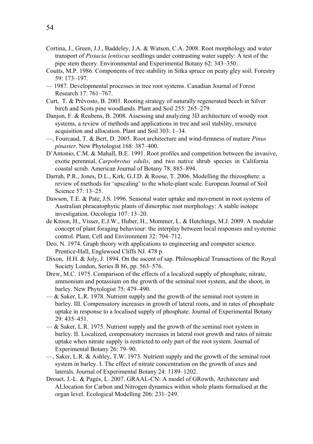- Cortina, J., Green, J.J., Baddeley, J.A. & Watson, C.A. 2008. Root morphology and water transport of *Pistacia lentiscus* seedlings under contrasting water supply: A test of the pipe stem theory. Environmental and Experimental Botany 62: 343–350.
- Coutts, M.P. 1986. Components of tree stability in Sitka spruce on peaty gley soil. Forestry 59: 173–197.
- 1987. Developmental processes in tree root systems. Canadian Journal of Forest Research 17: 761–767.
- Curt, T. & Prévosto, B. 2003. Rooting strategy of naturally regenerated beech in Silver birch and Scots pine woodlands. Plant and Soil 255: 265–279.
- Danjon, F. & Reubens, B. 2008. Assessing and analyzing 3D architecture of woody root systems, a review of methods and applications in tree and soil stability, resource acquisition and allocation. Plant and Soil 303: 1–34.
- —, Fourcaud, T. & Bert, D. 2005. Root architecture and wind-firmness of mature *Pinus pinaster*. New Phytologist 168: 387–400.
- D'Antonio, C.M. & Mahall, B.E. 1991. Root profiles and competition between the invasive, exotic perennial, *Carpobrotus edulis*, and two native shrub species in California coastal scrub. American Journal of Botany 78: 885–894.
- Darrah, P.R., Jones, D.L., Kirk, G.J.D. & Roose, T. 2006. Modelling the rhizosphere: a review of methods for 'upscaling' to the whole-plant scale. European Journal of Soil Science 57: 13–25.
- Dawson, T.E. & Pate, J.S. 1996. Seasonal water uptake and movement in root systems of Australian phraeatophytic plants of dimorphic root morphology: A stable isotope investigation. Oecologia 107: 13–20.
- de Kroon, H., Visser, E.J.W., Huber, H., Mommer, L. & Hutchings, M.J. 2009. A modular concept of plant foraging behaviour: the interplay between local responses and systemic control. Plant, Cell and Environment 32: 704–712.
- Deo, N. 1974. Graph theory with applications to engineering and computer science. Prentice-Hall, Englewood Cliffs NJ. 478 p.
- Dixon, H.H. & Joly, J. 1894. On the ascent of sap. Philosophical Transactions of the Royal Society London, Series B 86, pp. 563–576.
- Drew, M.C. 1975. Comparison of the effects of a localized supply of phosphate, nitrate, ammonium and potassium on the growth of the seminal root system, and the shoot, in barley. New Phytologist 75: 479–490.
- $-\&$  Saker, L.R. 1978. Nutrient supply and the growth of the seminal root system in barley. III. Compensatory increases in growth of lateral roots, and in rates of phosphate uptake in response to a localised supply of phosphate. Journal of Experimental Botany 29: 435–451.
- $-\&$  Saker, L.R. 1975. Nutrient supply and the growth of the seminal root system in barley. II. Localized, compensatory increases in lateral root growth and rates of nitrate uptake when nitrate supply is restricted to only part of the root system. Journal of Experimental Botany 26: 79–90.
- —, Saker, L.R. & Ashley, T.W. 1973. Nutrient supply and the growth of the seminal root system in barley. I. The effect of nitrate concentration on the growth of axes and laterals. Journal of Experimental Botany 24: 1189–1202.
- Drouet, J.-L. & Pagès, L. 2007. GRAAL-CN: A model of GRowth, Architecture and ALlocation for Carbon and Nitrogen dynamics within whole plants formalised at the organ level. Ecological Modelling 206: 231–249.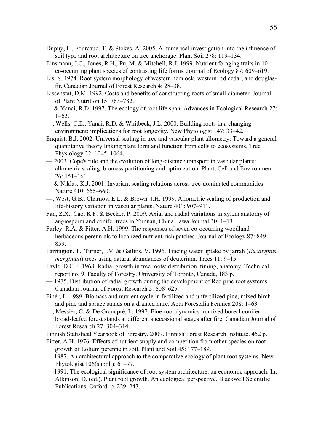- Dupuy, L., Fourcaud, T. & Stokes, A. 2005. A numerical investigation into the influence of soil type and root architecture on tree anchorage. Plant Soil 278: 119–134.
- Einsmann, J.C., Jones, R.H., Pu, M. & Mitchell, R.J. 1999. Nutrient foraging traits in 10 co-occurring plant species of contrasting life forms. Journal of Ecology 87: 609–619.
- Eis, S. 1974. Root system morphology of western hemlock, western red cedar, and douglasfir. Canadian Journal of Forest Research 4: 28–38.
- Eissenstat, D.M. 1992. Costs and benefits of constructing roots of small diameter. Journal of Plant Nutrition 15: 763–782.
- & Yanai, R.D. 1997. The ecology of root life span. Advances in Ecological Research 27: 1–62.
- —, Wells, C.E., Yanai, R.D. & Whitbeck, J.L. 2000. Building roots in a changing environment: implications for root longevity. New Phytologist 147: 33–42.
- Enquist, B.J. 2002. Universal scaling in tree and vascular plant allometry: Toward a general quantitative theory linking plant form and function from cells to ecosystems. Tree Physiology 22: 1045–1064.
- 2003. Cope's rule and the evolution of long-distance transport in vascular plants: allometric scaling, biomass partitioning and optimization. Plant, Cell and Environment 26: 151–161.
- $-\&$  Niklas, K.J. 2001. Invariant scaling relations across tree-dominated communities. Nature 410: 655–660.
- —, West, G.B., Charnov, E.L. & Brown, J.H. 1999. Allometric scaling of production and life-history variation in vascular plants. Nature 401: 907–911.
- Fan, Z.X., Cao, K.F. & Becker, P. 2009. Axial and radial variations in xylem anatomy of angiosperm and conifer trees in Yunnan, China. Iawa Journal 30: 1–13
- Farley, R.A. & Fitter, A.H. 1999. The responses of seven co-occurring woodland herbaceous perennials to localized nutrient-rich patches. Journal of Ecology 87: 849– 859.
- Farrington, T., Turner, J.V. & Gailitis, V. 1996. Tracing water uptake by jarrah (*Eucalyptus marginata*) trees using natural abundances of deuterium. Trees 11: 9–15.
- Fayle, D.C.F. 1968. Radial growth in tree roots; distribution, timing, anatomy. Technical report no. 9. Faculty of Forestry, University of Toronto, Canada, 183 p.
- 1975. Distribution of radial growth during the development of Red pine root systems. Canadian Journal of Forest Research 5: 608–625.
- Finér, L. 1989. Biomass and nutrient cycle in fertilized and unfertilized pine, mixed birch and pine and spruce stands on a drained mire. Acta Forestalia Fennica 208: 1–63.
- —, Messier, C. & De Grandpré, L. 1997. Fine-root dynamics in mixed boreal coniferbroad-leafed forest stands at different successional stages after fire. Canadian Journal of Forest Research 27: 304–314.

Finnish Statistical Yearbook of Forestry. 2009. Finnish Forest Research Institute. 452 p.

- Fitter, A.H. 1976. Effects of nutrient supply and competition from other species on root growth of Lolium perenne in soil. Plant and Soil 45: 177–189.
- 1987. An architectural approach to the comparative ecology of plant root systems. New Phytologist 106(suppl.): 61–77.
- 1991. The ecological significance of root system architecture: an economic approach. In: Atkinson, D. (ed.). Plant root growth. An ecological perspective. Blackwell Scientific Publications, Oxford. p. 229–243.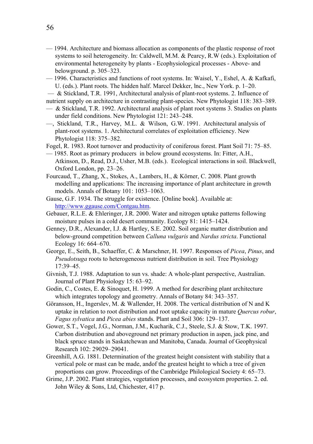- 1994. Architecture and biomass allocation as components of the plastic response of root systems to soil heterogeneity. In: Caldwell, M.M. & Pearcy, R.W (eds.). Exploitation of environmental heterogeneity by plants - Ecophysiological processes - Above- and belowground. p. 305–323.
- 1996. Characteristics and functions of root systems. In: Waisel, Y., Eshel, A. & Kafkafi, U. (eds.). Plant roots. The hidden half. Marcel Dekker, lnc., New York. p. 1–20.
- & Stickland, T.R. 1991, Architectural analysis of plant-root systems. 2. Influence of nutrient supply on architecture in contrasting plant-species. New Phytologist 118: 383–389.
- $\sim$  & Stickland, T.R. 1992. Architectural analysis of plant root systems 3. Studies on plants under field conditions. New Phytologist 121: 243–248.
- —, Stickland, T.R., Harvey, M.L. & Wilson, G.W. 1991. Architectural analysis of plant-root systems. 1. Architectural correlates of exploitation efficiency. New Phytologist 118: 375–382.
- Fogel, R. 1983. Root turnover and productivity of coniferous forest. Plant Soil 71: 75–85.
- 1985. Root as primary producers in below ground ecosystems. In: Fitter, A.H., Atkinson, D., Read, D.J., Usher, M.B. (eds.). Ecological interactions in soil. Blackwell, Oxford London, pp. 23–26.
- Fourcaud, T., Zhang, X., Stokes, A., Lambers, H., & Körner, C. 2008. Plant growth modelling and applications: The increasing importance of plant architecture in growth models. Annals of Botany 101: 1053–1063.
- Gause, G.F. 1934. The struggle for existence. [Online book]. Available at: <http://www.ggause.com/Contgau.htm>.
- Gebauer, R.L.E. & Ehleringer, J.R. 2000. Water and nitrogen uptake patterns following moisture pulses in a cold desert community. Ecology 81: 1415–1424.
- Genney, D.R., Alexander, I.J. & Hartley, S.E. 2002. Soil organic matter distribution and below-ground competition between *Calluna vulgaris* and *Nardus stricta*. Functional Ecology 16: 664–670.
- George, E., Seith, B., Schaeffer, C. & Marschner, H. 1997. Responses of *Picea*, *Pinus*, and *Pseudotsuga* roots to heterogeneous nutrient distribution in soil. Tree Physiology 17:39–45.
- Givnish, T.J. 1988. Adaptation to sun vs. shade: A whole-plant perspective, Australian. Journal of Plant Physiology 15: 63–92.
- Godin, C., Costes, E. & Sinoquet, H. 1999. A method for describing plant architecture which integrates topology and geometry. Annals of Botany 84: 343–357.
- Göransson, H., Ingerslev, M. & Wallender, H. 2008. The vertical distribution of N and K uptake in relation to root distribution and root uptake capacity in mature *Quercus robur*, *Fagus sylvatica* and *Picea abies* stands. Plant and Soil 306: 129–137.
- Gower, S.T., Vogel, J.G., Norman, J.M., Kucharik, C.J., Steele, S.J. & Stow, T.K. 1997. Carbon distribution and aboveground net primary production in aspen, jack pine, and black spruce stands in Saskatchewan and Manitoba, Canada. Journal of Geophysical Research 102: 29029–29041.
- Greenhill, A.G. 1881. Determination of the greatest height consistent with stability that a vertical pole or mast can be made, andof the greatest height to which a tree of given proportions can grow. Proceedings of the Cambridge Philological Society 4: 65–73.
- Grime, J.P. 2002. Plant strategies, vegetation processes, and ecosystem properties. 2. ed. John Wiley & Sons, Ltd, Chichester, 417 p.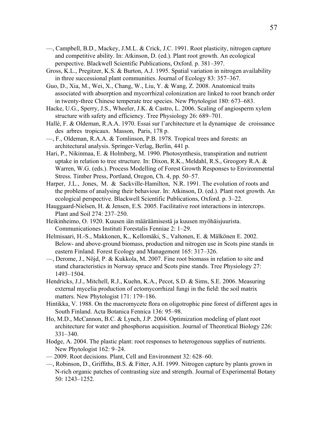- —, Campbell, B.D., Mackey, J.M.L. & Crick, J.C. 1991. Root plasticity, nitrogen capture and competitive ability. In: Atkinson, D. (ed.). Plant root growth. An ecological perspective. Blackwell Scientific Publications, Oxford. p. 381–397.
- Gross, K.L., Pregitzer, K.S. & Burton, A.J. 1995. Spatial variation in nitrogen availability in three successional plant communities. Journal of Ecology 83: 357–367.
- Guo, D., Xia, M., Wei, X., Chang, W., Liu, Y. & Wang, Z. 2008. Anatomical traits associated with absorption and mycorrhizal colonization are linked to root branch order in twenty-three Chinese temperate tree species. New Phytologist 180: 673–683.
- Hacke, U.G., Sperry, J.S., Wheeler, J.K. & Castro, L. 2006. Scaling of angiosperm xylem structure with safety and efficiency. Tree Physiology 26: 689–701.
- Hallé, F. & Oldeman, R.A.A. 1970. Essai sur l'architecture et la dynamique de croissance des arbres tropicaux. Masson, Paris, 178 p.
- —, F., Oldeman, R.A.A. & Tomlinson, P.B. 1978. Tropical trees and forests: an architectural analysis. Springer-Verlag, Berlin, 441 p.
- Hari, P., Nikinmaa, E. & Holmberg, M. 1990. Photosynthesis, transpiration and nutrient uptake in relation to tree structure. In: Dixon, R.K., Meldahl, R.S., Greogory R.A. & Warren, W.G. (eds.). Process Modelling of Forest Growth Responses to Environmental Stress. Timber Press, Portland, Oregon, Ch. 4, pp. 50–57.
- Harper, J.L., Jones, M. & Sackville-Hamilton, N.R. 1991. The evolution of roots and the problems of analysing their behaviour. In: Atkinson, D. (ed.). Plant root growth. An ecological perspective. Blackwell Scientific Publications, Oxford. p. 3–22.
- Hauggaard-Nielsen, H. & Jensen, E.S. 2005. Facilitative root interactions in intercrops. Plant and Soil 274: 237–250.
- Heikinheimo, O. 1920. Kuusen iän määräämisestä ja kuusen myöhäisjuurista. Communicationes Instituti Forestalis Fenniae 2: 1–29.
- Helmisaari, H.-S., Makkonen, K., Kellomäki, S., Valtonen, E. & Mälkönen E. 2002. Below- and above-ground biomass, production and nitrogen use in Scots pine stands in eastern Finland. Forest Ecology and Management 165: 317–326.
- —, Derome, J., Nöjd, P. & Kukkola, M. 2007. Fine root biomass in relation to site and stand characteristics in Norway spruce and Scots pine stands. Tree Physiology 27: 1493–1504.
- Hendricks, J.J., Mitchell, R.J., Kuehn, K.A., Pecot, S.D. & Sims, S.E. 2006. Measuring external mycelia production of ectomycorrhizal fungi in the field: the soil matrix matters. New Phytologist 171: 179–186.
- Hintikka, V. 1988. On the macromycete flora on oligotrophic pine forest of different ages in South Finland. Acta Botanica Fennica 136: 95–98.
- Ho, M.D., McCannon, B.C. & Lynch, J.P. 2004. Optimization modeling of plant root architecture for water and phosphorus acquisition. Journal of Theoretical Biology 226: 331–340.
- Hodge, A. 2004. The plastic plant: root responses to heterogenous supplies of nutrients. New Phytologist 162: 9–24.
- 2009. Root decisions. Plant, Cell and Environment 32: 628–60.
- —, Robinson, D., Griffiths, B.S. & Fitter, A.H. 1999. Nitrogen capture by plants grown in N-rich organic patches of contrasting size and strength. Journal of Experimental Botany 50: 1243–1252.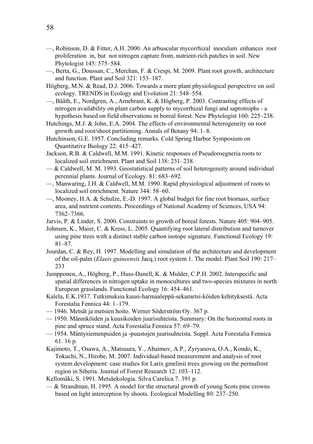- —, Robinson, D. & Fitter, A.H. 2000. An arbuscular mycorrhizal inoculum enhances root proliferation in, but not nitrogen capture from, nutrient-rich patches in soil. New Phytologist 145: 575–584.
- —, Berta, G., Doussan, C., Merchan, F. & Crespi, M. 2009. Plant root growth, architecture and function. Plant and Soil 321: 153–187.
- Högberg, M.N. & Read, D.J. 2006. Towards a more plant physiological perspective on soil ecology. TRENDS in Ecology and Evolution 21: 548–554.
- —, Bååth, E., Nordgren, A., Arnebrant, K. & Högberg, P. 2003. Contrasting effects of nitrogen availability on plant carbon supply to mycorrhizal fungi and saprotrophs - a hypothesis based on field observations in boreal forest. New Phytologist 160: 225–238.
- Hutchings, M.J. & John, E.A. 2004. The effects of environmental heterogeneity on root growth and root/shoot partitioning. Annals of Botany 94: 1–8.
- Hutchinson, G.E. 1957. Concluding remarks. Cold Spring Harbor Symposium on Quantitative Biology 22: 415–427.
- Jackson, R.B. & Caldwell, M.M. 1991. Kinetic responses of Pseudoroegneria roots to localized soil enrichment. Plant and Soil 138: 231–238.
- $-\&$  Caldwell, M. M. 1993. Geostatistical patterns of soil heterogeneity around individual perennial plants. Journal of Ecology. 81: 683–692.
- —, Manwaring, J.H. & Caldwell, M.M. 1990. Rapid physiological adjustment of roots to localized soil enrichment. Nature 344: 58–60.
- —, Mooney, H.A. & Schulze, E.-D. 1997. A global budget for fine root biomass, surface area, and nutrient contents. Proceedings of National Academy of Sciences, USA 94: 7362–7366.
- Jarvis, P. & Linder, S. 2000. Constraints to growth of boreal forests. Nature 405: 904–905.
- Johnsen, K., Maier, C. & Kress, L. 2005. Quantifying root lateral distribution and turnover using pine trees with a distinct stable carbon isotope signature. Functional Ecology 19: 81–87.
- Jourdan, C. & Rey, H. 1997. Modelling and simulation of the architecture and development of the oil-palm (*Elaeis guineensis* Jacq.) root system 1. The model. Plant Soil 190: 217– 233
- Jumpponen, A., Högberg, P., Huss-Danell, K. & Mulder, C.P.H. 2002. Interspecific and spatial differences in nitrogen uptake in monocultures and two-species mixtures in north European grasslands. Functional Ecology 16: 454–461.
- Kalela, E.K.1937. Tutkimuksia kuusi-harmaaleppä-sekametsi-köiden kehityksestä. Acta Forestalia Fennica 44: 1–179.
- 1946. Metsät ja metsien hoito. Werner Söderström Oy. 367 p.
- 1950. Männiköiden ja kuusikoiden juurisuhteista. Summary: On the horizontal roots in pine and spruce stand. Acta Forestalia Fennica 57: 69–79.
- 1954. Mäntysiemenpuiden ja -puustojen juurisuhteista. Suppl. Acta Forestalia Fennica 61. 16 p.
- Kajimoto, T., Osawa, A., Matsuura, Y., Abaimov, A.P., Zyryanova, O.A., Kondo, K., Tokuchi, N., Hirobe, M. 2007. Individual-based measurement and analysis of root system development: case studies for Larix gmelinii trees growing on the permafrost region in Siberia. Journal of Forest Research 12: 103–112.
- Kellomäki, S. 1991. Metsäekologia. Silva Carelica 7. 391 p.
- $-\&$  Strandman, H. 1995. A model for the structural growth of young Scots pine crowns based on light interception by shoots. Ecological Modelling 80: 237–250.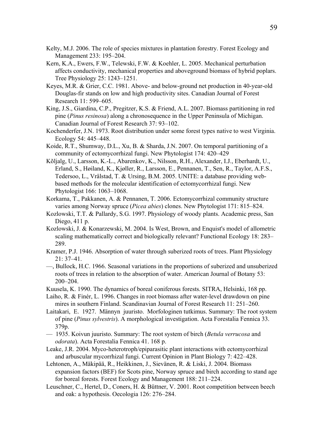- Kelty, M.J. 2006. The role of species mixtures in plantation forestry. Forest Ecology and Management 233: 195–204.
- Kern, K.A., Ewers, F.W., Telewski, F.W. & Koehler, L. 2005. Mechanical perturbation affects conductivity, mechanical properties and aboveground biomass of hybrid poplars. Tree Physiology 25: 1243–1251.
- Keyes, M.R. & Grier, C.C. 1981. Above- and below-ground net production in 40-year-old Douglas-fir stands on low and high productivity sites. Canadian Journal of Forest Research 11: 599–605.
- King, J.S., Giardina, C.P., Pregitzer, K.S. & Friend, A.L. 2007. Biomass partitioning in red pine (*Pinus resinosa*) along a chronosequence in the Upper Peninsula of Michigan. Canadian Journal of Forest Research 37: 93–102.
- Kochenderfer, J.N. 1973. Root distribution under some forest types native to west Virginia. Ecology 54: 445–448.
- Koide, R.T., Shumway, D.L., Xu, B. & Sharda, J.N. 2007. On temporal partitioning of a community of ectomycorrhizal fungi. New Phytologist 174: 420–429
- Kõljalg, U., Larsson, K.-L., Abarenkov, K., Nilsson, R.H., Alexander, I.J., Eberhardt, U., Erland, S., Høiland, K., Kjøller, R., Larsson, E., Pennanen, T., Sen, R., Taylor, A.F.S., Tedersoo, L., Vrålstad, T. & Ursing, B.M. 2005. UNITE: a database providing webbased methods for the molecular identification of ectomycorrhizal fungi. New Phytologist 166: 1063–1068.
- Korkama, T., Pakkanen, A. & Pennanen, T. 2006. Ectomycorrhizal community structure varies among Norway spruce (*Picea abies*) clones. New Phytologist 171: 815–824.
- Kozlowski, T.T. & Pallardy, S.G. 1997. Physiology of woody plants. Academic press, San Diego, 411 p.
- Kozlowski, J. & Konarzewski, M. 2004. Is West, Brown, and Enquist's model of allometric scaling mathematically correct and biologically relevant? Functional Ecology 18: 283– 289.
- Kramer, P.J. 1946. Absorption of water through suberized roots of trees. Plant Physiology 21: 37–41.
- —, Bullock, H.C. 1966. Seasonal variations in the proportions of suberized and unsuberized roots of trees in relation to the absorption of water. American Journal of Botany 53: 200–204.
- Kuusela, K. 1990. The dynamics of boreal coniferous forests. SITRA, Helsinki, 168 pp.
- Laiho, R. & Finér, L. 1996. Changes in root biomass after water-level drawdown on pine mires in southern Finland. Scandinavian Journal of Forest Research 11: 251–260.
- Laitakari, E. 1927. Männyn juuristo. Morfologinen tutkimus. Summary: The root system of pine (*Pinus sylvestris*). A morphological investigation. Acta Forestalia Fennica 33. 379p.
- 1935. Koivun juuristo. Summary: The root system of birch (*Betula verrucosa* and *odorata*). Acta Forestalia Fennica 41. 168 p.
- Leake, J.R. 2004. Myco-heterotroph/epiparasitic plant interactions with ectomycorrhizal and arbuscular mycorrhizal fungi. Current Opinion in Plant Biology 7: 422–428.
- Lehtonen, A., Mäkipää, R., Heikkinen, J., Sievänen, R. & Liski, J. 2004. Biomass expansion factors (BEF) for Scots pine, Norway spruce and birch according to stand age for boreal forests. Forest Ecology and Management 188: 211–224.
- Leuschner, C., Hertel, D., Coners, H. & Büttner, V. 2001. Root competition between beech and oak: a hypothesis. Oecologia 126: 276–284.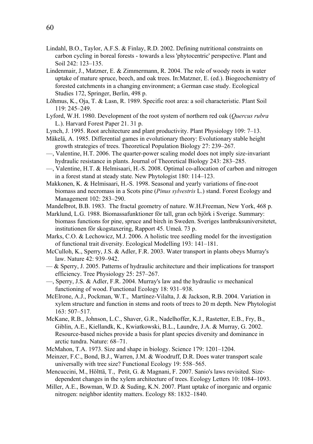- Lindahl, B.O., Taylor, A.F.S. & Finlay, R.D. 2002. Defining nutritional constraints on carbon cycling in boreal forests - towards a less 'phytocentric' perspective. Plant and Soil 242: 123–135.
- Lindenmair, J., Matzner, E. & Zimmermann, R. 2004. The role of woody roots in water uptake of mature spruce, beech, and oak trees. In:Matzner, E. (ed.). Biogeochemistry of forested catchments in a changing environment; a German case study. Ecological Studies 172, Springer, Berlin, 498 p.
- Lõhmus, K., Oja, T. & Lasn, R. 1989. Specific root area: a soil characteristic. Plant Soil 119: 245–249.
- Lyford, W.H. 1980. Development of the root system of northern red oak (*Quercus rubra* L.). Harvard Forest Paper 21. 31 p.
- Lynch, J. 1995. Root architecture and plant productivity. Plant Physiology 109: 7–13.
- Mäkelä, A. 1985. Differential games in evolutionary theory: Evolutionary stable height growth strategies of trees. Theoretical Population Biology 27: 239–267.
- —, Valentine, H.T. 2006. The quarter-power scaling model does not imply size-invariant hydraulic resistance in plants. Journal of Theoretical Biology 243: 283–285.
- —, Valentine, H.T. & Helmisaari, H.-S. 2008. Optimal co-allocation of carbon and nitrogen in a forest stand at steady state. New Phytologist 180: 114–123.
- Makkonen, K. & Helmisaari, H.-S. 1998. Seasonal and yearly variations of fine-root biomass and necromass in a Scots pine (*Pinus sylvestris* L.) stand. Forest Ecology and Management 102: 283–290.
- Mandelbrot, B.B. 1983. The fractal geometry of nature. W.H.Freeman, New York, 468 p.
- Marklund, L.G. 1988. Biomassafunktioner för tall, gran och björk i Sverige. Summary: biomass functions for pine, spruce and birch in Sweden. Sveriges lantbruksuniversitetet, institutionen för skogstaxering, Rapport 45. Umeå. 73 p.
- Marks, C.O. & Lechowicz, M.J. 2006. A holistic tree seedling model for the investigation of functional trait diversity. Ecological Modelling 193: 141–181.
- McCulloh, K., Sperry, J.S. & Adler, F.R. 2003. Water transport in plants obeys Murray's law. Nature 42: 939–942.
- $-\&$  Sperry, J. 2005. Patterns of hydraulic architecture and their implications for transport efficiency. Tree Physiology 25: 257–267.
- —, Sperry, J.S. & Adler, F.R. 2004. Murray's law and the hydraulic *vs* mechanical functioning of wood. Functional Ecology 18: 931–938.
- McElrone, A.J., Pockman, W.T., Martínez-Vilalta, J. & Jackson, R.B. 2004. Variation in xylem structure and function in stems and roots of trees to 20 m depth. New Phytologist 163: 507–517.
- McKane, R.B., Johnson, L.C., Shaver, G.R., Nadelhoffer, K.J., Rastetter, E.B., Fry, B., Giblin, A.E., Kiellandk, K., Kwiatkowski, B.L., Laundre, J.A. & Murray, G. 2002. Resource-based niches provide a basis for plant species diversity and dominance in arctic tundra. Nature: 68–71.
- McMahon, T.A. 1973. Size and shape in biology. Science 179: 1201–1204.
- Meinzer, F.C., Bond, B.J., Warren, J.M. & Woodruff, D.R. Does water transport scale universally with tree size? Functional Ecology 19: 558–565.
- Mencuccini, M., Hölttä, T., Petit, G. & Magnani, F. 2007. Sanio's laws revisited. Sizedependent changes in the xylem architecture of trees. Ecology Letters 10: 1084–1093.
- Miller, A.E., Bowman, W.D. & Suding, K.N. 2007. Plant uptake of inorganic and organic nitrogen: neighbor identity matters. Ecology 88: 1832–1840.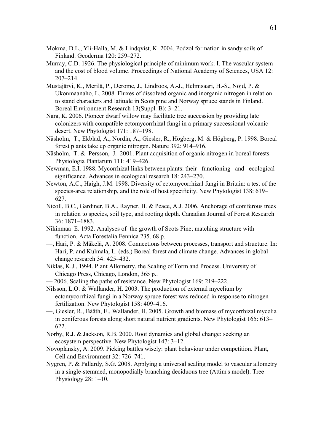- Mokma, D.L., Yli-Halla, M. & Lindqvist, K. 2004. Podzol formation in sandy soils of Finland. Geoderma 120: 259–272.
- Murray, C.D. 1926. The physiological principle of minimum work. I. The vascular system and the cost of blood volume. Proceedings of National Academy of Sciences, USA 12: 207–214.
- Mustajärvi, K., Merilä, P., Derome, J., Lindroos, A.-J., Helmisaari, H.-S., Nöjd, P. & Ukonmaanaho, L. 2008. Fluxes of dissolved organic and inorganic nitrogen in relation to stand characters and latitude in Scots pine and Norway spruce stands in Finland. Boreal Environment Research 13(Suppl. B): 3–21.
- Nara, K. 2006. Pioneer dwarf willow may facilitate tree succession by providing late colonizers with compatible ectomycorrhizal fungi in a primary successional volcanic desert. New Phytologist 171: 187–198.
- Näsholm, T., Ekblad, A., Nordin, A., Giesler, R., Högberg, M. & Högberg, P. 1998. Boreal forest plants take up organic nitrogen. Nature 392: 914–916.
- Näsholm, T. & Persson, J. 2001. Plant acquisition of organic nitrogen in boreal forests. Physiologia Plantarum 111: 419–426.
- Newman, E.I. 1988. Mycorrhizal links between plants: their functioning and ecological significance. Advances in ecological research 18: 243–270.
- Newton, A.C., Haigh, J.M. 1998. Diversity of ectomycorrhizal fungi in Britain: a test of the species-area relationship, and the role of host specificity. New Phytologist 138: 619– 627.
- Nicoll, B.C., Gardiner, B.A., Rayner, B. & Peace, A.J. 2006. Anchorage of coniferous trees in relation to species, soil type, and rooting depth. Canadian Journal of Forest Research 36: 1871–1883.
- Nikinmaa E. 1992. Analyses of the growth of Scots Pine; matching structure with function. Acta Forestalia Fennica 235. 68 p.
- —, Hari, P. & Mäkelä, A. 2008. Connections between processes, transport and structure. In: Hari, P. and Kulmala, L. (eds.) Boreal forest and climate change. Advances in global change research 34: 425–432.
- Niklas, K.J., 1994. Plant Allometry, the Scaling of Form and Process. University of Chicago Press, Chicago, London, 365 p..
- 2006. Scaling the paths of resistance. New Phytologist 169: 219–222.
- Nilsson, L.O. & Wallander, H. 2003. The production of external mycelium by ectomycorrhizal fungi in a Norway spruce forest was reduced in response to nitrogen fertilization. New Phytologist 158: 409–416.
- —, Giesler, R., Bååth, E., Wallander, H. 2005. Growth and biomass of mycorrhizal mycelia in coniferous forests along short natural nutrient gradients. New Phytologist 165: 613– 622.
- Norby, R.J. & Jackson, R.B. 2000. Root dynamics and global change: seeking an ecosystem perspective. New Phytologist 147: 3–12.
- Novoplansky, A. 2009. Picking battles wisely: plant behaviour under competition. Plant, Cell and Environment 32: 726–741.
- Nygren, P. & Pallardy, S.G. 2008. Applying a universal scaling model to vascular allometry in a single-stemmed, monopodially branching deciduous tree (Attim's model). Tree Physiology 28: 1–10.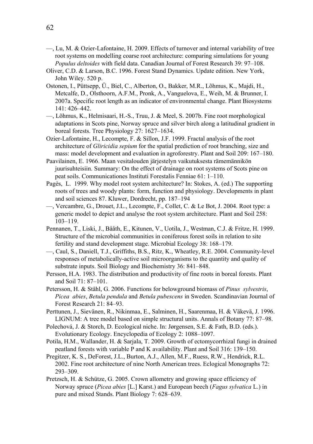- —, Lu, M. & Ozier-Lafontaine, H. 2009. Effects of turnover and internal variability of tree root systems on modelling coarse root architecture: comparing simulations for young *Populus deltoides* with field data. Canadian Journal of Forest Research 39: 97–108.
- Oliver, C.D. & Larson, B.C. 1996. Forest Stand Dynamics. Update edition. New York, John Wiley. 520 p.
- Ostonen, I., Püttsepp, Ü., Biel, C., Alberton, O., Bakker, M.R., Lõhmus, K., Majdi, H., Metcalfe, D., Olsthoorn, A.F.M., Pronk, A., Vanguelova, E., Weih, M. & Brunner, I. 2007a. Specific root length as an indicator of environmental change. Plant Biosystems 141: 426–442.
- —, Lõhmus, K., Helmisaari, H.-S., Truu, J. & Meel, S. 2007b. Fine root morphological adaptations in Scots pine, Norway spruce and silver birch along a latitudinal gradient in boreal forests. Tree Physiology 27: 1627–1634.
- Ozier-Lafontaine, H., Lecompte, F. & Sillon, J.F. 1999. Fractal analysis of the root architecture of *Gliricidia sepium* for the spatial prediction of root branching, size and mass: model development and evaluation in agroforestry. Plant and Soil 209: 167–180.
- Paavilainen, E. 1966. Maan vesitalouden järjestelyn vaikutuksesta rämemännikön juurisuhteisiin. Summary: On the effect of drainage on root systems of Scots pine on peat soils. Communicationes Instituti Forestalis Fenniae 61: 1–110.
- Pagès, L. 1999. Why model root system architecture? In: Stokes, A. (ed.) The supporting roots of trees and woody plants: form, function and physiology. Developments in plant and soil sciences 87. Kluwer, Dordrecht, pp. 187–194
- —, Vercambre, G., Drouet, J.L., Lecompte, F., Collet, C. & Le Bot, J. 2004. Root type: a generic model to depict and analyse the root system architecture. Plant and Soil 258: 103–119.
- Pennanen, T., Liski, J., Bååth, E., Kitunen, V., Uotila, J., Westman, C.J. & Fritze, H. 1999. Structure of the microbial communities in coniferous forest soils in relation to site fertility and stand development stage. Microbial Ecology 38: 168–179.
- —, Caul, S., Daniell, T.J., Griffiths, B.S., Ritz, K., Wheatley, R.E. 2004. Community-level responses of metabolically-active soil microorganisms to the quantity and quality of substrate inputs. Soil Biology and Biochemistry 36: 841–848.
- Persson, H.A. 1983. The distribution and productivity of fine roots in boreal forests. Plant and Soil 71: 87–101.
- Petersson, H. & Ståhl, G. 2006. Functions for belowground biomass of *Pinus sylvestris*, *Picea abies*, *Betula pendula* and *Betula pubescens* in Sweden. Scandinavian Journal of Forest Research 21: 84–93.
- Perttunen, J., Sievänen, R., Nikinmaa, E., Salminen, H., Saarenmaa, H. & Väkevä, J. 1996. LIGNUM: A tree model based on simple structural units. Annals of Botany 77: 87–98.
- Polechová, J. & Storch, D. Ecological niche. In: Jørgensen, S.E. & Fath, B.D. (eds.). Evolutionary Ecology. Encyclopedia of Ecology 2: 1088–1097.
- Potila, H.M., Wallander, H. & Sarjala, T. 2009. Growth of ectomycorrhizal fungi in drained peatland forests with variable P and K availability. Plant and Soil 316: 139–150.
- Pregitzer, K. S., DeForest, J.L., Burton, A.J., Allen, M.F., Ruess, R.W., Hendrick, R.L. 2002. Fine root architecture of nine North American trees. Eclogical Monographs 72: 293–309.
- Pretzsch, H. & Schütze, G. 2005. Crown allometry and growing space efficiency of Norway spruce (*Picea abies* [L.] Karst.) and European beech (*Fagus sylvatica* L.) in pure and mixed Stands. Plant Biology 7: 628–639.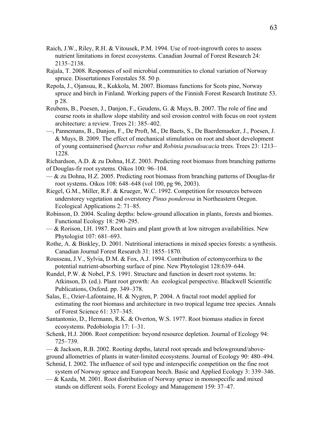- Raich, J.W., Riley, R.H. & Vitousek, P.M. 1994. Use of root-ingrowth cores to assess nutrient limitations in forest ecosystems. Canadian Journal of Forest Research 24: 2135–2138.
- Rajala, T. 2008. Responses of soil microbial communities to clonal variation of Norway spruce. Dissertationes Forestales 58. 50 p.
- Repola, J., Ojansuu, R., Kukkola, M. 2007. Biomass functions for Scots pine, Norway spruce and birch in Finland. Working papers of the Finnish Forest Research Institute 53. p 28.
- Reubens, B., Poesen, J., Danjon, F., Geudens, G. & Muys, B. 2007. The role of fine and coarse roots in shallow slope stability and soil erosion control with focus on root system architecture: a review. Trees 21: 385–402.
- —, Pannemans, B., Danjon, F., De Proft, M., De Baets, S., De Baerdemaeker, J., Poesen, J. & Muys, B. 2009. The effect of mechanical stimulation on root and shoot development of young containerised *Quercus robur* and *Robinia pseudoacacia* trees. Trees 23: 1213– 1228.

Richardson, A.D. & zu Dohna, H.Z. 2003. Predicting root biomass from branching patterns of Douglas-fir root systems. Oikos 100: 96–104.

- $-\&$  zu Dohna, H.Z. 2005. Predicting root biomass from branching patterns of Douglas-fir root systems. Oikos 108: 648–648 (vol 100, pg 96, 2003).
- Riegel, G.M., Miller, R.F. & Krueger, W.C. 1992. Competition for resources between understorey vegetation and overstorey *Pinus ponderosa* in Northeastern Oregon. Ecological Applications 2: 71–85.
- Robinson, D. 2004. Scaling depths: below-ground allocation in plants, forests and biomes. Functional Ecology 18: 290–295.
- $-\&$  Rorison, I.H. 1987. Root hairs and plant growth at low nitrogen availabilities. New Phytologist 107: 681–693.
- Rothe, A. & Binkley, D. 2001. Nutritional interactions in mixed species forests: a synthesis. Canadian Journal Forest Research 31: 1855–1870.
- Rousseau, J.V., Sylvia, D.M. & Fox, A.J. 1994. Contribution of ectomycorrhiza to the potential nutrient-absorbing surface of pine. New Phytologist 128:639–644.
- Rundel, P.W. & Nobel, P.S. 1991. Structure and function in desert root systems. In: Atkinson, D. (ed.). Plant root growth: An ecological perspective. Blackwell Scientific Publications, Oxford. pp. 349–378.
- Salas, E., Ozier-Lafontaine, H. & Nygren, P. 2004. A fractal root model applied for estimating the root biomass and architecture in two tropical legume tree species. Annals of Forest Science 61: 337–345.
- Santantonio, D., Hermann, R.K. & Overton, W.S. 1977. Root biomass studies in forest ecosystems. Pedobiologia 17: 1–31.
- Schenk, H.J. 2006. Root competition: beyond resource depletion. Journal of Ecology 94: 725–739.
- & Jackson, R.B. 2002. Rooting depths, lateral root spreads and belowground/aboveground allometries of plants in water-limited ecosystems. Journal of Ecology 90: 480–494.
- Schmid, I. 2002. The influence of soil type and interspecific competition on the fine root system of Norway spruce and European beech. Basic and Applied Ecology 3: 339–346.

— & Kazda, M. 2001. Root distribution of Norway spruce in monospecific and mixed stands on different soils. Forerst Ecology and Management 159: 37–47.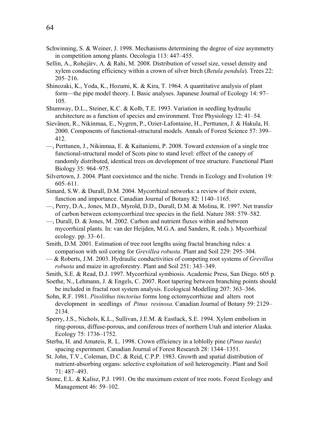- Schwinning, S. & Weiner, J. 1998. Mechanisms determining the degree of size asymmetry in competition among plants. Oecologia 113: 447–455.
- Sellin, A., Rohejärv, A. & Rahi, M. 2008. Distribution of vessel size, vessel density and xylem conducting efficiency within a crown of silver birch (*Betula pendula*). Trees 22: 205–216.
- Shinozaki, K., Yoda, K., Hozumi, K. & Kira, T. 1964. A quantitative analysis of plant form—the pipe model theory. I. Basic analyses. Japanese Journal of Ecology 14: 97– 105.
- Shumway, D.L., Steiner, K.C. & Kolb, T.E. 1993. Variation in seedling hydraulic architecture as a function of species and environment. Tree Physiology 12: 41–54.
- Sievänen, R., Nikinmaa, E., Nygren, P., Ozier-Lafontaine, H., Perttunen, J. & Hakula, H. 2000. Components of functional-structural models. Annals of Forest Science 57: 399– 412.
- —, Perttunen, J., Nikinmaa, E. & Kaitaniemi, P. 2008. Toward extension of a single tree functional-structural model of Scots pine to stand level: effect of the canopy of randomly distributed, identical trees on development of tree structure. Functional Plant Biology 35: 964–975.
- Silvertown, J. 2004. Plant coexistence and the niche. Trends in Ecology and Evolution 19: 605–611.
- Simard, S.W. & Durall, D.M. 2004. Mycorrhizal networks: a review of their extent, function and importance. Canadian Journal of Botany 82: 1140–1165.
- —, Perry, D.A., Jones, M.D., Myrold, D.D., Durall, D.M. & Molina, R. 1997. Net transfer of carbon between ectomycorrhizal tree species in the field. Nature 388: 579–582.
- —, Durall, D. & Jones, M. 2002. Carbon and nutrient fluxes within and between mycorrhizal plants. In: van der Heijden, M.G.A. and Sanders, R. (eds.). Mycorrhizal ecology. pp. 33–61.
- Smith, D.M. 2001. Estimation of tree root lengths using fractal branching rules: a comparison with soil coring for *Grevillea robusta*. Plant and Soil 229: 295–304.
- & Roberts, J.M. 2003. Hydraulic conductivities of competing root systems of *Grevillea robusta* and maize in agroforestry. Plant and Soil 251: 343–349.
- Smith, S.E. & Read, D.J. 1997. Mycorrhizal symbiosis. Academic Press, San Diego. 605 p.
- Soethe, N., Lehmann, J. & Engels, C. 2007. Root tapering between branching points should be included in fractal root system analysis. Ecological Modelling 207: 363–366.
- Sohn, R.F. 1981. *Pisolithus tinctorius* forms long ectomycorrhizae and alters root development in seedlings of *Pinus resinosa*. Canadian Journal of Botany 59: 2129– 2134.
- Sperry, J.S., Nichols, K.L., Sullivan, J.E.M. & Eastlack, S.E. 1994. Xylem embolism in ring-porous, diffuse-porous, and coniferous trees of northern Utah and interior Alaska. Ecology 75: 1736–1752.
- Sterba, H. and Amateis, R. L. 1998. Crown efficiency in a loblolly pine (*Pinus taeda*) spacing experiment. Canadian Journal of Forest Research 28: 1344–1351.
- St. John, T.V., Coleman, D.C. & Reid, C.P.P. 1983. Growth and spatial distribution of nutrient-absorbing organs: selective exploitation of soil heterogeneity. Plant and Soil 71: 487–493.
- Stone, E.L. & Kalisz, P.J. 1991. On the maximum extent of tree roots. Forest Ecology and Management 46: 59–102.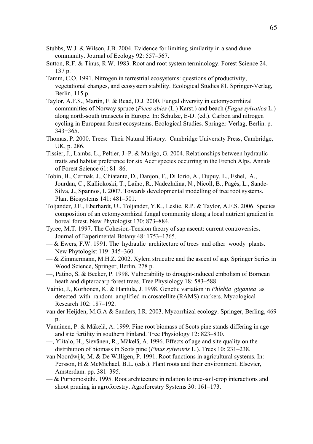- Stubbs, W.J. & Wilson, J.B. 2004. Evidence for limiting similarity in a sand dune community. Journal of Ecology 92: 557–567.
- Sutton, R.F. & Tinus, R.W. 1983. Root and root system terminology. Forest Science 24. 137 p.
- Tamm, C.O. 1991. Nitrogen in terrestrial ecosystems: questions of productivity, vegetational changes, and ecosystem stability. Ecological Studies 81. Springer-Verlag, Berlin, 115 p.
- Taylor, A.F.S., Martin, F. & Read, D.J. 2000. Fungal diversity in ectomycorrhizal communities of Norway spruce (*Picea abies* (L.) Karst.) and beach (*Fagus sylvatica* L.) along north-south transects in Europe. In: Schulze, E-D. (ed.). Carbon and nitrogen cycling in European forest ecosystems. Ecological Studies. Springer-Verlag, Berlin. p. 343−365.
- Thomas, P. 2000. Trees: Their Natural History. Cambridge University Press, Cambridge, UK, p. 286.
- Tissier, J., Lambs, L., Peltier, J.-P. & Marigo, G. 2004. Relationships between hydraulic traits and habitat preference for six Acer species occurring in the French Alps. Annals of Forest Science 61: 81–86.
- Tobin, B., Cermak, J., Chiatante, D., Danjon, F., Di Iorio, A., Dupuy, L., Eshel, A., Jourdan, C., Kalliokoski, T., Laiho, R., Nadezhdina, N., Nicoll, B., Pagès, L., Sande-Silva, J., Spannos, I. 2007. Towards developmental modelling of tree root systems. Plant Biosystems 141: 481–501.
- Toljander, J.F., Eberhardt, U., Toljander, Y.K., Leslie, R.P. & Taylor, A.F.S. 2006. Species composition of an ectomycorrhizal fungal community along a local nutrient gradient in boreal forest. New Phytologist 170: 873–884.
- Tyree, M.T. 1997. The Cohesion-Tension theory of sap ascent: current controversies. Journal of Experimental Botany 48: 1753–1765.
- $-\&$  Ewers, F.W. 1991. The hydraulic architecture of trees and other woody plants. New Phytologist 119: 345–360.
- $-\&$  Zimmermann, M.H.Z. 2002. Xylem strucutre and the ascent of sap. Springer Series in Wood Science, Springer, Berlin, 278 p.
- —, Patino, S. & Becker, P. 1998. Vulnerability to drought-induced embolism of Bornean heath and dipterocarp forest trees. Tree Physiology 18: 583–588.
- Vainio, J., Korhonen, K. & Hantula, J. 1998. Genetic variation in *Phlebia gigantea* as detected with random amplified microsatellite (RAMS) markers. Mycological Research 102: 187–192.
- van der Heijden, M.G.A & Sanders, I.R. 2003. Mycorrhizal ecology. Springer, Berling, 469 p.
- Vanninen, P. & Mäkelä, A. 1999. Fine root biomass of Scots pine stands differing in age and site fertility in southern Finland. Tree Physiology 12: 823–830.
- —, Ylitalo, H., Sievänen, R., Mäkelä, A. 1996. Effects of age and site quality on the distribution of biomass in Scots pine (*Pinus sylvestris* L.). Trees 10: 231–238.
- van Noordwijk, M. & De Willigen, P. 1991. Root functions in agricultural systems. In: Persson, H.& McMichael, B.L. (eds.). Plant roots and their environment. Elsevier, Amsterdam. pp. 381–395.
- & Purnomosidhi. 1995. Root architecture in relation to tree-soil-crop interactions and shoot pruning in agroforestry. Agroforestry Systems 30: 161–173.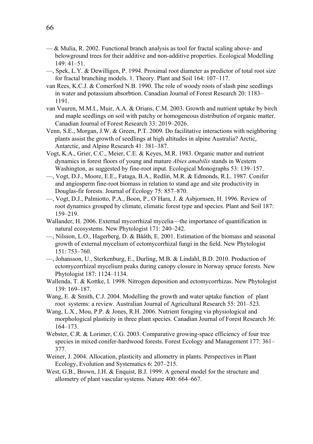- $-\&$  Mulia, R. 2002. Functional branch analysis as tool for fractal scaling above- and belowground trees for their additive and non-additive properties. Ecological Modelling 149: 41–51.
- —, Spek, L.Y. & Dewilligen, P. 1994. Proximal root diameter as predictor of total root size for fractal branching models. 1. Theory. Plant and Soil 164: 107–117.
- van Rees, K.C.J. & Comerford N.B. 1990. The role of woody roots of slash pine seedlings in water and potassium absorbtion. Canadian Journal of Forest Research 20: 1183– 1191.
- van Vuuren, M.M.I., Muir, A.A. & Orians, C.M. 2003. Growth and nutrient uptake by birch and maple seedlings on soil with patchy or homogeneous distribution of organic matter. Canadian Journal of Forest Research 33: 2019–2026.
- Venn, S.E., Morgan, J.W. & Green, P.T. 2009. Do facilitative interactions with neighboring plants assist the growth of seedlings at high altitudes in alpine Australia? Arctic, Antarctic, and Alpine Research 41: 381–387.
- Vogt, K.A., Grier, C.C., Meier, C.E. & Keyes, M.R. 1983. Organic matter and nutrient dynamics in forest floors of young and mature *Abies amabilis* stands in Western Washington, as suggested by fine-root input. Ecological Monographs 53: 139–157.
- —, Vogt, D.J., Moore, E.E., Fataga, B.A., Redlin, M.R. & Edmonds, R.L. 1987. Conifer and angiosperm fine-root biomass in relation to stand age and site productivity in Douglas-fir forests. Journal of Ecology 75: 857–870.
- —, Vogt, D.J., Palmiotto, P.A., Boon, P., O´Hara, J. & Asbjornsen, H. 1996. Review of root dynamics grouped by climate, climatic forest type and species. Plant and Soil 187: 159–219.
- Wallander, H. 2006. External mycorrhizal mycelia—the importance of quantification in natural ecosystems. New Phytologist 171: 240–242.
- —, Nilsson, L.O., Hagerberg, D. & Bååth, E. 2001. Estimation of the biomass and seasonal growth of external mycelium of ectomycorrhizal fungi in the field. New Phytologist 151: 753–760.
- —, Johansson, U., Sterkenburg, E., Durling, M.B. & Lindahl, B.D. 2010. Production of ectomycorrhizal mycelium peaks during canopy closure in Norway spruce forests. New Phytologist 187: 1124–1134.
- Wallenda, T. & Kottke, I. 1998. Nitrogen deposition and ectomycorrhizas. New Phytologist 139: 169–187.
- Wang, E. & Smith, C.J. 2004. Modelling the growth and water uptake function of plant root systems: a review. Australian Journal of Agricultural Research 55: 201–523.
- Wang, L.X., Mou, P.P. & Jones, R.H. 2006. Nutrient foraging via physiological and morphological plasticity in three plant species. Canadian Journal of Forest Research 36: 164–173.
- Webster, C.R. & Lorimer, C.G. 2003. Comparative growing-space efficiency of four tree species in mixed conifer-hardwood forests. Forest Ecology and Management 177: 361– 377.
- Weiner, J. 2004. Allocation, plasticity and allometry in plants. Perspectives in Plant Ecology, Evolution and Systematics 6: 207–215.
- West, G.B., Brown, J.H. & Enquist, B.J. 1999. A general model for the structure and allometry of plant vascular systems. Nature 400: 664–667.